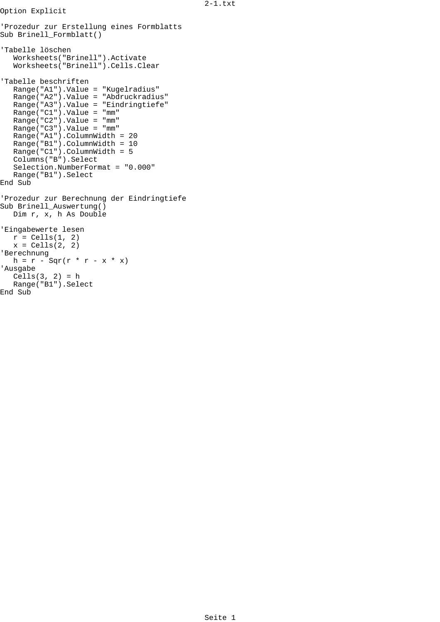```
Option Explicit
'Prozedur zur Erstellung eines Formblatts
Sub Brinell_Formblatt()
'Tabelle löschen
   Worksheets("Brinell").Activate
   Worksheets("Brinell").Cells.Clear
'Tabelle beschriften
  Range("A1").Value = "Kugelradius"
  Range("A2").Value = "Abdruckradius"
  Range("A3").Value = "Eindringtiefe"
  Range("C1").Value = "mm"
  Range("C2").Value = "mm"
  Range("C3").Value = "mm"
  Range("A1").ColumnWidth = 20
  Range("B1").ColumnWidth = 10
  Range("C1").ColumnWidth = 5
  Columns("B").Select
  Selection.NumberFormat = "0.000"
  Range("B1").Select
End Sub
'Prozedur zur Berechnung der Eindringtiefe
Sub Brinell_Auswertung()
  Dim r, x, h As Double
'Eingabewerte lesen
  r = \text{Cells}(1, 2)x = Cells(2, 2)
'Berechnung
  h = r - Sqr(r * r - x * x)'Ausgabe
  Cells(3, 2) = hRange("B1").Select
End Sub
```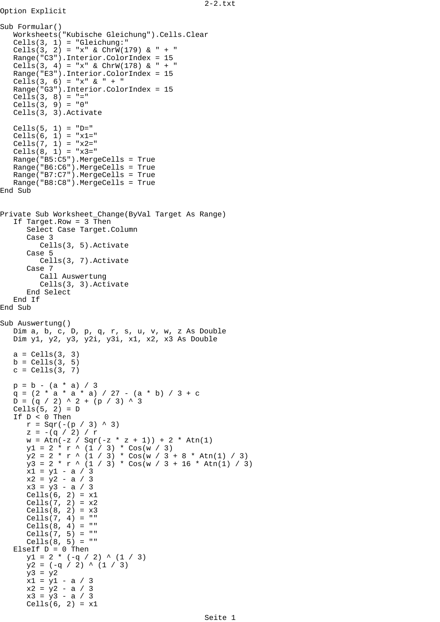```
Sub Formular()
  Worksheets("Kubische Gleichung").Cells.Clear
  Cells(3, 1) = "Gleichung:"
  Cells(3, 2) = "x" & ChrW(179) & " + "
  Range("C3").Interior.ColorIndex = 15
  Cells(3, 4) = "x" & ChrW(178) & " + '
  Range("E3").Interior.ColorIndex = 15
  Cells(3, 6) = "x" & " + "
  Range("G3").Interior.ColorIndex = 15
  Cells(3, 8) = "-Cells(3, 9) = "0"
  Cells(3, 3).Activate
   Cells(5, 1) = "D="Cells(6, 1) = "x1="Cells(7, 1) = "x2="
  Cells(8, 1) = "x3="Range("B5:C5").MergeCells = True
  Range("B6:C6").MergeCells = True
  Range("B7:C7").MergeCells = True
  Range("B8:C8").MergeCells = True
End Sub
Private Sub Worksheet_Change(ByVal Target As Range)
  If Target.Row = 3 Then
     Select Case Target.Column
     Case 3
        Cells(3, 5).Activate
     Case 5
        Cells(3, 7).Activate
     Case 7
        Call Auswertung
        Cells(3, 3).Activate
     End Select
  End If
End Sub
Sub Auswertung()
  Dim a, b, c, D, p, q, r, s, u, v, w, z As Double
  Dim y1, y2, y3, y2i, y3i, x1, x2, x3 As Double
  a =Cells(3, 3)b = Cells(3, 5)c = Cells(3, 7)p = b - (a * a) / 3q = (2 * a * a * a) / 27 - (a * b) / 3 + cD = (q / 2) ^ 2 + (p / 3) ^ 3
  Cells(5, 2) = DIf D < 0 Then
     r = \text{Sqr}(-(p / 3) ^ 3)
     z = -(q / 2) / rw = \text{Atn}(-z / \text{Sqr}(-z * z + 1)) + 2 * \text{Atn}(1)y1 = 2 * r * (1 / 3) * Cos(w / 3)y^2 = 2 * r ^ (1 / 3) * Cos(w / 3 + 8 * Atn(1) / 3)
     y3 = 2 * r ^ (1 / 3) * Cos(w / 3 + 16 * Atn(1) / 3)
     x1 = y1 - a / 3x2 = y2 - a / 3x3 = y3 - a / 3Cells(6, 2) = x1Cells(7, 2) = x2Cells(8, 2) = x3Cells(7, 4) = ""Cells(8, 4) = ""Cells(7, 5) = ""Cells(8, 5) = "ElseIf D = 0 Then
     y1 = 2 * (-q / 2) * (1 / 3)y2 = (-q / 2) (1 / 3)y3 = y2x1 = y1 - a / 3x2 = y2 - a / 3x3 = y3 - a / 3Cells(6, 2) = x1
```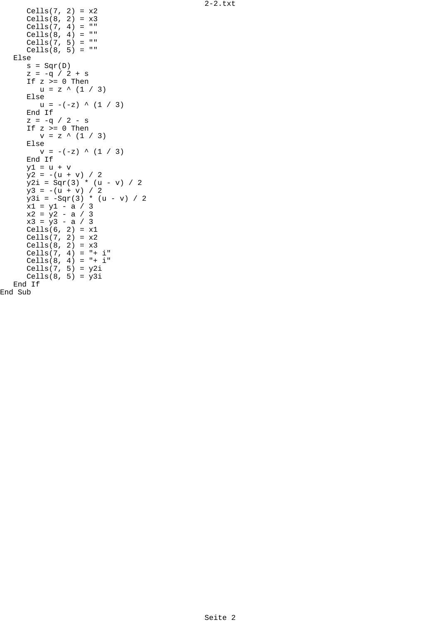```
2-2.txt
```

```
Cells(7, 2) = x2Cells(8, 2) = x3Cells(7, 4) = ""Cells(8, 4) = ""Cells(7, 5) = ""Cells(8, 5) = ""Else
     s = Sqr(D)z = -q / 2 + sIf z > = 0 Then
       u = z ^ (1 / 3)
     Else
        u = -(-z) (1 / 3)End If
     z = -q / 2 - sIf z \ge 0 Then
        v = z ^ (1 / 3)
     Else
        v = -(-z) (1 / 3)End If
     y1 = u + vy^2 = -(u + v)/2y2i = Sqr(3) * (u - v) / 2y3 = -(u + v) / 2y3i = -Sqr(3) * (u - v) / 2x1 = y1 - a / 3x2 = y2 - a / 3x3 = y3 - a / 3Cells(6, 2) = x1Cells(7, 2) = x2Cells(8, 2) = x3Cells(7, 4) = "+ i"Cells(8, 4) = "+ i"Cells(7, 5) = y2iCells(8, 5) = y3iEnd If
End Sub
```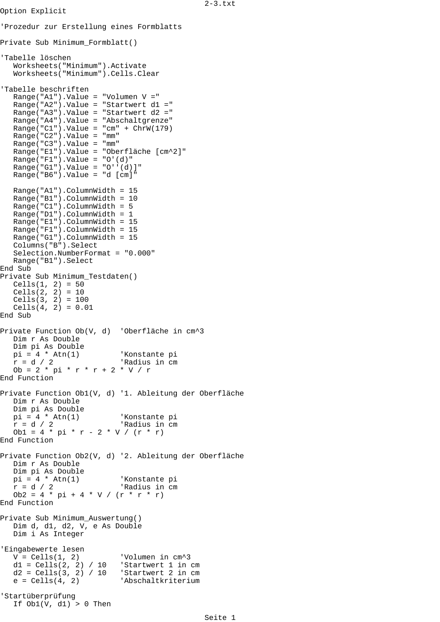'Tabelle löschen

'Prozedur zur Erstellung eines Formblatts

```
Private Sub Minimum_Formblatt()
```

```
Worksheets("Minimum").Activate
  Worksheets("Minimum").Cells.Clear
'Tabelle beschriften
  Range("A1").Value = "Volumen V ="
  Range("A2").Value = "Startwert d1 ="
  Range("A3").Value = "Startwert d2 ="
  Range("A4").Value = "Abschaltgrenze"
   Range("C1").Value = "cm" + ChrW(179)
   Range("C2").Value = "mm"
  Range("C3").Value = "mm"
  Range("E1").Value = "Oberfläche [cm^2]"
  Range("F1").Value = "0'(d)"
  Range("G1"). Value = "O' '(d)]Range("B6").Value = "d [cm]"
  Range("A1").ColumnWidth = 15
  Range("B1").ColumnWidth = 10
  Range("C1").ColumnWidth = 5
  Range("D1").ColumnWidth = 1
  Range("E1").ColumnWidth = 15
  Range("F1").ColumnWidth = 15
  Range("G1").ColumnWidth = 15
  Columns("B").Select
  Selection.NumberFormat = "0.000"
  Range("B1").Select
End Sub
Private Sub Minimum_Testdaten()
  Cells(1, 2) = 50Cells(2, 2) = 10
  Cells(3, 2) = 100
  Cells(4, 2) = 0.01End Sub
Private Function Ob(V, d) 'Oberfläche in cm^3
  Dim r As Double
  Dim pi As Double
  pi = 4 * Atn(1)<br>
r = d / 2<br>
'Radius in cm
                           'Radius in cm
  Ob = 2 * pi * r * r + 2 * V / r
End Function
Private Function Ob1(V, d) '1. Ableitung der Oberfläche
  Dim r As Double
  Dim pi As Double
  pi = 4 * Atn(1)<br>
r = d / 2<br>
'Radius in cm
                           'Radius in cm
  Ob1 = 4 * pi * r - 2 * V / (r * r)
End Function
Private Function Ob2(V, d) '2. Ableitung der Oberfläche
  Dim r As Double
  Dim pi As Double
  pi = 4 * Atn(1) 'Konstante pi
  r = d / 2 'Radius in cm
  Ob2 = 4 * pi + 4 * V / (r * r * r)
End Function
Private Sub Minimum_Auswertung()
  Dim d, d1, d2, V, e As Double
  Dim i As Integer
'Eingabewerte lesen
  V = Cells(1, 2) 'Volumen in cm^23d1 = Cells(2, 2) / 10 <br>'Startwert 1 in cm
  d2 = Cells(3, 2) / 10 'Startwert 2 in cm
  e = Cells(4, 2) 'Abschaltkriterium
'Startüberprüfung
  If Obj(V, d1) > 0 Then
```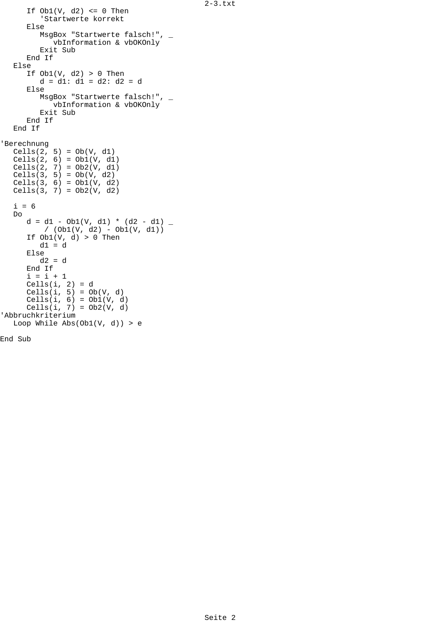```
If Ob1(V, d2) \le 0 Then
        'Startwerte korrekt
     Else
        MsgBox "Startwerte falsch!", _
          vbInformation & vbOKOnly
        Exit Sub
     End If
  Else
     If Ob1(V, d2) > 0 Then
        d = d1: d1 = d2: d2 = dElse
        MsgBox "Startwerte falsch!", _
          vbInformation & vbOKOnly
        Exit Sub
     End If
  End If
'Berechnung
  Cells(2, 5) = Ob(V, d1)Cells(2, 6) = Obl(V, d1)Cells(2, 7) = Ob2(V, dl)Cells(3, 5) = Ob(V, d2)Cells(3, 6) = Obl(V, d2)Cells(3, 7) = Ob2(V, d2)i = 6Do
     d = d1 - Ob1(V, d1) * (d2 - d1)/ (Ob1(V, d2) - Ob1(V, d1))
     If Ob1(V, d) > 0 Then
        d1 = d
     Else
        d2 = dEnd If
     i = i + 1Cells(i, 2) = dCells(i, 5) = Ob(V, d)Cells(i, 6) = Obl(V, d)Cells(i, 7) = Ob2(V, d)'Abbruchkriterium
  Loop While Abs(Ob1(V, d)) > e
```
End Sub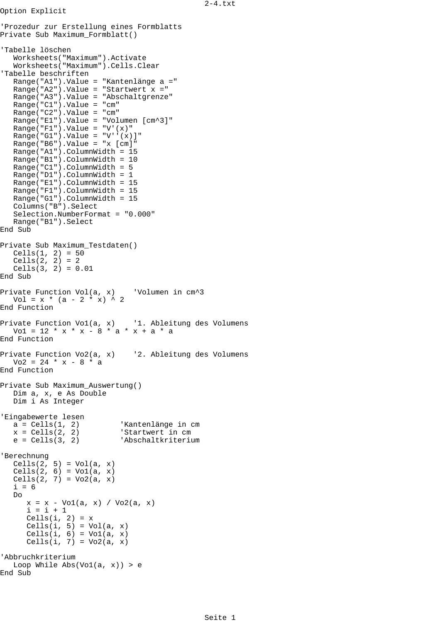```
'Prozedur zur Erstellung eines Formblatts
Private Sub Maximum_Formblatt()
'Tabelle löschen
  Worksheets("Maximum").Activate
  Worksheets("Maximum").Cells.Clear
'Tabelle beschriften
  Range("A1").Value = "Kantenlänge a ="
  Range("A2").Value = "Startwert x ="
  Range("A3").Value = "Abschaltgrenze"
  Range("C1").Value = "cm"
  Range("C2").Value = "cm"
  Range("E1").Value = "Volumen [cm^3]"
   Range("F1").Value = "V'(x)"
   Range("G1").Value = "V''(x)]"
  Range("B6").Value = "x [cm]"
  Range("A1").ColumnWidth = 15
  Range("B1").ColumnWidth = 10
  Range("C1").ColumnWidth = 5
  Range("D1").ColumnWidth = 1
  Range("E1").ColumnWidth = 15
  Range("F1").ColumnWidth = 15
  Range("G1").ColumnWidth = 15
  Columns("B").Select
  Selection.NumberFormat = "0.000"
  Range("B1").Select
End Sub
Private Sub Maximum_Testdaten()
   Cells(1, 2) = 50Cells(2, 2) = 2Cells(3, 2) = 0.01End Sub
Private Function Vol(a, x) 'Volumen in cm^3
  Vol = x * (a - 2 * x) ^ 2
End Function
Private Function Vo1(a, x) '1. Ableitung des Volumens
  Vo1 = 12 * x * x - 8 * a * x + a * a
End Function
Private Function Vo2(a, x) '2. Ableitung des Volumens
  \text{Vo2} = 24 \times \text{x} - 8 \times \text{a}End Function
Private Sub Maximum_Auswertung()
  Dim a, x, e As Double
  Dim i As Integer
'Eingabewerte lesen
  a = Cells(1, 2) 'Kantenlänge in cm
  x = Cells(2, 2)  'Startwert in cm
  e = Cells(3, 2) 'Abschaltkriterium
'Berechnung
  Cells(2, 5) = Vol(a, x)Cells(2, 6) = Vol(a, x)Cells(2, 7) = Vo2(a, x)i = 6Do
     x = x - Vol(a, x) / Vol(a, x)i = i + 1Cells(i, 2) = xCells(i, 5) = Vol(a, x)Cells(i, 6) = Vol(a, x)
     Cells(i, 7) = Vo2(a, x)'Abbruchkriterium
  Loop While Abs(Vol(a, x)) > e
End Sub
```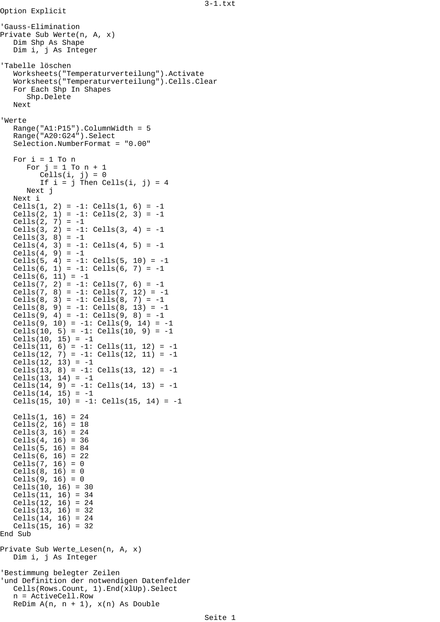```
Option Explicit
'Gauss-Elimination
Private Sub Werte(n, A, x)
  Dim Shp As Shape
  Dim i, j As Integer
'Tabelle löschen
  Worksheets("Temperaturverteilung").Activate
  Worksheets("Temperaturverteilung").Cells.Clear
  For Each Shp In Shapes
     Shp.Delete
  Next
'Werte
  Range("A1:P15").ColumnWidth = 5
  Range("A20:G24").Select
  Selection.NumberFormat = "0.00"
  For i = 1 To n
     For j = 1 To n + 1Cells(i, j) = 0If i = j Then Cells(i, j) = 4
     Next j
  Next i
  Cells(1, 2) = -1: Cells(1, 6) = -1Cells(2, 1) = -1: Cells(2, 3) = -1Cells(2, 7) = -1Cells(3, 2) = -1: Cells(3, 4) = -1Cells(3, 8) = -1Cells(4, 3) = -1: Cells(4, 5) = -1Cells(4, 9) = -1Cells(5, 4) = -1: Cells(5, 10) = -1Cells(6, 1) = -1: Cells(6, 7) = -1Cells(6, 11) = -1Cells(7, 2) = -1: Cells(7, 6) = -1Cells(7, 8) = -1: Cells(7, 12) = -1Cells(8, 3) = -1: Cells(8, 7) = -1Cells(8, 9) = -1: Cells(8, 13) = -1Cells(9, 4) = -1: Cells(9, 8) = -1Cells(9, 10) = -1: Cells(9, 14) = -1Cells(10, 5) = -1: Cells(10, 9) = -1Cells(10, 15) = -1Cells(11, 6) = -1: Cells(11, 12) = -1Cells(12, 7) = -1: Cells(12, 11) = -1Cells(12, 13) = -1Cells(13, 8) = -1: Cells(13, 12) = -1Cells(13, 14) = -1Cells(14, 9) = -1: Cells(14, 13) = -1
   Cells(14, 15) = -1Cells(15, 10) = -1: Cells(15, 14) = -1Cells(1, 16) = 24
  Cells(2, 16) = 18Cells(3, 16) = 24
  Cells(4, 16) = 36
   Cells(5, 16) = 84
   Cells(6, 16) = 22
   Cells(7, 16) = 0
   Cells(8, 16) = 0
  Cells(9, 16) = 0Cells(10, 16) = 30
  Cells(11, 16) = 34
  Cells(12, 16) = 24
   Cells(13, 16) = 32
   Cells(14, 16) = 24
   Cells(15, 16) = 32
End Sub
Private Sub Werte Lesen(n, A, x)
  Dim i, j As Integer
'Bestimmung belegter Zeilen
'und Definition der notwendigen Datenfelder
  Cells(Rows.Count, 1).End(xlUp).Select
  n = ActiveCell.Row
  ReDim A(n, n + 1), x(n) As Double
```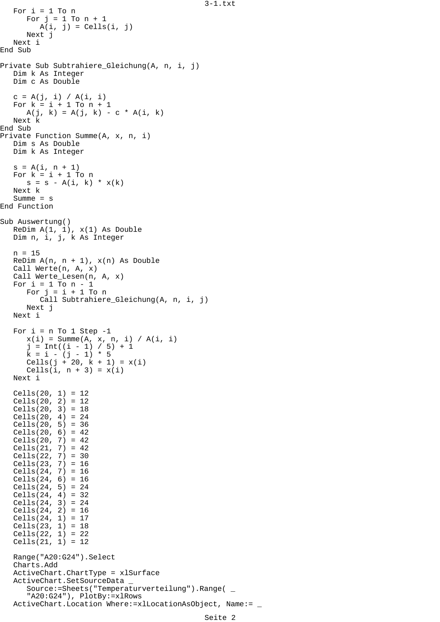```
3-1.txt
  For i = 1 To n
     For j = 1 To n + 1A(i, j) = Cells(i, j)Next j
  Next i
End Sub
Private Sub Subtrahiere_Gleichung(A, n, i, j)
  Dim k As Integer
  Dim c As Double
  c = A(j, i) / A(i, i)For k = i + 1 To n + 1A(j, k) = A(j, k) - c * A(i, k)Next k
End Sub
Private Function Summe(A, x, n, i)
  Dim s As Double
  Dim k As Integer
  s = A(i, n + 1)For k = i + 1 To n
     s = s - A(i, k) * x(k)Next k
  Summe = s
End Function
Sub Auswertung()
  ReDim A(1, 1), x(1) As Double
  Dim n, i, j, k As Integer
  n = 15ReDim A(n, n + 1), x(n) As Double
  Call Werte(n, A, x)
  Call Werte_Lesen(n, A, x)
  For i = 1 To n - 1For j = i + 1 To n
        Call Subtrahiere_Gleichung(A, n, i, j)
     Next j
  Next i
  For i = n To 1 Step -1x(i) = Summe(A, x, n, i) / A(i, i)j = Int((i - 1) / 5) + 1k = i - (j - 1) * 5Cells(j + 20, k + 1) = x(i)Cells(i, n + 3) = x(i)Next i
   Cells(20, 1) = 12
   Cells(20, 2) = 12
  Cells(20, 3) = 18Cells(20, 4) = 24Cells(20, 5) = 36
  Cells(20, 6) = 42
  Cells(20, 7) = 42
   Cells(21, 7) = 42
   Cells(22, 7) = 30
   Cells(23, 7) = 16
   Cells(24, 7) = 16
  Cells(24, 6) = 16
  Cells(24, 5) = 24
  Cells(24, 4) = 32
  Cells(24, 3) = 24
   Cells(24, 2) = 16
   Cells(24, 1) = 17
   Cells(23, 1) = 18
   Cells(22, 1) = 22
  Cells(21, 1) = 12
  Range("A20:G24").Select
  Charts.Add
  ActiveChart.ChartType = xlSurface
  ActiveChart.SetSourceData _
     Source:=Sheets("Temperaturverteilung").Range( _
      "A20:G24"), PlotBy:=xlRows
  ActiveChart.Location Where:=xlLocationAsObject, Name:= _
```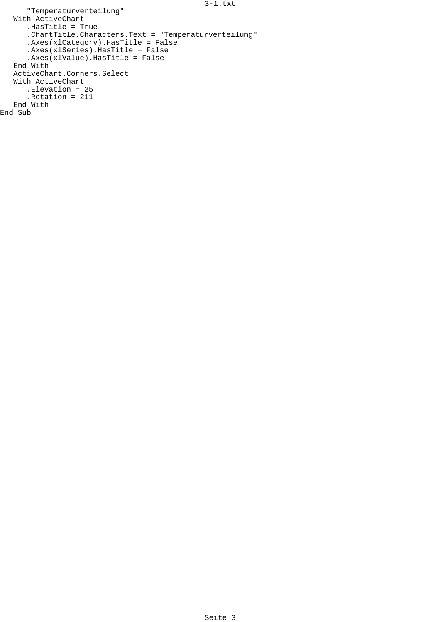```
3-1.txt
```

```
"Temperaturverteilung"
  With ActiveChart
     .HasTitle = True
     .ChartTitle.Characters.Text = "Temperaturverteilung"
     .Axes(xlCategory).HasTitle = False
     .Axes(xlSeries).HasTitle = False
      .Axes(xlValue).HasTitle = False
   End With
  ActiveChart.Corners.Select
  With ActiveChart
     .Elevation = 25
     .Rotation = 211
  End With
End Sub
```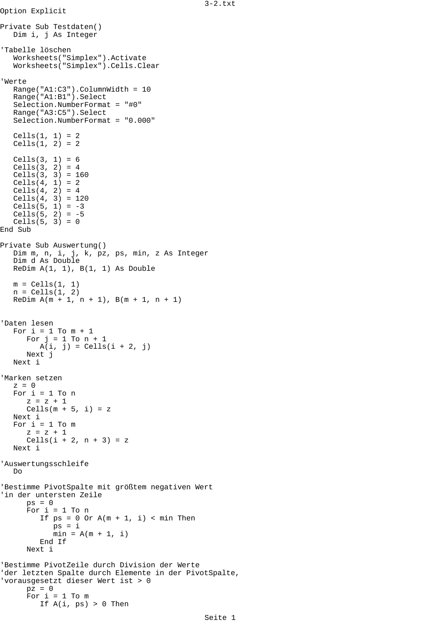```
Option Explicit
Private Sub Testdaten()
  Dim i, j As Integer
'Tabelle löschen
  Worksheets("Simplex").Activate
  Worksheets("Simplex").Cells.Clear
'Werte
  Range("A1:C3").ColumnWidth = 10
  Range("A1:B1").Select
  Selection.NumberFormat = "#0"
  Range("A3:C5").Select
  Selection.NumberFormat = "0.000"
  Cells(1, 1) = 2Cells(1, 2) = 2Cells(3, 1) = 6Cells(3, 2) = 4
   Cells(3, 3) = 160
   Cells(4, 1) = 2Cells(4, 2) = 4Cells(4, 3) = 120Cells(5, 1) = -3Cells(5, 2) = -5Cells(5, 3) = 0End Sub
Private Sub Auswertung()
  Dim m, n, i, j, k, pz, ps, min, z As Integer
  Dim d As Double
  ReDim A(1, 1), B(1, 1) As Double
  m = Cells(1, 1)n = \text{Cells}(1, 2)ReDim A(m + 1, n + 1), B(m + 1, n + 1)'Daten lesen
  For i = 1 To m + 1For j = 1 To n + 1A(i, j) = Cells(i + 2, j)Next j
  Next i
'Marken setzen
  z = 0For i = 1 To n
     z = z + 1Cells(m + 5, i) = zNext i
  For i = 1 To mz = z + 1Cells(i + 2, n + 3) = zNext i
'Auswertungsschleife
  Do
'Bestimme PivotSpalte mit größtem negativen Wert
'in der untersten Zeile
     ps = 0For i = 1 To nIf ps = 0 Or A(m + 1, i) < min Then
           ps = imin = A(m + 1, i)End If
     Next i
'Bestimme PivotZeile durch Division der Werte
'der letzten Spalte durch Elemente in der PivotSpalte,
'vorausgesetzt dieser Wert ist > 0
     pz = 0For i = 1 To mIf A(i, ps) > 0 Then
```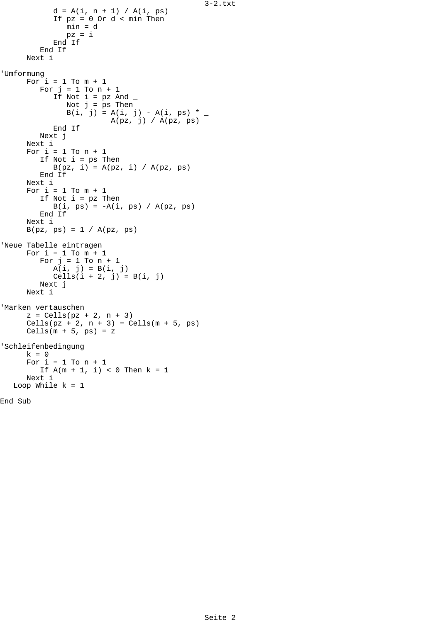```
3-2.txt
           d = A(i, n + 1) / A(i, ps)If pz = 0 Or d < min Then
              min = d
             pz = i
           End If
        End If
     Next i
'Umformung
     For i = 1 To m + 1For j = 1 To n + 1If Not i = pz And _Not j = ps Then
              B(i, j) = A(i, j) - A(i, ps) *A(pz, j) / A(pz, ps)End If
        Next j
     Next i
     For i = 1 To n + 1If Not i = ps Then
           B(pz, i) = A(pz, i) / A(pz, ps)End If
     Next i
     For i = 1 To m + 1If Not i = pz Then
          B(i, ps) = -A(i, ps) / A(pz, ps)End If
     Next i
     B(pz, ps) = 1 / A(pz, ps)'Neue Tabelle eintragen
     For i = 1 To m + 1For j = 1 To n + 1A(i, j) = B(i, j)Cells(i + 2, j) = B(i, j)Next j
     Next i
'Marken vertauschen
     z = Cells(pz + 2, n + 3)Cells(pz + 2, n + 3) = Cells(m + 5, ps)Cells(m + 5, ps) = z'Schleifenbedingung
     k = 0For i = 1 To n + 1If A(m + 1, i) < 0 Then k = 1Next i
  Loop While k = 1
```
End Sub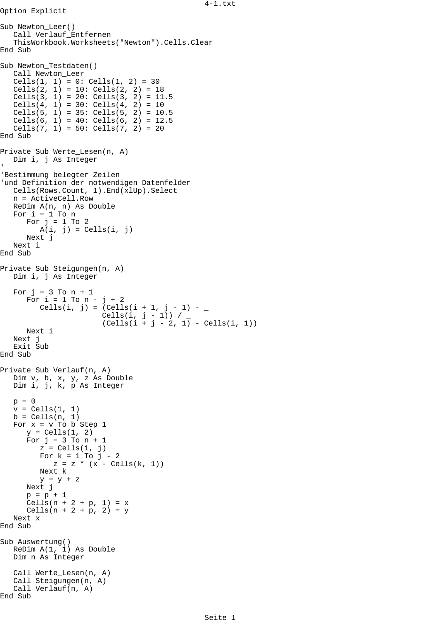```
Option Explicit
Sub Newton_Leer()
  Call Verlauf_Entfernen
  ThisWorkbook.Worksheets("Newton").Cells.Clear
End Sub
Sub Newton_Testdaten()
  Call Newton_Leer
  Cells(1, 1) = 0: Cells(1, 2) = 30Cells(2, 1) = 10: Cells(2, 2) = 18Cells(3, 1) = 20: Cells(3, 2) = 11.5
  Cells(4, 1) = 30: Cells(4, 2) = 10Cells(5, 1) = 35: Cells(5, 2) = 10.5
   Cells(6, 1) = 40: Cells(6, 2) = 12.5Cells(7, 1) = 50: Cells(7, 2) = 20
End Sub
Private Sub Werte_Lesen(n, A)
  Dim i, j As Integer
'Bestimmung belegter Zeilen
'und Definition der notwendigen Datenfelder
  Cells(Rows.Count, 1).End(xlUp).Select
  n = ActiveCell.Row
  ReDim A(n, n) As Double
  For i = 1 To n
     For j = 1 To 2
        A(i, j) = Cells(i, j)Next j
  Next i
End Sub
Private Sub Steigungen(n, A)
  Dim i, j As Integer
  For j = 3 To n + 1For i = 1 To n - j + 2Cells(i, j) = (Cells(i + 1, j - 1) -Cells(i, j - 1)) / \overline{\phantom{0}}(Cells(i + j - 2, 1) - Cells(i, 1))Next i
  Next j
  Exit Sub
End Sub
Private Sub Verlauf(n, A)
  Dim v, b, x, y, z As Double
  Dim i, j, k, p As Integer
  p = 0v = Cells(1, 1)b = Cells(n, 1)For x = v To b Step 1
     y = Cells(1, 2)For j = 3 To n + 1z = Cells(1, j)For k = 1 To j - 2z = z * (x - Cells(k, 1))Next k
        y = y + zNext j
     p = p + 1Cells(n + 2 + p, 1) = xCells(n + 2 + p, 2) = yNext x
End Sub
Sub Auswertung()
  ReDim A(1, 1) As Double
  Dim n As Integer
  Call Werte_Lesen(n, A)
  Call Steigungen(n, A)
  Call Verlauf(n, A)
End Sub
```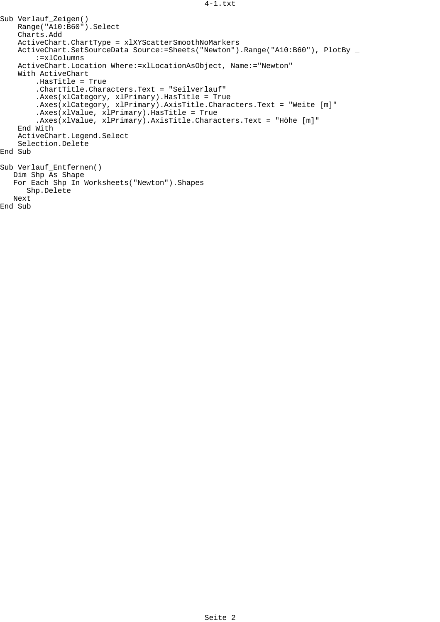```
Sub Verlauf_Zeigen()
   Range("A10:B60").Select
   Charts.Add
   ActiveChart.ChartType = xlXYScatterSmoothNoMarkers
   ActiveChart.SetSourceData Source:=Sheets("Newton").Range("A10:B60"), PlotBy _
       :=xlColumns
   ActiveChart.Location Where:=xlLocationAsObject, Name:="Newton"
   With ActiveChart
       .HasTitle = True
       .ChartTitle.Characters.Text = "Seilverlauf"
       .Axes(xlCategory, xlPrimary).HasTitle = True
       .Axes(xlCategory, xlPrimary).AxisTitle.Characters.Text = "Weite [m]"
       .Axes(xlValue, xlPrimary).HasTitle = True
       .Axes(xlValue, xlPrimary).AxisTitle.Characters.Text = "Höhe [m]"
   End With
   ActiveChart.Legend.Select
   Selection.Delete
End Sub
Sub Verlauf Entfernen()
  Dim Shp As Shape
  For Each Shp In Worksheets("Newton").Shapes
     Shp.Delete
  Next
End Sub
```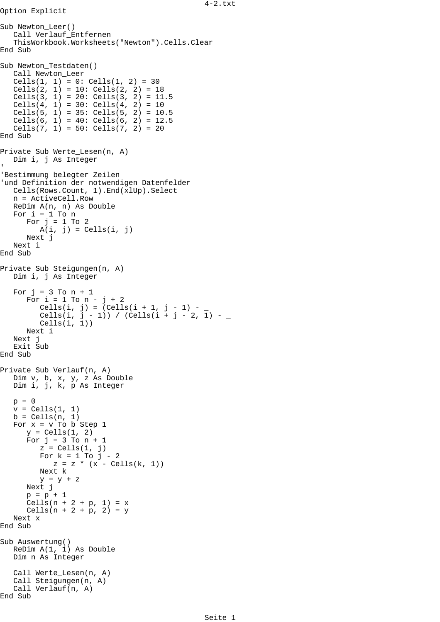```
Option Explicit
Sub Newton_Leer()
  Call Verlauf_Entfernen
  ThisWorkbook.Worksheets("Newton").Cells.Clear
End Sub
Sub Newton_Testdaten()
  Call Newton_Leer
  Cells(1, 1) = 0: Cells(1, 2) = 30Cells(2, 1) = 10: Cells(2, 2) = 18Cells(3, 1) = 20: Cells(3, 2) = 11.5
  Cells(4, 1) = 30: Cells(4, 2) = 10Cells(5, 1) = 35: Cells(5, 2) = 10.5
   Cells(6, 1) = 40: Cells(6, 2) = 12.5Cells(7, 1) = 50: Cells(7, 2) = 20
End Sub
Private Sub Werte_Lesen(n, A)
  Dim i, j As Integer
'Bestimmung belegter Zeilen
'und Definition der notwendigen Datenfelder
  Cells(Rows.Count, 1).End(xlUp).Select
  n = ActiveCell.Row
  ReDim A(n, n) As Double
  For i = 1 To n
     For j = 1 To 2
        A(i, j) = Cells(i, j)Next j
  Next i
End Sub
Private Sub Steigungen(n, A)
  Dim i, j As Integer
  For j = 3 To n + 1For i = 1 To n - j + 2Cells(i, j) = (Cells(i + 1, j - 1) -Cells(i, j - 1)) / (Cells(i + j - 2, 1) - _
         Cells(i, 1))
     Next i
  Next j
  Exit Sub
End Sub
Private Sub Verlauf(n, A)
  Dim v, b, x, y, z As Double
  Dim i, j, k, p As Integer
  p = 0v = Cells(1, 1)b = Cells(n, 1)For x = v To b Step 1
     y = Cells(1, 2)For j = 3 To n + 1z = Cells(1, j)For k = 1 To j - 2z = z * (x - Cells(k, 1))Next k
        y = y + zNext j
     p = p + 1
     Cells(n + 2 + p, 1) = xCells(n + 2 + p, 2) = yNext x
End Sub
Sub Auswertung()
  ReDim A(1, 1) As Double
  Dim n As Integer
  Call Werte_Lesen(n, A)
  Call Steigungen(n, A)
  Call Verlauf(n, A)
End Sub
```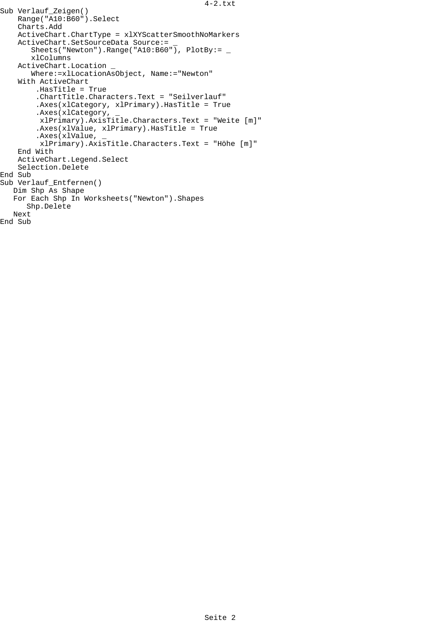```
4-2.txt
```

```
Sub Verlauf_Zeigen()
   Range("A10:B60").Select
   Charts.Add
   ActiveChart.ChartType = xlXYScatterSmoothNoMarkers
   ActiveChart.SetSourceData Source:= _
      Sheets("Newton").Range("A10:B60"), PlotBy:= \_xlColumns
   ActiveChart.Location _
      Where:=xlLocationAsObject, Name:="Newton"
   With ActiveChart
       .HasTitle = True
       .ChartTitle.Characters.Text = "Seilverlauf"
       .Axes(xlCategory, xlPrimary).HasTitle = True
       .Axes(xlCategory, _
        xlPrimary).AxisTitle.Characters.Text = "Weite [m]"
       .Axes(xlValue, xlPrimary).HasTitle = True
        .Axes(xlValue, _
        xlPrimary).AxisTitle.Characters.Text = "Höhe [m]"
   End With
   ActiveChart.Legend.Select
   Selection.Delete
End Sub
Sub Verlauf_Entfernen()
  Dim Shp As Shape
  For Each Shp In Worksheets("Newton").Shapes
     Shp.Delete
  Next
End Sub
```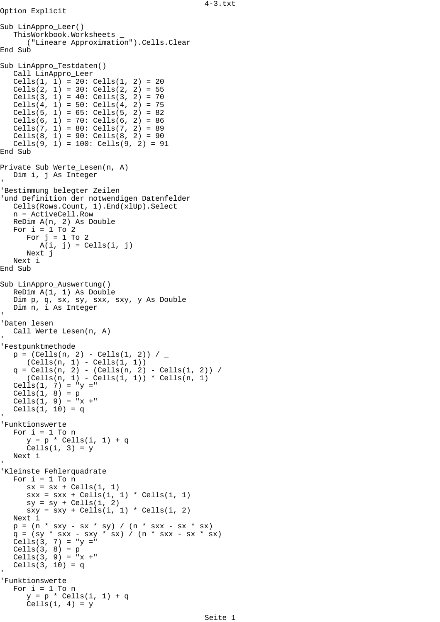```
Option Explicit
Sub LinAppro_Leer()
  ThisWorkbook.Worksheets _
     ("Lineare Approximation").Cells.Clear
End Sub
Sub LinAppro_Testdaten()
  Call LinAppro_Leer
  Cells(1, 1) = 20: Cells(1, 2) = 20Cells(2, 1) = 30: Cells(2, 2) = 55Cells(3, 1) = 40: Cells(3, 2) = 70
  Cells(4, 1) = 50: Cells(4, 2) = 75Cells(5, 1) = 65: Cells(5, 2) = 82Cells(6, 1) = 70: Cells(6, 2) = 86
   Cells(7, 1) = 80: Cells(7, 2) = 89
   Cells(8, 1) = 90: Cells(8, 2) = 90
   Cells(9, 1) = 100: Cells(9, 2) = 91
End Sub
Private Sub Werte Lesen(n, A)
 Dim i, j As Integer
'Bestimmung belegter Zeilen
'und Definition der notwendigen Datenfelder
  Cells(Rows.Count, 1).End(xlUp).Select
  n = ActiveCell.Row
  ReDim A(n, 2) As Double
  For i = 1 To 2For j = 1 To 2
        A(i, j) = Cells(i, j)Next j
  Next i
End Sub
Sub LinAppro_Auswertung()
  ReDim A(1, 1) As Double
  Dim p, q, sx, sy, sxx, sxy, y As Double
  Dim n, i As Integer
'Daten lesen
  Call Werte_Lesen(n, A)
'Festpunktmethode
  p = (Cells(n, 2) - Cells(1, 2)) /(Cells(n, 1) - Cells(1, 1))q = Cells(n, 2) - (Cells(n, 2) - Cells(1, 2)) / _
     (Cells(n, 1) - Cells(1, 1)) * Cells(n, 1)Cells(1, 7) = "y ="Cells(1, 8) = pCells(1, 9) = "x +"Cells(1, 10) = q
'Funktionswerte
  For i = 1 To ny = p * Cells(i, 1) + q
     Cells(i, 3) = yNext i
'Kleinste Fehlerquadrate
  For i = 1 To nsx = sx + Cells(i, 1)sxx = sxx + Cells(i, 1) * Cells(i, 1)sy = sy + Cells(i, 2)sxy = sxy + Cells(i, 1) * Cells(i, 2)Next i
  p = (n * sxy - sx * sy) / (n * sxx - sx * sx)q = (sy * sxx - sxy * sx) / (n * sxx - sx * sx)q - \sqrt{sy - sx} - sx<br>Cells(3, 7) = "y ="
  Cells(3, 8) = pCells(3, 9) = "x +"Cells(3, 10) = q'Funktionswerte
  For i = 1 To n
     y = p * Cells(i, 1) + q
     Cells(i, 4) = y
```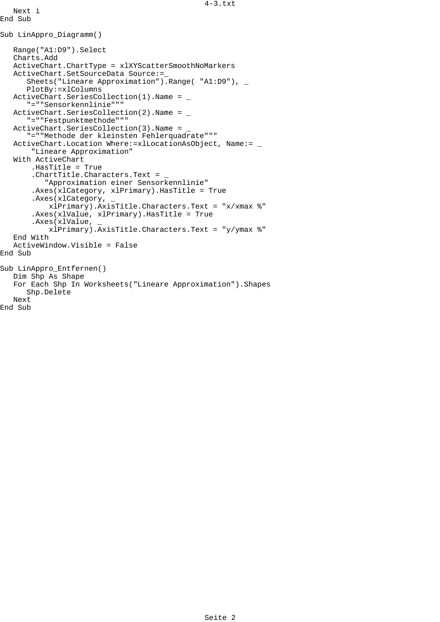```
Next i
End Sub
```

```
Sub LinAppro_Diagramm()
  Range("A1:D9").Select
  Charts.Add
  ActiveChart.ChartType = xlXYScatterSmoothNoMarkers
  ActiveChart.SetSourceData Source:=_
     Sheets("Lineare Approximation").Range( "A1:D9"), _
     PlotBy:=xlColumns
  ActiveChart.SeriesCollection(1).Name = _ 
      "=""Sensorkennlinie"""
  ActiveChart.SeriesCollection(2).Name = _ 
      "=""Festpunktmethode"""
  ActiveChart.SeriesCollection(3).Name =
      "=""Methode der kleinsten Fehlerquadrate"""
  ActiveChart.Location Where:=xlLocationAsObject, Name:= _
      "Lineare Approximation"
  With ActiveChart
      .HasTitle = True
       .ChartTitle.Characters.Text = _
          "Approximation einer Sensorkennlinie"
       .Axes(xlCategory, xlPrimary).HasTitle = True
       .Axes(xlCategory, _
          xlPrimary).AxisTitle.Characters.Text = "x/xmax %"
       .Axes(xlValue, xlPrimary).HasTitle = True
       .Axes(xlValue, _
          xlPrimary).AxisTitle.Characters.Text = "y/ymax %"
  End With
  ActiveWindow.Visible = False
End Sub
Sub LinAppro_Entfernen()
  Dim Shp As Shape
  For Each Shp In Worksheets("Lineare Approximation").Shapes
     Shp.Delete
  Next
End Sub
```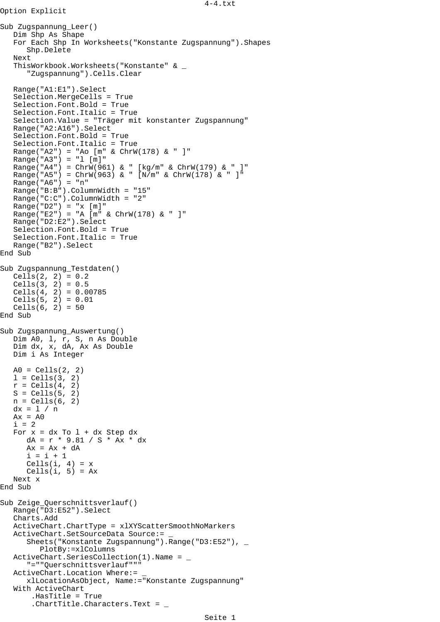```
Sub Zugspannung_Leer()
  Dim Shp As Shape
  For Each Shp In Worksheets("Konstante Zugspannung").Shapes
     Shp.Delete
  Next
  ThisWorkbook.Worksheets("Konstante" & _
     "Zugspannung").Cells.Clear
  Range("A1:E1").Select
  Selection.MergeCells = True
  Selection.Font.Bold = True
  Selection.Font.Italic = True
  Selection.Value = "Träger mit konstanter Zugspannung"
  Range("A2:A16").Select
  Selection.Font.Bold = True
  Selection.Font.Italic = True
  Range("A2") = "Ao [m" & ChrW(178) & " ]"
  Range("A3") = "1 [m]"Range("A4") = ChrW(961) & " [kg/m" & ChrW(179) & " ]"
  Range("A5") = ChrW(963) & " [N/m" & ChrW(178) & " ]"Range("A6") = "n"
  Range("B:B").ColumnWidth = "15"
  Range("C:C").ColumnWidth = "2"
  Range("D2") = "x [m]"
  Range("E2") = "A [m" & ChrW(178) & " ]"Range("D2:E2").Select
  Selection.Font.Bold = True
  Selection.Font.Italic = True
  Range("B2").Select
End Sub
Sub Zugspannung_Testdaten()
  Cells(2, 2) = 0.2Cells(3, 2) = 0.5Cells(4, 2) = 0.00785Cells(5, 2) = 0.01Cells(6, 2) = 50End Sub
Sub Zugspannung_Auswertung()
  Dim A0, l, r, S, n As Double
  Dim dx, x, dA, Ax As Double
  Dim i As Integer
  A0 = Cells(2, 2)l = \text{Cells}(3, 2)r = \text{Cells}(4, 2)S = Cells(5, 2)n = Cells(6, 2)
  dx = 1 / nAx = A0i = 2For x = dx To 1 + dx Step dxdA = r * 9.81 / S * Ax * dxAx = Ax + dAi = i + 1Cells(i, 4) = xCells(i, 5) = AxNext x
End Sub
Sub Zeige_Querschnittsverlauf()
  Range("D3:E52").Select
  Charts.Add
  ActiveChart.ChartType = xlXYScatterSmoothNoMarkers
  ActiveChart.SetSourceData Source:= _
     Sheets("Konstante Zugspannung").Range("D3:E52"), _ 
        PlotBy:=xlColumns
  ActiveChart.SeriesCollection(1).Name = _ 
      "=""Querschnittsverlauf"""
  ActiveChart.Location Where:= _ 
     xlLocationAsObject, Name:="Konstante Zugspannung"
  With ActiveChart
       .HasTitle = True
       .ChartTitle.Characters.Text = _
```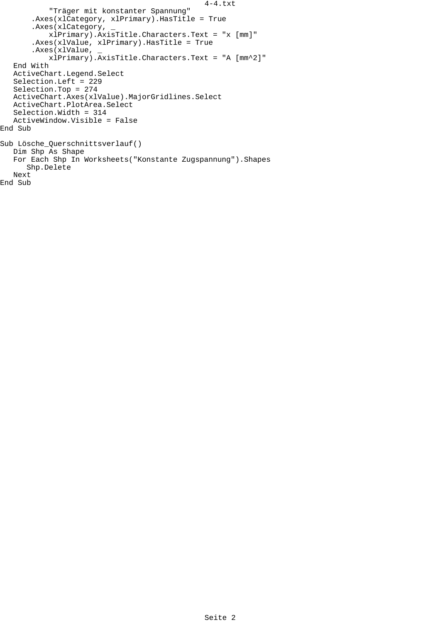```
4-4.txt
           "Träger mit konstanter Spannung"
       .Axes(xlCategory, xlPrimary).HasTitle = True
      .Axes(xlCategory,
          xlPrimary).AxisTitle.Characters.Text = "x [mm]"
       .Axes(xlValue, xlPrimary).HasTitle = True
       .Axes(xlValue, _ 
          xlPrimary).AxisTitle.Characters.Text = "A [mm^2]"
  End With
  ActiveChart.Legend.Select
  Selection.Left = 229
  Selection.Top = 274
  ActiveChart.Axes(xlValue).MajorGridlines.Select
  ActiveChart.PlotArea.Select
  Selection.Width = 314
  ActiveWindow.Visible = False
End Sub
Sub Lösche_Querschnittsverlauf()
  Dim Shp As Shape
  For Each Shp In Worksheets("Konstante Zugspannung").Shapes
     Shp.Delete
  Next
End Sub
```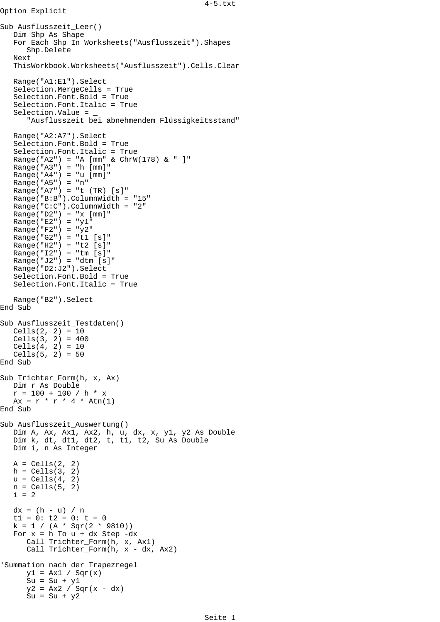```
Sub Ausflusszeit Leer()
  Dim Shp As Shape
  For Each Shp In Worksheets("Ausflusszeit").Shapes
     Shp.Delete
  Next
  ThisWorkbook.Worksheets("Ausflusszeit").Cells.Clear
  Range("A1:E1").Select
  Selection.MergeCells = True
  Selection.Font.Bold = True
  Selection.Font.Italic = True
  Selection.Value = _
      "Ausflusszeit bei abnehmendem Flüssigkeitsstand"
  Range("A2:A7").Select
  Selection.Font.Bold = True
  Selection.Font.Italic = True
  Range("A2") = "A [mm" \& ChrW(178) \& " ]"Range("A3") = "h [mm]"
  Range("A4") = "u [mm]"
  Range("A5") = "n"
  Range("A7") = "t (TR) [s]"
  Range("B:B").ColumnWidth = "15"
  Range("C:C").ColumnWidth = "2"
  Range("D2") = "x [mm]"Range("E2") = "y1"Range("F2") = "y2"Range("G2") = "t1 [s]"Range("H2") = "t2 [s]"
  Range("I2") = "tm [s]"Range("J2") = "dtm [s]"
  Range("D2:J2").Select
  Selection.Font.Bold = True
  Selection.Font.Italic = True
  Range("B2").Select
End Sub
Sub Ausflusszeit_Testdaten()
  Cells(2, 2) = 10Cells(3, 2) = 400Cells(4, 2) = 10Cells(5, 2) = 50End Sub
Sub Trichter_Form(h, x, Ax)
  Dim r As Double
  r = 100 + 100 / h * xAx = r * r * 4 * Atn(1)End Sub
Sub Ausflusszeit Auswertung()
  Dim A, Ax, Ax1, Ax2, h, u, dx, x, y1, y2 As Double
  Dim k, dt, dt1, dt2, t, t1, t2, Su As Double
  Dim i, n As Integer
  A = Cells(2, 2)h = Cells(3, 2)
  u = Cells(4, 2)n = Cells(5, 2)
  i = 2dx = (h - u) / nt1 = 0: t2 = 0: t = 0k = 1 / (A * Sqr(2 * 9810))For x = h To u + dx Step -dxCall Trichter_Form(h, x, Ax1)
     Call Trichter Form(h, x - dx, Ax2)
'Summation nach der Trapezregel
     y1 = Ax1 / Sqr(x)Su = Su + y1y2 = Ax2 / Sqr(x - dx)Su = Su + y2
```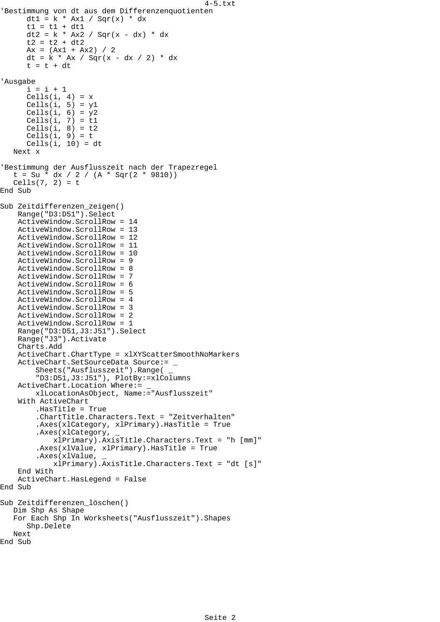```
4-5.txt
'Bestimmung von dt aus dem Differenzenquotienten
     dt1 = k * Ax1 / Sqr(x) * dx
     t1 = t1 + dt1dt2 = k * Ax2 / Sqr(x - dx) * dxt2 = t2 + dt2Ax = (Ax1 + Ax2) / 2dt = k * Ax / Sqr(x - dx / 2) * dx
     t = t + dt'Ausgabe
     i = i + 1Cells(i, 4) = xCells(i, 5) = y1Cells(i, 6) = y2Cells(i, 7) = t1Cells(i, 8) = t2Cells(i, 9) = t
     Cells(i, 10) = dtNext x
'Bestimmung der Ausflusszeit nach der Trapezregel
  t = Su * dx / 2 / (A * Sqr(2 * 9810))Cells(7, 2) = tEnd Sub
Sub Zeitdifferenzen_zeigen()
   Range("D3:D51").Select
   ActiveWindow.ScrollRow = 14
   ActiveWindow.ScrollRow = 13
   ActiveWindow.ScrollRow = 12
   ActiveWindow.ScrollRow = 11
   ActiveWindow.ScrollRow = 10
   ActiveWindow.ScrollRow = 9
   ActiveWindow.ScrollRow = 8
   ActiveWindow.ScrollRow = 7
   ActiveWindow.ScrollRow = 6
   ActiveWindow.ScrollRow = 5
   ActiveWindow.ScrollRow = 4
   ActiveWindow.ScrollRow = 3
   ActiveWindow.ScrollRow = 2
   ActiveWindow.ScrollRow = 1
   Range("D3:D51,J3:J51").Select
   Range("J3").Activate
   Charts.Add
   ActiveChart.ChartType = xlXYScatterSmoothNoMarkers
   ActiveChart.SetSourceData Source:= _ 
       Sheets("Ausflusszeit").Range( _
        "D3:D51,J3:J51"), PlotBy:=xlColumns
   ActiveChart.Location Where:= _ 
       xlLocationAsObject, Name:="Ausflusszeit"
   With ActiveChart
        .HasTitle = True
        .ChartTitle.Characters.Text = "Zeitverhalten"
        .Axes(xlCategory, xlPrimary).HasTitle = True
        .Axes(xlCategory, _
           xlPrimary).AxisTitle.Characters.Text = "h [mm]"
        .Axes(xlValue, xlPrimary).HasTitle = True
        .Axes(xlValue, _ 
           xlPrimary).AxisTitle.Characters.Text = "dt [s]"
   End With
   ActiveChart.HasLegend = False
End Sub
Sub Zeitdifferenzen_löschen()
  Dim Shp As Shape
  For Each Shp In Worksheets("Ausflusszeit").Shapes
     Shp.Delete
  Next
End Sub
```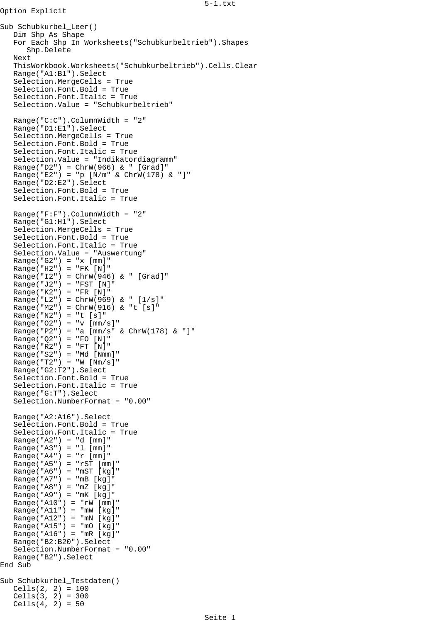```
Option Explicit
```

```
Sub Schubkurbel Leer()
  Dim Shp As Shape
  For Each Shp In Worksheets("Schubkurbeltrieb").Shapes
     Shp.Delete
  Next
  ThisWorkbook.Worksheets("Schubkurbeltrieb").Cells.Clear
  Range("A1:B1").Select
  Selection.MergeCells = True
  Selection.Font.Bold = True
  Selection.Font.Italic = True
  Selection.Value = "Schubkurbeltrieb"
  Range("C:C").ColumnWidth = "2"
  Range("D1:E1").Select
  Selection.MergeCells = True
  Selection.Font.Bold = True
  Selection.Font.Italic = True
  Selection.Value = "Indikatordiagramm"
  Range("D2") = ChrW(966) & " [Grad]"Range("E2") = "p [N/m" & ChrW(178) & "]"
  Range("D2:E2").Select
  Selection.Font.Bold = True
  Selection.Font.Italic = True
  Range("F:F").ColumnWidth = "2"
  Range("G1:H1").Select
  Selection.MergeCells = True
  Selection.Font.Bold = True
  Selection.Font.Italic = True
  Selection.Value = "Auswertung"
  Range("G2") = "x [mm]'
  Range("H2") = "FK[N]"
  Range("I2") = ChrW(946) & " [Grad]"
  Range("J2") = "FST [N]'Range("K2") = "FR [N]"
  Range("L2") = ChrW(969) & " [1/s]"
  Range("M2") = ChrW(916) & "t [s]"
  Range("N2") = "t [s]"
  Range("02") = "v [mm/s]"
  Range("P2") = "a [mm/s" & ChrW(178) & "]"
  Range("Q2") = "FO[N]"
  Range("R2") = "FT [N]"Range("S2") = "Md [Nmm]"
  Range("T2") = "W [Nm/s]"Range("G2:T2").Select
  Selection.Font.Bold = True
  Selection.Font.Italic = True
  Range("G:T").Select
  Selection.NumberFormat = "0.00"
  Range("A2:A16").Select
  Selection.Font.Bold = True
  Selection.Font.Italic = True
  Range("A2") = "d [mm]"
  Range("A3") = "l [mm]"
  Range("A4") = "r [mm]
  Range("A5") = "rST [mm]"
  Range("A6") = "mST [kg]"
  Range("A7") = "mB [kg]"
  Range("A8") = "mZ [kq]"
  Range("A9") = "mK [kg]"
  Range("A10") = "rW [mm]"
  Range("A11") = "mW [kg]"
  Range("A12") = "mN [kg]Range("A15") = "mO [kg]"
  Range("A16") = "mR [kg]"Range("B2:B20").Select
  Selection.NumberFormat = "0.00"
  Range("B2").Select
End Sub
Sub Schubkurbel_Testdaten()
   Cells(2, 2) = 100
   Cells(3, 2) = 300
  Cells(4, 2) = 50
```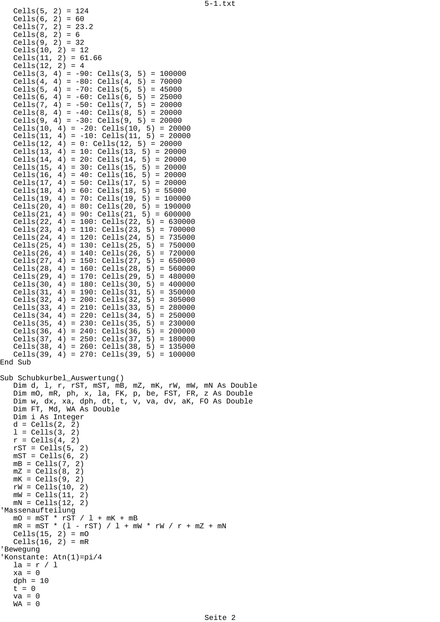5-1.txt Cells(5, 2) = 124  $Cells(6, 2) = 60$ Cells(7, 2) = 23.2  $Cells(8, 2) = 6$ Cells(9, 2) = 32 Cells(10, 2) = 12 Cells(11, 2) = 61.66 Cells(12, 2) = 4  $Cells(3, 4) = -90: Cells(3, 5) = 100000$  $Cells(4, 4) = -80: Cells(4, 5) = 70000$  $Cells(5, 4) = -70: Cells(5, 5) = 45000$  $Cells(6, 4) = -60: Cells(6, 5) = 25000$  $Cells(7, 4) = -50: Cells(7, 5) = 20000$  $Cells(8, 4) = -40: Cells(8, 5) = 20000$  $Cells(9, 4) = -30: Cells(9, 5) = 20000$ Cells(10, 4) = -20: Cells(10, 5) = 20000 Cells(11, 4) = -10: Cells(11, 5) = 20000  $Cells(12, 4) = 0: Cells(12, 5) = 20000$  $Cells(13, 4) = 10: Cells(13, 5) = 20000$  $Cells(14, 4) = 20: Cells(14, 5) = 20000$ Cells(15, 4) = 30: Cells(15, 5) = 20000  $Cells(16, 4) = 40: Cells(16, 5) = 20000$  $Cells(17, 4) = 50: Cells(17, 5) = 20000$ Cells(18, 4) = 60: Cells(18, 5) = 55000 Cells(19, 4) = 70: Cells(19, 5) = 100000 Cells(20, 4) = 80: Cells(20, 5) = 190000  $Cells(21, 4) = 90: Cells(21, 5) = 600000$ Cells(22, 4) = 100: Cells(22, 5) = 630000 Cells(23, 4) = 110: Cells(23, 5) = 700000 Cells(24, 4) = 120: Cells(24, 5) = 735000 Cells(25, 4) = 130: Cells(25, 5) = 750000 Cells(26, 4) = 140: Cells(26, 5) = 720000 Cells(27, 4) = 150: Cells(27, 5) = 650000  $Cells(28, 4) = 160: Cells(28, 5) = 560000$ Cells(29, 4) = 170: Cells(29, 5) = 480000 Cells(30, 4) = 180: Cells(30, 5) = 400000 Cells(31, 4) = 190: Cells(31, 5) = 350000 Cells(32, 4) = 200: Cells(32, 5) = 305000 Cells(33, 4) = 210: Cells(33, 5) = 280000 Cells(34, 4) = 220: Cells(34, 5) = 250000 Cells(35, 4) = 230: Cells(35, 5) = 230000 Cells(36, 4) = 240: Cells(36, 5) = 200000 Cells(37, 4) = 250: Cells(37, 5) = 180000 Cells(38, 4) = 260: Cells(38, 5) = 135000  $Cells(39, 4) = 270: Cells(39, 5) = 100000$ End Sub Sub Schubkurbel\_Auswertung() Dim d, l, r, rST, mST, mB, mZ, mK, rW, mW, mN As Double Dim mO, mR, ph, x, la, FK, p, be, FST, FR, z As Double Dim w, dx, xa, dph, dt, t, v, va, dv, aK, FO As Double Dim FT, Md, WA As Double Dim i As Integer  $d =$  Cells $(2, 2)$  $l = \text{Cells}(3, 2)$  $r = \text{Cells}(4, 2)$  $rST = Cells(5, 2)$  $mST = \text{Cells}(6, 2)$  $mB =$  Cells $(7, 2)$  $mZ =$  Cells(8, 2)  $mK =$  Cells(9, 2)  $rW = \text{Cells}(10, 2)$  $mW =$  Cells(11, 2)  $mN =$  Cells $(12, 2)$ 'Massenaufteilung  $mO = mST * rST / 1 + mK + mB$  $mR = mST$  \* (1 - rST) / 1 + mW \* rW / r + mZ + mN  $Cells(15, 2) = mO$  $Cells(16, 2) = mR$ 'Bewegung 'Konstante: Atn(1)=pi/4  $la = r / 1$  $xa = 0$  $dph = 10$  $t = 0$  $va = 0$  $WA = 0$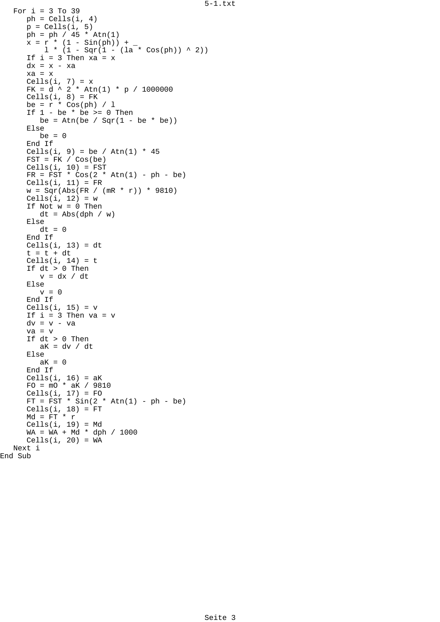```
5-1.txt
```

```
For i = 3 To 39
     ph = Cells(i, 4)
     p = Cells(i, 5)
     ph = ph / 45 * Atn(1)x = r * (1 - \sin(\phi h)) + \_1 * (1 - \sqrt{2})(1 - (\sqrt{2} * \cos(\pi))) \land 2)If i = 3 Then xa = xdx = x - xaxa = xCells(i, 7) = xFK = d ^ 2 * Atn(1) * p / 1000000
     Cells(i, 8) = FKbe = r * \text{Cos(ph)} / 1If 1 - be * be \ge 0 Then
        be = Atn(be / Sqr(1 - be * be))Else
        be = 0End If
     Cells(i, 9) = be / Atn(1) * 45FST = FK / Cos(be)Cells(i, 10) = FSTFR = FST * Cos(2 * Atn(1) - ph - be)Cells(i, 11) = FRw = Sqr(Abs(FR / (mR * r)) * 9810)Cells(i, 12) = wIf Not w = 0 Then
        dt = Abs(dph / w)Else
        dt = 0End If
     Cells(i, 13) = dtt = t + dtCells(i, 14) = tIf dt > 0 Then
        v = dx / dtElse
        v = 0End If
     Cells(i, 15) = vIf i = 3 Then va = vdv = v - vava = v
     If dt > 0 Then
        aK = dv / dtElse
        aK = 0End If
     Cells(i, 16) = AKFO = mO * aK / 9810Cells(i, 17) = FOFT = FST * Sin(2 * Atn(1) - ph - be)Cells(i, 18) = FTMd = FT * rCells(i, 19) = MdWA = WA + Md * dph / 1000Cells(i, 20) = WANext i
End Sub
```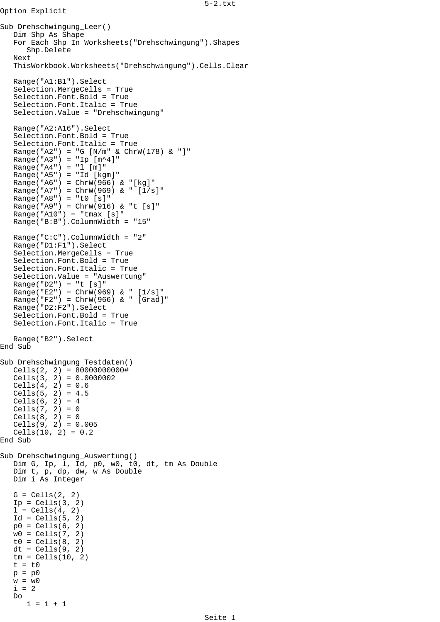```
Sub Drehschwingung_Leer()
  Dim Shp As Shape
  For Each Shp In Worksheets("Drehschwingung").Shapes
     Shp.Delete
  Next
  ThisWorkbook.Worksheets("Drehschwingung").Cells.Clear
  Range("A1:B1").Select
  Selection.MergeCells = True
  Selection.Font.Bold = True
  Selection.Font.Italic = True
  Selection.Value = "Drehschwingung"
  Range("A2:A16").Select
  Selection.Font.Bold = True
  Selection.Font.Italic = True
  Range("A2") = "G [N/m" \& ChrW(178) \& "]"
  Range("A3") = "Ip [m^4]"Range("A4") = "1 [m]"
  Range("A5") = "Id [kgm]"
  Range("A6") = ChrW(966) & "[kg]"
  Range("A7") = ChrW(969) & " [1/s]"
  Range("A8") = "t0 [s]"Range("A9") = ChrW(916) \& "t [s]"Range("A10") = "tmax [s]"Range("B:B").ColumnWidth = "15"
  Range("C:C").ColumnWidth = "2"
  Range("D1:F1").Select
  Selection.MergeCells = True
  Selection.Font.Bold = True
  Selection.Font.Italic = True
  Selection.Value = "Auswertung"
  Range("D2") = "t [s]"Range("E2") = ChrW(969) & " [1/s]"
  Range("F2") = ChrW(966) & " [Grad]"
  Range("D2:F2").Select
  Selection.Font.Bold = True
  Selection.Font.Italic = True
  Range("B2").Select
End Sub
Sub Drehschwingung Testdaten()
  Cells(2, 2) = 800000000000#Cells(3, 2) = 0.0000002Cells(4, 2) = 0.6Cells(5, 2) = 4.5Cells(6, 2) = 4Cells(7, 2) = 0Cells(8, 2) = 0Cells(9, 2) = 0.005Cells(10, 2) = 0.2End Sub
Sub Drehschwingung Auswertung()
  Dim G, Ip, l, Id, p0, w0, t0, dt, tm As Double
  Dim t, p, dp, dw, w As Double
  Dim i As Integer
  G = \text{Cells}(2, 2)IP = Cells(3, 2)l = \text{Cells}(4, 2)Id = Cells(5, 2)p0 = Cells(6, 2)
  w0 = \text{Cells}(7, 2)t0 = Cells(8, 2)
  dt =Cells(9, 2)tm = \text{Cells}(10, 2)t = t0p = p0w = w0i = 2Do
     i = i + 1
```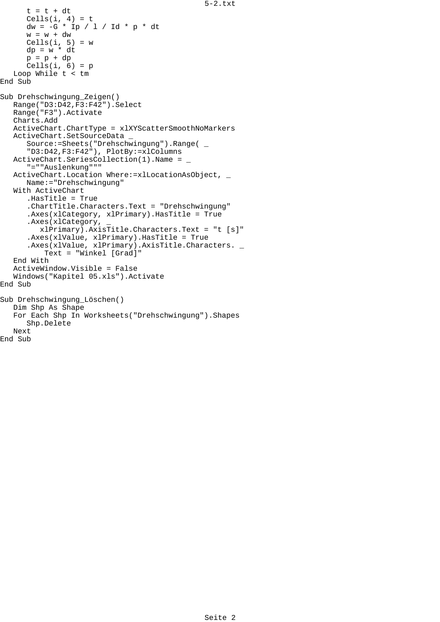```
5-2.txt
     t = t + dtCells(i, 4) = tdw = -G * Ip / 1 / Id * p * dt
     w = w + dwCells(i, 5) = wdp = w * dtp = p + dpCells(i, 6) = pLoop While t < tm
End Sub
Sub Drehschwingung_Zeigen()
  Range("D3:D42,F3:F42").Select
  Range("F3").Activate
  Charts.Add
  ActiveChart.ChartType = xlXYScatterSmoothNoMarkers
  ActiveChart.SetSourceData _
     Source:=Sheets("Drehschwingung").Range( _
     "D3:D42,F3:F42"), PlotBy:=xlColumns
  ActiveChart.SeriesCollection(1).Name = _
     "=""Auslenkung"""
  ActiveChart.Location Where:=xlLocationAsObject, _
     Name:="Drehschwingung"
  With ActiveChart
     .HasTitle = True
      .ChartTitle.Characters.Text = "Drehschwingung"
     .Axes(xlCategory, xlPrimary).HasTitle = True
     .Axes(xlCategory,
        xlPrimary).AxisTitle.Characters.Text = "t [s]"
      .Axes(xlValue, xlPrimary).HasTitle = True
      .Axes(xlValue, xlPrimary).AxisTitle.Characters. _
         Text = "Winkel [Grad]"
  End With
  ActiveWindow.Visible = False
  Windows("Kapitel 05.xls").Activate
End Sub
Sub Drehschwingung_Löschen()
  Dim Shp As Shape
  For Each Shp In Worksheets("Drehschwingung").Shapes
     Shp.Delete
  Next
End Sub
```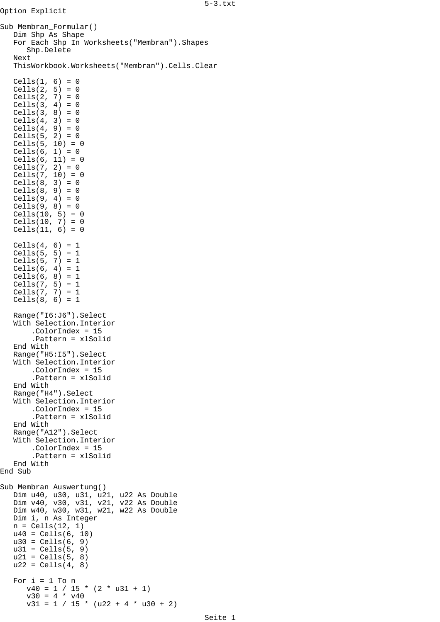```
Sub Membran_Formular()
  Dim Shp As Shape
  For Each Shp In Worksheets("Membran").Shapes
     Shp.Delete
  Next
  ThisWorkbook.Worksheets("Membran").Cells.Clear
  Cells(1, 6) = 0Cells(2, 5) = 0Cells(2, 7) = 0Cells(3, 4) = 0Cells(3, 8) = 0Cells(4, 3) = 0Cells(4, 9) = 0Cells(5, 2) = 0Cells(5, 10) = 0
  Cells(6, 1) = 0Cells(6, 11) = 0Cells(7, 2) = 0Cells(7, 10) = 0
  Cells(8, 3) = 0Cells(8, 9) = 0Cells(9, 4) = 0Cells(9, 8) = 0Cells(10, 5) = 0Cells(10, 7) = 0Cells(11, 6) = 0Cells(4, 6) = 1Cells(5, 5) = 1Cells(5, 7) = 1
   Cells(6, 4) = 1
  Cells(6, 8) = 1
  Cells(7, 5) = 1Cells(7, 7) = 1
  Cells(8, 6) = 1Range("I6:J6").Select
  With Selection.Interior
       .ColorIndex = 15
       .Pattern = xlSolid
  End With
  Range("H5:I5").Select
  With Selection.Interior
      .ColorIndex = 15
       .Pattern = xlSolid
  End With
  Range("H4").Select
  With Selection.Interior
       .ColorIndex = 15
       .Pattern = xlSolid
  End With
  Range("A12").Select
  With Selection.Interior
       .ColorIndex = 15
       .Pattern = xlSolid
  End With
End Sub
Sub Membran_Auswertung()
  Dim u40, u30, u31, u21, u22 As Double
  Dim v40, v30, v31, v21, v22 As Double
  Dim w40, w30, w31, w21, w22 As Double
  Dim i, n As Integer 
  n = Cells(12, 1)u40 = Cells(6, 10)
  u30 = Cells(6, 9)
  u31 = Cells(5, 9)
  u21 = Cells(5, 8)u22 = Cells(4, 8)For i = 1 To nv40 = 1 / 15 * (2 * u31 + 1)v30 = 4 * v40v31 = 1 / 15 * (u22 + 4 * u30 + 2)
```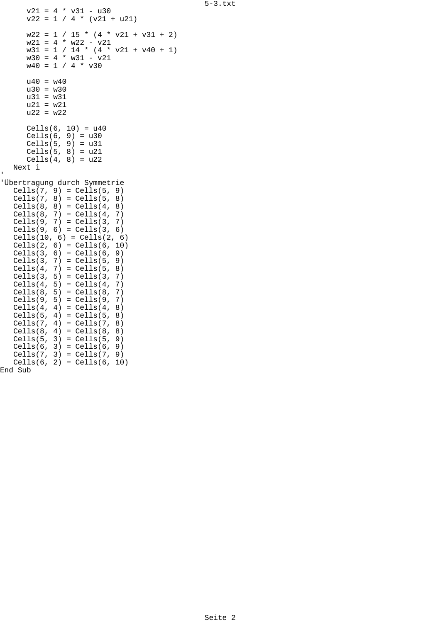```
v21 = 4 * v31 - u30v22 = 1 / 4 * (v21 + u21)w22 = 1 / 15 * (4 * v21 + v31 + 2)w21 = 4 * w22 - v21w31 = 1 / 14 * (4 * v21 + v40 + 1)w30 = 4 * w31 - v21w40 = 1 / 4 * v30u40 = w40u30 = w30u31 = w31u21 = w21u22 = w22Cells(6, 10) = u40
     Cells(6, 9) = u30
     Cells(5, 9) = u31Cells(5, 8) = u21Cells(4, 8) = u22Next i
'Übertragung durch Symmetrie
  Cells(7, 9) = Cells(5, 9)Cells(7, 8) = Cells(5, 8)Cells(8, 8) = Cells(4, 8)Cells(8, 7) = Cells(4, 7)Cells(9, 7) = Cells(3, 7)Cells(9, 6) = Cells(3, 6)Cells(10, 6) = Cells(2, 6)Cells(2, 6) = Cells(6, 10)Cells(3, 6) = Cells(6, 9)Cells(3, 7) = Cells(5, 9)Cells(4, 7) = Cells(5, 8)Cells(3, 5) = Cells(3, 7)Cells(4, 5) = Cells(4, 7)Cells(8, 5) = Cells(8, 7)Cells(9, 5) = Cells(9, 7)Cells(4, 4) = Cells(4, 8)Cells(5, 4) = Cells(5, 8)Cells(7, 4) = Cells(7, 8)Cells(8, 4) = Cells(8, 8)Cells(5, 3) = Cells(5, 9)Cells(6, 3) = Cells(6, 9)Cells(7, 3) = Cells(7, 9)Cells(6, 2) = Cells(6, 10)
```
End Sub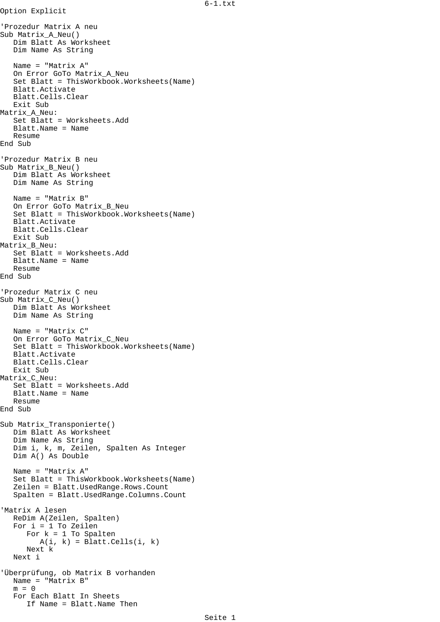```
Option Explicit
'Prozedur Matrix A neu
Sub Matrix_A_Neu()
  Dim Blatt As Worksheet
  Dim Name As String
  Name = "Matrix A"
  On Error GoTo Matrix_A_Neu
  Set Blatt = ThisWorkbook.Worksheets(Name)
  Blatt.Activate
  Blatt.Cells.Clear
  Exit Sub
Matrix_A_Neu:
  Set Blatt = Worksheets.Add
  Blatt.Name = Name
  Resume
End Sub
'Prozedur Matrix B neu
Sub Matrix B Neu()
  Dim Blatt As Worksheet
  Dim Name As String
  Name = "Matrix B"
  On Error GoTo Matrix_B_Neu
  Set Blatt = ThisWorkbook.Worksheets(Name)
  Blatt.Activate
  Blatt.Cells.Clear
  Exit Sub
Matrix_B_Neu:
  Set Blatt = Worksheets.Add
  Blatt.Name = Name
  Resume
End Sub
'Prozedur Matrix C neu
Sub Matrix_C_Neu()
  Dim Blatt As Worksheet
  Dim Name As String
  Name = "Matrix C"
  On Error GoTo Matrix_C_Neu
  Set Blatt = ThisWorkbook.Worksheets(Name)
  Blatt.Activate
  Blatt.Cells.Clear
  Exit Sub
Matrix_C_Neu:
  Set Blatt = Worksheets.Add
  Blatt.Name = Name
  Resume
End Sub
Sub Matrix Transponierte()
  Dim Blatt As Worksheet
  Dim Name As String
  Dim i, k, m, Zeilen, Spalten As Integer
  Dim A() As Double
  Name = "Matrix A"
  Set Blatt = ThisWorkbook.Worksheets(Name)
  Zeilen = Blatt.UsedRange.Rows.Count
  Spalten = Blatt.UsedRange.Columns.Count
'Matrix A lesen
  ReDim A(Zeilen, Spalten)
  For i = 1 To Zeilen
     For k = 1 To Spalten
        A(i, k) = Blatt.Cells(i, k)Next k
  Next i
'Überprüfung, ob Matrix B vorhanden
  Name = "Matrix B"
  m = 0For Each Blatt In Sheets
     If Name = Blatt.Name Then
```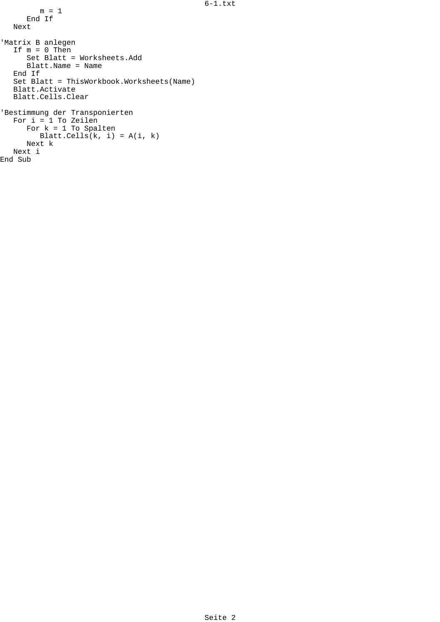```
6-1.txt
```

```
m = 1End If
  Next
'Matrix B anlegen
  If m = 0 Then
      Set Blatt = Worksheets.Add
      Blatt.Name = Name
  End If
  Set Blatt = ThisWorkbook.Worksheets(Name)
  Blatt.Activate
  Blatt.Cells.Clear
'Bestimmung der Transponierten
   For i = 1 To Zeilen
      For k = 1 To Spalten
         Blatt.Cells(k, i) = A(i, k)
     Next k
  Next i
End Sub
```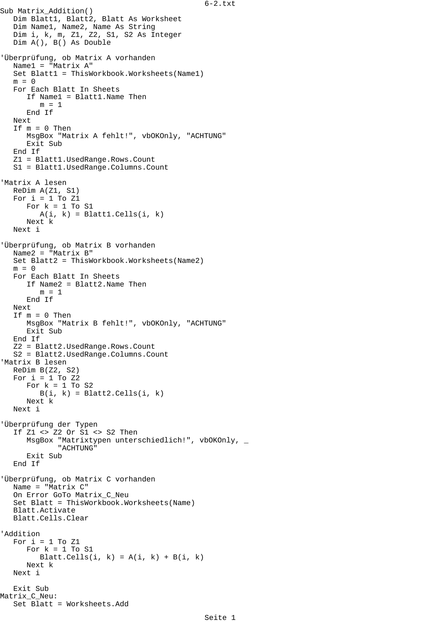```
Sub Matrix_Addition()
  Dim Blatt1, Blatt2, Blatt As Worksheet
  Dim Name1, Name2, Name As String
  Dim i, k, m, Z1, Z2, S1, S2 As Integer
  Dim A(), B() As Double
'Überprüfung, ob Matrix A vorhanden
  Name1 = "Matrix A"
  Set Blatt1 = ThisWorkbook.Worksheets(Name1)
  m = 0For Each Blatt In Sheets
     If Name1 = Blatt1.Name Then
        m = 1End If
  Next
  If m = 0 Then
     MsgBox "Matrix A fehlt!", vbOKOnly, "ACHTUNG"
     Exit Sub
  End If
  Z1 = Blatt1.UsedRange.Rows.Count
  S1 = Blatt1.UsedRange.Columns.Count
'Matrix A lesen
  ReDim A(Z1, S1)
  For i = 1 To Z1For k = 1 To S1
        A(i, k) = Blatt1.Cells(i, k)Next k
  Next i
'Überprüfung, ob Matrix B vorhanden
  Name2 = "Matrix B"
  Set Blatt2 = ThisWorkbook.Worksheets(Name2)
  m = 0For Each Blatt In Sheets
     If Name2 = Blatt2.Name Then
        m = 1End If
  Next
  If m = 0 Then
     MsgBox "Matrix B fehlt!", vbOKOnly, "ACHTUNG"
     Exit Sub
  End If
  Z2 = Blatt2.UsedRange.Rows.Count
  S2 = Blatt2.UsedRange.Columns.Count
'Matrix B lesen
  ReDim B(Z2, S2)
  For i = 1 To Z2For k = 1 To S2
        B(i, k) = Blatt2.Cells(i, k)Next k
  Next i
'Überprüfung der Typen
  If Z1 <> Z2 Or S1 <> S2 Then
     MsgBox "Matrixtypen unterschiedlich!", vbOKOnly, _ 
             "ACHTUNG"
     Exit Sub
  End If
'Überprüfung, ob Matrix C vorhanden
  Name = "Matrix C"
  On Error GoTo Matrix_C_Neu
  Set Blatt = ThisWorkbook.Worksheets(Name)
  Blatt.Activate
  Blatt.Cells.Clear
'Addition
  For i = 1 To Z1For k = 1 To S1Blatt.Cells(i, k) = A(i, k) + B(i, k)
     Next k
  Next i
  Exit Sub
Matrix_C_Neu:
  Set Blatt = Worksheets.Add
```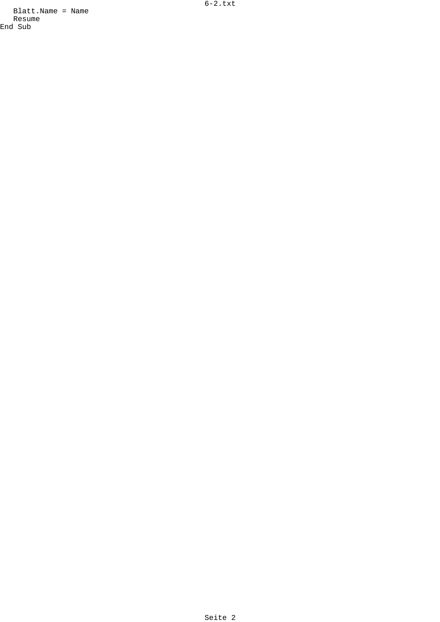Blatt.Name = Name Resume End Sub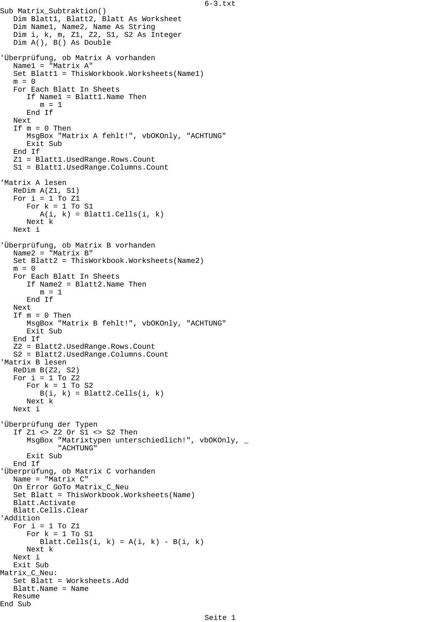```
Sub Matrix_Subtraktion()
  Dim Blatt1, Blatt2, Blatt As Worksheet
  Dim Name1, Name2, Name As String
  Dim i, k, m, Z1, Z2, S1, S2 As Integer
  Dim A(), B() As Double
'Überprüfung, ob Matrix A vorhanden
  Name1 = "Matrix A"
  Set Blatt1 = ThisWorkbook.Worksheets(Name1)
  m = 0For Each Blatt In Sheets
     If Name1 = Blatt1.Name Then
        m = 1End If
  Next
  If m = 0 Then
     MsgBox "Matrix A fehlt!", vbOKOnly, "ACHTUNG"
     Exit Sub
  End If
  Z1 = Blatt1.UsedRange.Rows.Count
  S1 = Blatt1.UsedRange.Columns.Count
'Matrix A lesen
  ReDim A(Z1, S1)
  For i = 1 To Z1For k = 1 To S1A(i, k) = Blatt1.Cells(i, k)Next k
  Next i
'Überprüfung, ob Matrix B vorhanden
  Name2 = "Matrix B"
  Set Blatt2 = ThisWorkbook.Worksheets(Name2)
  m = 0For Each Blatt In Sheets
     If Name2 = Blatt2.Name Then
        m = 1End If
  Next
  If m = 0 Then
     MsgBox "Matrix B fehlt!", vbOKOnly, "ACHTUNG"
     Exit Sub
  End If
  Z2 = Blatt2.UsedRange.Rows.Count
  S2 = Blatt2.UsedRange.Columns.Count
'Matrix B lesen
  ReDim B(Z2, S2)
  For i = 1 To Z2For k = 1 To S2
        B(i, k) = Blatt2.Cells(i, k)Next k
  Next i
'Überprüfung der Typen
  If Z1 <> Z2 Or S1 <> S2 Then
     MsgBox "Matrixtypen unterschiedlich!", vbOKOnly, _ 
             "ACHTUNG"
     Exit Sub
  End If
'Überprüfung, ob Matrix C vorhanden
  Name = "Matrix C"
  On Error GoTo Matrix C Neu
  Set Blatt = ThisWorkbook.Worksheets(Name)
  Blatt.Activate
  Blatt.Cells.Clear
'Addition
  For i = 1 To Z1For k = 1 To S1Blatt.Cells(i, k) = A(i, k) - B(i, k)
     Next k
  Next i
  Exit Sub
Matrix_C_Neu:
  Set Blatt = Worksheets.Add
  Blatt.Name = Name
  Resume
End Sub
```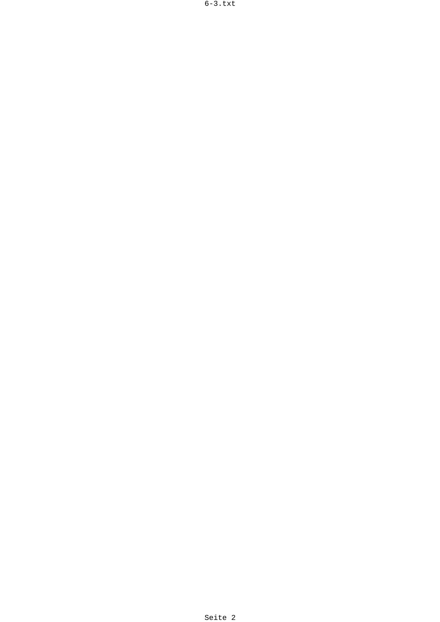Seite 2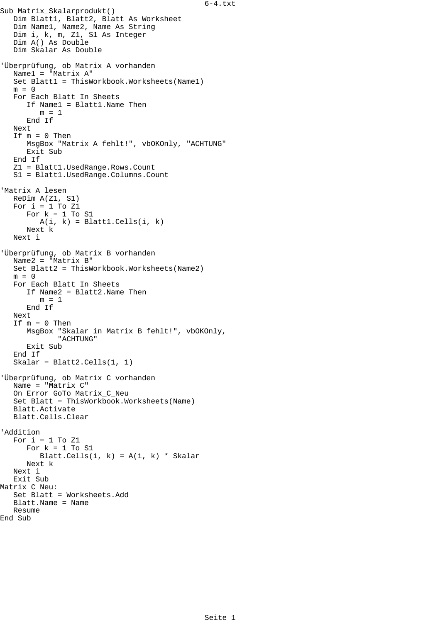```
Sub Matrix_Skalarprodukt()
  Dim Blatt1, Blatt2, Blatt As Worksheet
  Dim Name1, Name2, Name As String
  Dim i, k, m, Z1, S1 As Integer
  Dim A() As Double
  Dim Skalar As Double
'Überprüfung, ob Matrix A vorhanden
  Name1 = "Matrix A"
  Set Blatt1 = ThisWorkbook.Worksheets(Name1)
  m = 0For Each Blatt In Sheets
     If Name1 = Blatt1.Name Then
        m = 1End If
  Next
  If m = 0 Then
     MsgBox "Matrix A fehlt!", vbOKOnly, "ACHTUNG"
     Exit Sub
  End If
  Z1 = Blatt1.UsedRange.Rows.Count
  S1 = Blatt1.UsedRange.Columns.Count
'Matrix A lesen
  ReDim A(Z1, S1)
  For i = 1 To Z1For k = 1 To S1
        A(i, k) = Blatt1.Cells(i, k)Next k
  Next i
'Überprüfung, ob Matrix B vorhanden
  Name2 = "Matrix B"
  Set Blatt2 = ThisWorkbook.Worksheets(Name2)
  m = 0For Each Blatt In Sheets
     If Name2 = Blatt2.Name Then
        m = 1End If
  Next
  If m = 0 Then
     MsgBox "Skalar in Matrix B fehlt!", vbOKOnly, _ 
             "ACHTUNG"
     Exit Sub
  End If
  Skalar = Blatt2.Cells(1, 1)
'Überprüfung, ob Matrix C vorhanden
  Name = "Matrix C"
  On Error GoTo Matrix C Neu
  Set Blatt = ThisWorkbook.Worksheets(Name)
  Blatt.Activate
  Blatt.Cells.Clear
'Addition
  For i = 1 To Z1For k = 1 To S1Blatt.Cells(i, k) = A(i, k) * Skalar
     Next k
  Next i 
  Exit Sub
Matrix_C_Neu:
  Set Blatt = Worksheets.Add
  Blatt.Name = Name
  Resume
End Sub
```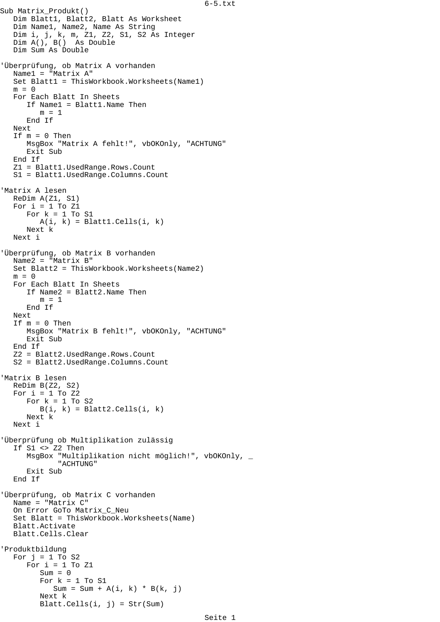```
Sub Matrix_Produkt()
  Dim Blatt1, Blatt2, Blatt As Worksheet
  Dim Name1, Name2, Name As String
  Dim i, j, k, m, Z1, Z2, S1, S2 As Integer
  Dim A(), B() As Double
  Dim Sum As Double
'Überprüfung, ob Matrix A vorhanden
  Name1 = "Matrix A"
  Set Blatt1 = ThisWorkbook.Worksheets(Name1)
  m = 0For Each Blatt In Sheets
     If Name1 = Blatt1.Name Then
        m = 1End If
  Next
  If m = 0 Then
     MsgBox "Matrix A fehlt!", vbOKOnly, "ACHTUNG"
     Exit Sub
  End If
  Z1 = Blatt1.UsedRange.Rows.Count
  S1 = Blatt1.UsedRange.Columns.Count
'Matrix A lesen
  ReDim A(Z1, S1)
  For i = 1 To Z1For k = 1 To S1
        A(i, k) = Blatt1.Cells(i, k)Next k
  Next i
'Überprüfung, ob Matrix B vorhanden
  Name2 = "Matrix B"
  Set Blatt2 = ThisWorkbook.Worksheets(Name2)
  m = 0For Each Blatt In Sheets
     If Name2 = Blatt2.Name Then
        m = 1End If
  Next
  If m = 0 Then
     MsgBox "Matrix B fehlt!", vbOKOnly, "ACHTUNG"
     Exit Sub
  End If
  Z2 = Blatt2.UsedRange.Rows.Count
  S2 = Blatt2.UsedRange.Columns.Count
'Matrix B lesen
  ReDim B(Z2, S2)
  For i = 1 To Z2For k = 1 To S2
        B(i, k) = Blatt2.Cells(i, k)Next k
  Next i
'Überprüfung ob Multiplikation zulässig
  If S1 <> Z2 Then
     MsgBox "Multiplikation nicht möglich!", vbOKOnly, _ 
             "ACHTUNG"
     Exit Sub
  End If
'Überprüfung, ob Matrix C vorhanden
  Name = "Matrix C"
  On Error GoTo Matrix_C_Neu
  Set Blatt = ThisWorkbook.Worksheets(Name)
  Blatt.Activate
  Blatt.Cells.Clear
'Produktbildung
  For j = 1 To S2
     For i = 1 To Z1Sum = 0For k = 1 To S1Sum = Sum + A(i, k) * B(k, j)Next k
        Blatt.Cells(i, j) = Str(Sum)
```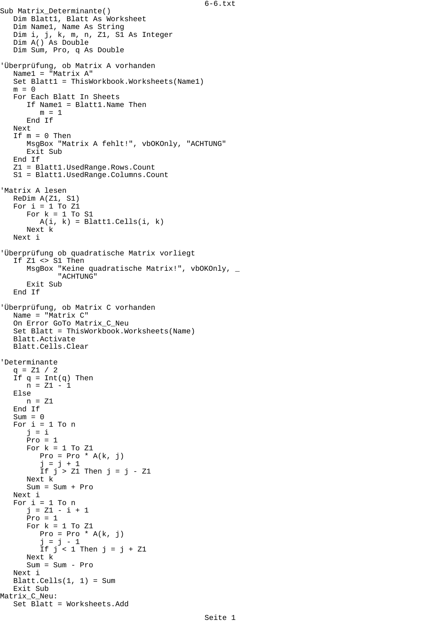```
Sub Matrix_Determinante()
  Dim Blatt1, Blatt As Worksheet
  Dim Name1, Name As String
  Dim i, j, k, m, n, Z1, S1 As Integer
  Dim A() As Double
  Dim Sum, Pro, q As Double
'Überprüfung, ob Matrix A vorhanden
  Name1 = "Matrix A"
  Set Blatt1 = ThisWorkbook.Worksheets(Name1)
  m = 0For Each Blatt In Sheets
     If Name1 = Blatt1.Name Then
        m = 1End If
  Next
  If m = 0 Then
     MsgBox "Matrix A fehlt!", vbOKOnly, "ACHTUNG"
     Exit Sub
  End If
  Z1 = Blatt1.UsedRange.Rows.Count
  S1 = Blatt1.UsedRange.Columns.Count
'Matrix A lesen
  ReDim A(Z1, S1)
  For i = 1 To Z1For k = 1 To S1
        A(i, k) = Blatt1.Cells(i, k)Next k
  Next i
'Überprüfung ob quadratische Matrix vorliegt
  If Z1 <> S1 Then
     MsgBox "Keine quadratische Matrix!", vbOKOnly, _ 
             "ACHTUNG"
     Exit Sub
  End If
'Überprüfung, ob Matrix C vorhanden
  Name = "Matrix C"
  On Error GoTo Matrix_C_Neu
  Set Blatt = ThisWorkbook.Worksheets(Name)
  Blatt.Activate
  Blatt.Cells.Clear
'Determinante
  q = Z1 / 2If q = Int(q) Then
     n = Z1 - 1
  Else
     n = 21End If
  Sum = 0For i = 1 To n
     j = iPro = 1For k = 1 To Z1Pro = Pro * A(k, j)j = j + 1If j > 21 Then j = j - 21Next k
     Sum = Sum + Pro
  Next i
  For i = 1 To n
     j = Z1 - i + 1Pro = 1For k = 1 To Z1Pro = Pro * A(k, j)j = j - 1If j < 1 Then j = j + Z1Next k
     Sum = Sum - Pro
  Next i
  Blatt.Cells(1, 1) = Sum
  Exit Sub
Matrix_C_Neu:
  Set Blatt = Worksheets.Add
```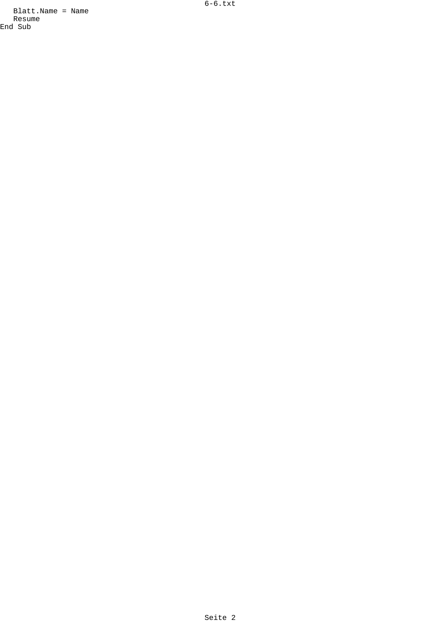Blatt.Name = Name Resume End Sub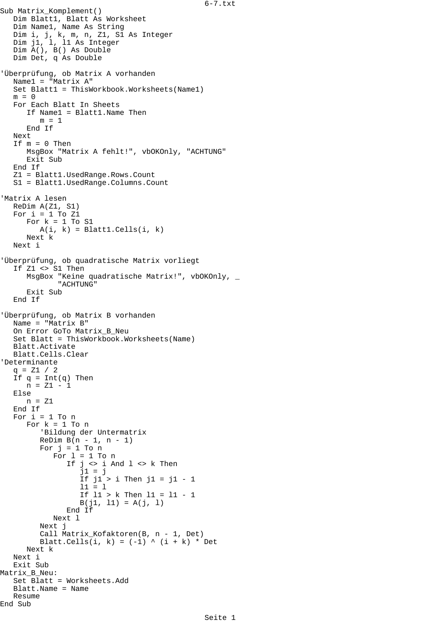Sub Matrix\_Komplement() Dim Blatt1, Blatt As Worksheet Dim Name1, Name As String Dim i, j, k, m, n, Z1, S1 As Integer Dim j1, l, l1 As Integer Dim A(), B() As Double Dim Det, q As Double 'Überprüfung, ob Matrix A vorhanden Name1 = "Matrix A" Set Blatt1 = ThisWorkbook.Worksheets(Name1)  $m = 0$ For Each Blatt In Sheets If Name1 = Blatt1.Name Then  $m = 1$ End If Next If  $m = 0$  Then MsgBox "Matrix A fehlt!", vbOKOnly, "ACHTUNG" Exit Sub End If Z1 = Blatt1.UsedRange.Rows.Count S1 = Blatt1.UsedRange.Columns.Count 'Matrix A lesen ReDim A(Z1, S1) For  $i = 1$  To  $Z1$ For  $k = 1$  To  $S1$  $A(i, k) = Blatt1.Cells(i, k)$ Next k Next i 'Überprüfung, ob quadratische Matrix vorliegt If Z1 <> S1 Then MsgBox "Keine quadratische Matrix!", vbOKOnly, \_ "ACHTUNG" Exit Sub End If 'Überprüfung, ob Matrix B vorhanden Name = "Matrix B" On Error GoTo Matrix\_B\_Neu Set Blatt = ThisWorkbook.Worksheets(Name) Blatt.Activate Blatt.Cells.Clear 'Determinante  $q = Z1 / 2$ If  $q = Int(q)$  Then n = Z1 - 1 Else n = Z1 End If For  $i = 1$  To n For  $k = 1$  To  $n$ 'Bildung der Untermatrix ReDim  $B(n - 1, n - 1)$ For  $j = 1$  To n For  $l = 1$  To n If  $j \iff i$  And  $l \iff k$  Then j1 = j If  $j1 > i$  Then  $j1 = j1 - 1$ l1 = l If l1 > k Then l1 = l1 - 1  $B(j1, 11) = A(j, 1)$ End If Next l Next j Call Matrix\_Kofaktoren(B, n - 1, Det) Blatt.Cells(i, k) =  $(-1)$  ^ (i + k) \* Det Next k Next i Exit Sub Matrix\_B\_Neu: Set Blatt = Worksheets.Add Blatt.Name = Name Resume End Sub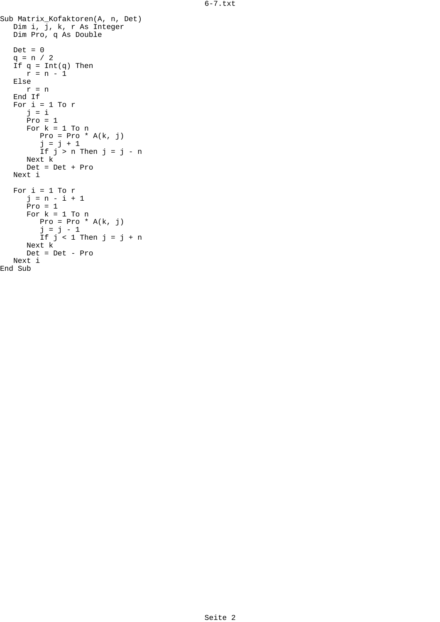```
Sub Matrix_Kofaktoren(A, n, Det)
  Dim i, j, k, r As Integer
  Dim Pro, q As Double
  Det = 0q = n / 2
  If q = Int(q) Then
   r = n - 1Else
    r = nEnd If
  For i = 1 To r
     j = i
     Pro = 1For k = 1 To n
        Pro = Pro * A(k, j)j = j + 1If j > n Then j = j - n
     Next k
     Det = Det + Pro
  Next i
  For i = 1 To r
     j = n - i + 1
     Pro = 1For k = 1 To n
       Pro = Pro * A(k, j)j = j - 1If j < 1 Then j = j + nNext k
     Det = Det - Pro
  Next i
End Sub
```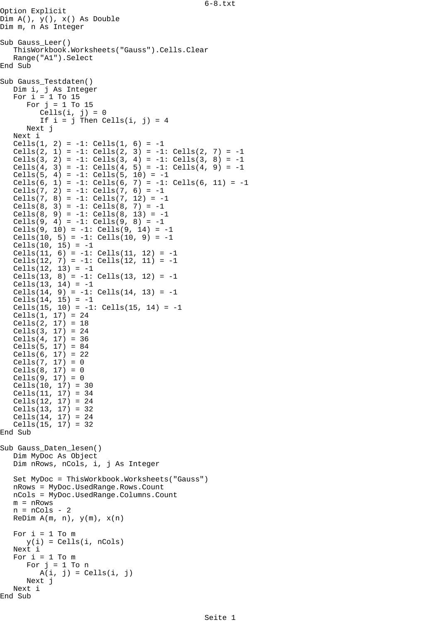```
Option Explicit
Dim A(), y(), x() As Double
Dim m, n As Integer
Sub Gauss_Leer()
  ThisWorkbook.Worksheets("Gauss").Cells.Clear
  Range("A1").Select
End Sub
Sub Gauss_Testdaten()
  Dim i, j As Integer
  For i = 1 To 15
     For j = 1 To 15Cells(i, j) = 0If i = j Then Cells(i, j) = 4
     Next j
  Next i
  Cells(1, 2) = -1: Cells(1, 6) = -1Cells(2, 1) = -1: Cells(2, 3) = -1: Cells(2, 7) = -1Cells(3, 2) = -1: Cells(3, 4) = -1: Cells(3, 8) = -1Cells(4, 3) = -1: Cells(4, 5) = -1: Cells(4, 9) = -1Cells(5, 4) = -1: Cells(5, 10) = -1Cells(6, 1) = -1: Cells(6, 7) = -1: Cells(6, 11) = -1Cells(7, 2) = -1: Cells(7, 6) = -1Cells(7, 8) = -1: Cells(7, 12) = -1Cells(8, 3) = -1: Cells(8, 7) = -1Cells(8, 9) = -1: Cells(8, 13) = -1Cells(9, 4) = -1: Cells(9, 8) = -1Cells(9, 10) = -1: Cells(9, 14) = -1Cells(10, 5) = -1: Cells(10, 9) = -1Cells(10, 15) = -1Cells(11, 6) = -1: Cells(11, 12) = -1Cells(12, 7) = -1: Cells(12, 11) = -1 
   Cells(12, 13) = -1Cells(13, 8) = -1: Cells(13, 12) = -1Cells(13, 14) = -1Cells(14, 9) = -1: Cells(14, 13) = -1Cells(14, 15) = -1Cells(15, 10) = -1: Cells(15, 14) = -1Cells(1, 17) = 24
   Cells(2, 17) = 18
   Cells(3, 17) = 24
  Cells(4, 17) = 36Cells(5, 17) = 84
  Cells(6, 17) = 22
  Cells(7, 17) = 0Cells(8, 17) = 0Cells(9, 17) = 0Cells(10, 17) = 30
   Cells(11, 17) = 34
   Cells(12, 17) = 24
  Cells(13, 17) = 32
  Cells(14, 17) = 24
  Cells(15, 17) = 32
End Sub
Sub Gauss_Daten_lesen()
  Dim MyDoc As Object
  Dim nRows, nCols, i, j As Integer
  Set MyDoc = ThisWorkbook.Worksheets("Gauss")
  nRows = MyDoc.UsedRange.Rows.Count
  nCols = MyDoc.UsedRange.Columns.Count
  m = nRows
  n = nCols - 2ReDim A(m, n), y(m), x(n)For i = 1 To my(i) = Cells(i, nCols)Next i
  For i = 1 To mFor j = 1 To nA(i, j) = Cells(i, j)Next j
  Next i
End Sub
```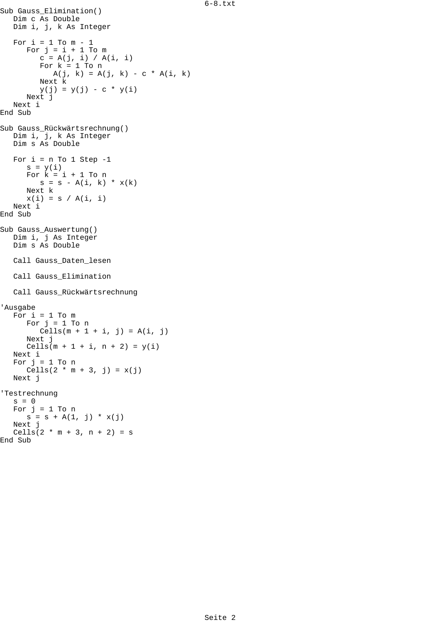```
Sub Gauss_Elimination()
  Dim c As Double
  Dim i, j, k As Integer
  For i = 1 To m - 1For j = i + 1 To mc = A(j, i) / A(i, i)For k = 1 To n
           A(j, k) = A(j, k) - c * A(i, k)Next k
        y(j) = y(j) - c * y(i)Next j
  Next i
End Sub
Sub Gauss_Rückwärtsrechnung()
  Dim i, j, k As Integer
  Dim s As Double
  For i = n To 1 Step -1s = y(i)For k = i + 1 To n
        s = s - A(i, k) * x(k)Next k
     x(i) = s / A(i, i)Next i
End Sub
Sub Gauss_Auswertung()
  Dim i, j As Integer
  Dim s As Double
  Call Gauss_Daten_lesen
  Call Gauss_Elimination
  Call Gauss_Rückwärtsrechnung
'Ausgabe
  For i = 1 To mFor j = 1 To nCells(m + 1 + i, j) = A(i, j)Next j
     Cells(m + 1 + i, n + 2) = y(i)Next i
  For j = 1 To n
     Cells(2 * m + 3, j) = x(j)Next j
'Testrechnung
  s = 0For j = 1 To n
    s = s + A(1, j) * x(j)Next j
  Cells(2 * m + 3, n + 2) = sEnd Sub
```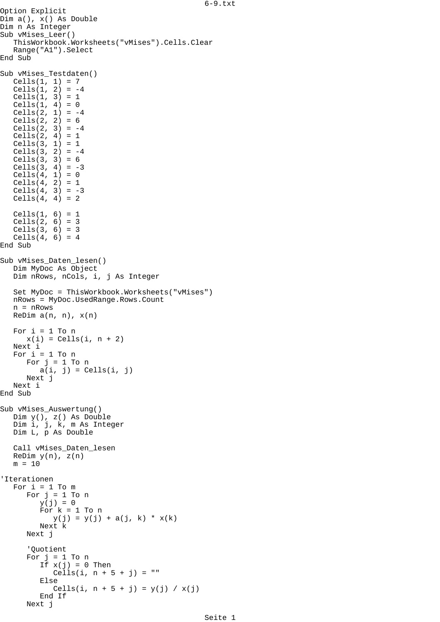```
Option Explicit
Dim a(), x() As Double
Dim n As Integer
Sub vMises_Leer()
  ThisWorkbook.Worksheets("vMises").Cells.Clear
  Range("A1").Select
End Sub
Sub vMises_Testdaten()
  Cells(1, 1) = 7Cells(1, 2) = -4Cells(1, 3) = 1Cells(1, 4) = 0Cells(2, 1) = -4Cells(2, 2) = 6
   Cells(2, 3) = -4Cells(2, 4) = 1Cells(3, 1) = 1
  Cells(3, 2) = -4Cells(3, 3) = 6Cells(3, 4) = -3Cells(4, 1) = 0Cells(4, 2) = 1
   Cells(4, 3) = -3Cells(4, 4) = 2Cells(1, 6) = 1Cells(2, 6) = 3Cells(3, 6) = 3Cells(4, 6) = 4End Sub
Sub vMises Daten lesen()
  Dim MyDoc As Object
  Dim nRows, nCols, i, j As Integer
  Set MyDoc = ThisWorkbook.Worksheets("vMises")
  nRows = MyDoc.UsedRange.Rows.Count
  n = nRows
  ReDim a(n, n), x(n)
  For i = 1 To n
    x(i) = Cells(i, n + 2)Next i
  For i = 1 To n
     For j = 1 To na(i, j) = Cells(i, j)Next j
  Next i
End Sub
Sub vMises_Auswertung()
  Dim y(), z() As Double
  Dim i, j, k, m As Integer
  Dim L, p As Double
  Call vMises_Daten_lesen
  ReDim y(n), z(n)m = 10
'Iterationen
  For i = 1 To mFor j = 1 To ny(j) = 0For k = 1 To ny(j) = y(j) + a(j, k) * x(k)Next k
     Next j
      'Quotient
     For j = 1 To n
        If x(j) = 0 Then
           Cells(i, n + 5 + j) = ""Else
           Cells(i, n + 5 + j) = y(j) / x(j)End If
     Next j
```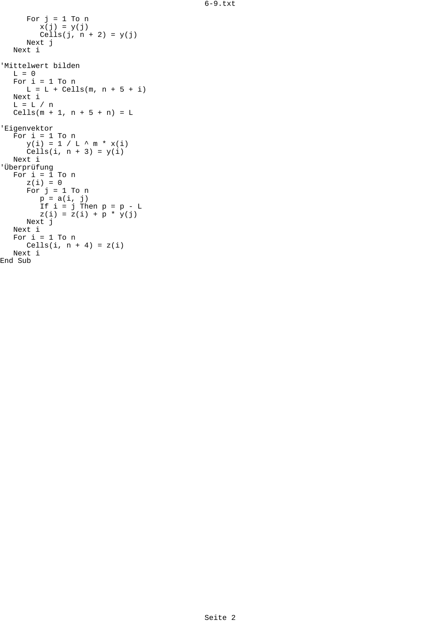```
For j = 1 To n
        x(j) = y(j)Cells(j, n + 2) = y(j)Next j
  Next i
'Mittelwert bilden
  L = 0For i = 1 To n
    L = L + Cells(m, n + 5 + i)Next i
  L = L / nCells(m + 1, n + 5 + n) = L'Eigenvektor
  For i = 1 To ny(i) = 1 / L \land m * x(i)Cells(i, n + 3) = y(i)Next i
'Überprüfung
  For i = 1 To nz(i) = 0For j = 1 To n
        p = a(i, j)
        If i = j Then p = p - Lz(i) = z(i) + p * y(j)Next j
  Next i
  For i = 1 To nCells(i, n + 4) = z(i)Next i
End Sub
```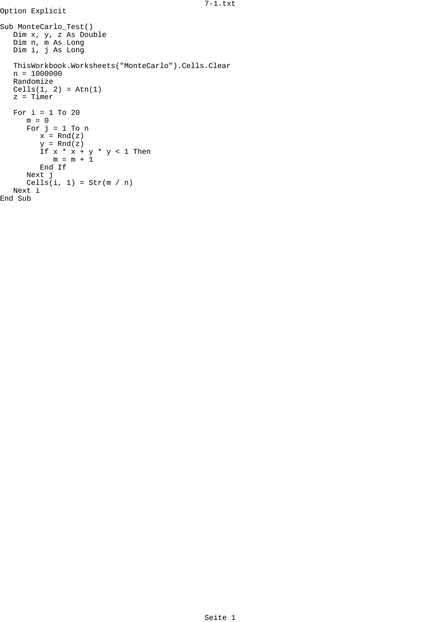```
Option Explicit
```

```
Sub MonteCarlo_Test()
   Dim x, y, z As Double
   Dim n, m As Long
  Dim i, j As Long
  ThisWorkbook.Worksheets("MonteCarlo").Cells.Clear
  n = 1000000Randomize
  Cells(1, 2) = Atn(1)z = Timer
  For i = 1 To 20
     m = 0For j = 1 To n
         x = \text{Rnd}(z)y = \text{Rnd}(z)If x * x + y * y < 1 Then
            m = m + 1
        End If
     Next j
     Cells(i, 1) = Str(m / n)Next i
End Sub
```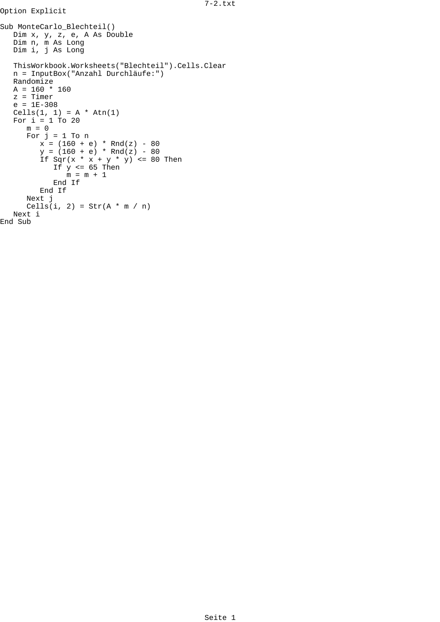```
Option Explicit
Sub MonteCarlo_Blechteil()
   Dim x, y, z, e, A As Double
   Dim n, m As Long
   Dim i, j As Long
   ThisWorkbook.Worksheets("Blechteil").Cells.Clear
   n = InputBox("Anzahl Durchläufe:")
   Randomize
   A = 160 * 160z = Timer
   e = 1E-308Cells(1, 1) = A * Atn(1)For i = 1 To 20
        m = 0For j = 1 To nx = (160 + e) * \text{Rnd}(z) - 80y = (160 + e) * Rnd(z) - 80Y = (100 + 6) \frac{100}{15} \frac{100}{25} \frac{100}{25} \frac{100}{25} \frac{100}{25} \frac{100}{25} \frac{100}{25} \frac{100}{25} \frac{100}{25} \frac{100}{25} \frac{100}{25} \frac{100}{25} \frac{100}{25} \frac{100}{25} \frac{100}{25} \frac{100}{25} 
                If y \le 65 Then
                  m = m + 1End If
            End If
        Next j
        Cells(i, 2) = Str(A * m / n)Next i
End Sub
```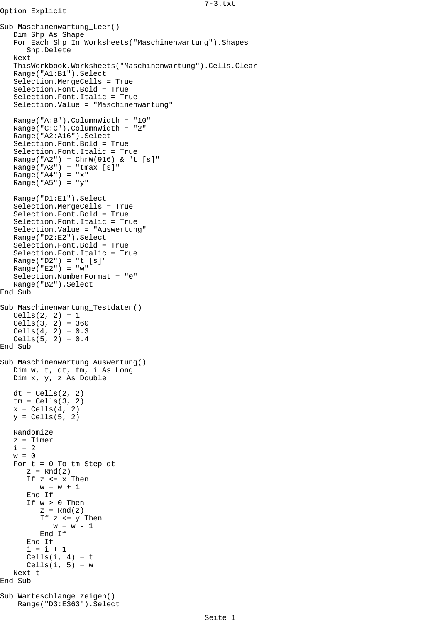```
Option Explicit
```

```
Sub Maschinenwartung_Leer()
  Dim Shp As Shape
  For Each Shp In Worksheets("Maschinenwartung").Shapes
     Shp.Delete
  Next
  ThisWorkbook.Worksheets("Maschinenwartung").Cells.Clear
  Range("A1:B1").Select
  Selection.MergeCells = True
  Selection.Font.Bold = True
  Selection.Font.Italic = True
  Selection.Value = "Maschinenwartung"
  Range("A:B").ColumnWidth = "10"
  Range("C:C").ColumnWidth = "2"
  Range("A2:A16").Select
  Selection.Font.Bold = True
  Selection.Font.Italic = True
  Range("A2") = ChrW(916) & "t [s]"Range("A3") = "tmax [s]"
  Range("A4") = "x"Range("AS") = "y"Range("D1:E1").Select
  Selection.MergeCells = True
  Selection.Font.Bold = True
  Selection.Font.Italic = True
  Selection.Value = "Auswertung"
  Range("D2:E2").Select
  Selection.Font.Bold = True
  Selection.Font.Italic = True
  Range("D2") = "t [s]'
  Range("E2") = "\overline{w}"
  Selection.NumberFormat = "0"
  Range("B2").Select
End Sub
Sub Maschinenwartung_Testdaten()
  Cells(2, 2) = 1Cells(3, 2) = 360
   Cells(4, 2) = 0.3Cells(5, 2) = 0.4End Sub
Sub Maschinenwartung Auswertung()
  Dim w, t, dt, tm, i As Long
  Dim x, y, z As Double
   dt =Cells(2, 2)tm = Cells(3, 2)x = \text{Cells}(4, 2)y = Cells(5, 2)
  Randomize
  z = Timer
  i = 2w = 0For t = 0 To tm Step dtz = \text{Rnd}(z)If z <= x Then
        w = w + 1End If
     If w > 0 Then
         z = \text{Rnd}(z)If z \le y Then
           w = w - 1End If
     End If
     i = i + 1Cells(i, 4) = tCells(i, 5) = wNext t
End Sub
Sub Warteschlange_zeigen()
   Range("D3:E363").Select
```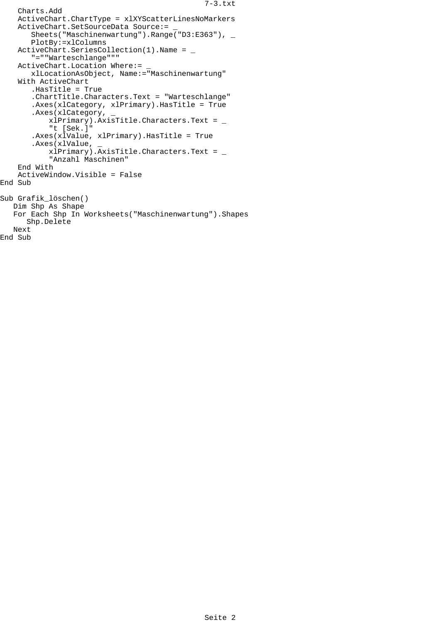```
7-3.txt
```

```
Charts.Add
   ActiveChart.ChartType = xlXYScatterLinesNoMarkers
   ActiveChart.SetSourceData Source:= _ 
       Sheets("Maschinenwartung").Range("D3:E363"), _ 
      PlotBy:=xlColumns
   ActiveChart.SeriesCollection(1).Name = _ 
       "=""Warteschlange"""
   ActiveChart.Location Where:= _ 
      xlLocationAsObject, Name:="Maschinenwartung"
   With ActiveChart
      .HasTitle = True
       .ChartTitle.Characters.Text = "Warteschlange"
       .Axes(xlCategory, xlPrimary).HasTitle = True
       .Axes(xlCategory, _
           xlPrimary).AxisTitle.Characters.Text = _
           "t [Sek.]"
       .Axes(xlValue, xlPrimary).HasTitle = True
       .Axes(xlValue, _ 
           xlPrimary).AxisTitle.Characters.Text = _
           "Anzahl Maschinen"
   End With
   ActiveWindow.Visible = False
End Sub
Sub Grafik_löschen()
  Dim Shp As Shape
  For Each Shp In Worksheets("Maschinenwartung").Shapes
     Shp.Delete
  Next
End Sub
```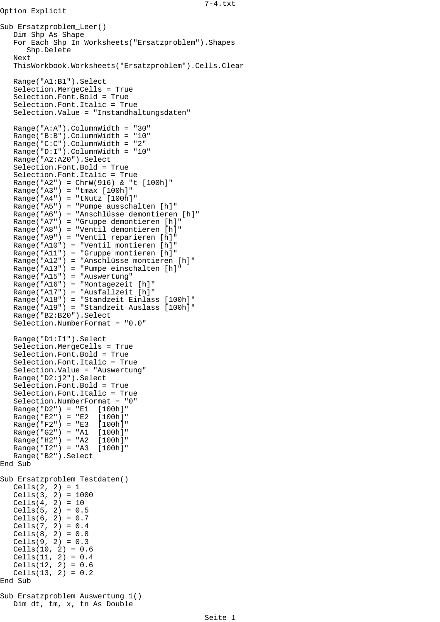```
Sub Ersatzproblem Leer()
  Dim Shp As Shape
  For Each Shp In Worksheets("Ersatzproblem").Shapes
     Shp.Delete
  Next
  ThisWorkbook.Worksheets("Ersatzproblem").Cells.Clear
  Range("A1:B1").Select
  Selection.MergeCells = True
   Selection.Font.Bold = True
   Selection.Font.Italic = True
   Selection.Value = "Instandhaltungsdaten"
  Range("A:A").ColumnWidth = "30"
  Range("B:B").ColumnWidth = "10"
  Range("C:C").ColumnWidth = "2"
  Range("D:I").ColumnWidth = "10"
  Range("A2:A20").Select
  Selection.Font.Bold = True
  Selection.Font.Italic = True
  Range("A2") = ChrW(916) & "t [100h]"
  Range("A3") = "tmax [100h]"
  Range("A4") = "tNutz [100h]"Range("A5") = "Pumpe ausschalten [h]"
  Range("A6") = "Anschlüsse demontieren [h]"
  Range("A7") = "Gruppe demontieren [h]"
  Range("A8") = "Ventil demontieren [h]"
  Range("A9") = "Ventil reparieren [h]"
  Range("A10") = "Ventil montieren [h]"
  Range("A11") = "Gruppe montieren [h]"
  Range("A12") = "Anschlüsse montieren [h]"
  Range("A13") = "Pumpe einschalten [h]"
  Range("A15") = "Auswertung"
  Range("A16") = "Montagezeit [h]"
  Range("A17") = "Ausfallzeit [h]"
  Range("A18") = "Standzeit Einlass [100h]"
  Range("A19") = "Standzeit Auslass [100h]"
  Range("B2:B20").Select
   Selection.NumberFormat = "0.0"
  Range("D1:I1").Select
  Selection.MergeCells = True
   Selection.Font.Bold = True
  Selection.Font.Italic = True
  Selection.Value = "Auswertung"
  Range("D2:j2").Select
  Selection.Font.Bold = True
   Selection.Font.Italic = True
  Selection.NumberFormat = "0"
  Range("D2") = "E1 [100h]"Range("E2") = "E2 [100h]"Range("F2") = "E3 [100h]"Range("G2") = "A1 [100h]"<br>Range("H2") = "A2 [100h]"
  Range("H2") = "A2 [100h]"<br>Range("I2") = "A3 [100h]"Range("I2") = "A3"Range("B2").Select
End Sub
Sub Ersatzproblem_Testdaten()
  Cells(2, 2) = 1
  Cells(3, 2) = 1000
  Cells(4, 2) = 10Cells(5, 2) = 0.5Cells(6, 2) = 0.7Cells(7, 2) = 0.4Cells(8, 2) = 0.8Cells(9, 2) = 0.3Cells(10, 2) = 0.6Cells(11, 2) = 0.4Cells(12, 2) = 0.6Cells(13, 2) = 0.2End Sub
Sub Ersatzproblem_Auswertung_1()
  Dim dt, tm, x, tn As Double
```
Option Explicit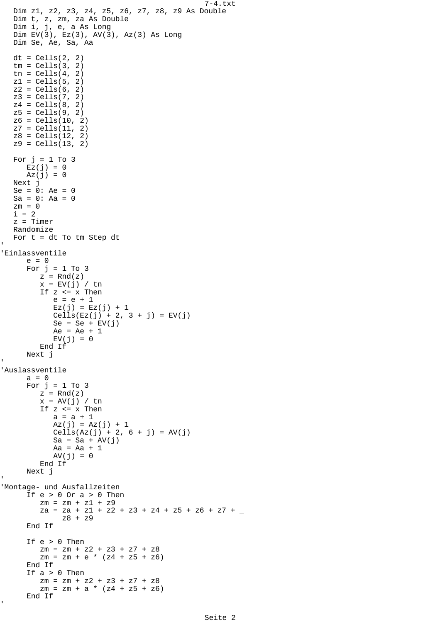```
7-4.txt
  Dim z1, z2, z3, z4, z5, z6, z7, z8, z9 As Double
  Dim t, z, zm, za As Double
  Dim i, j, e, a As Long
  Dim EV(3), Ez(3), AV(3), Az(3) As Long
  Dim Se, Ae, Sa, Aa
  dt =Cells(2, 2)
   tm = Cells(3, 2)tn = Cells(4, 2)z1 = Cells(5, 2)
  z2 = Cells(6, 2)z3 = Cells(7, 2)
  z4 = Cells(8, 2)
  z5 = Cells(9, 2)
  z6 = Cells(10, 2)
   z7 = Cells(11, 2)
   z8 = Cells(12, 2)
   z9 = Cells(13, 2)
  For j = 1 To 3
     Ez(j) = 0Az(j) = 0Next j
  Se = 0: Ae = 0Sa = 0: Aa = 0zm = 0i = 2z = Timer
  Randomize
  For t = dt To tm Step dt
'Einlassventile
     e = 0For j = 1 To 3
        z = \text{Rnd}(z)x = EV(j) / tnIf z <= x Then
           e = e + 1Ez(j) = Ez(j) + 1Cells(Ez(j) + 2, 3 + j) = EV(j)Se = Se + EV(j)Ae = Ae + 1EV(j) = 0End If
     Next j
''Auslassventile
     a = 0For j = 1 To 3
        z = \text{Rnd}(z)x = AV(j) / tn
        If z \leq x Then
           a = a + 1Az(j) = Az(j) + 1Cells(Az(j) + 2, 6 + j) = AV(j)Sa = Sa + AV(j)Aa = Aa + 1AV(j) = 0End If
     Next j
''Montage- und Ausfallzeiten
     If e > 0 Or a > 0 Then
        zm = zm + z1 + z9
        za = za + z1 + z2 + z3 + z4 + z5 + z6 + z7 + \_z8 + z9
     End If
     If e > 0 Then
        zm = zm + z2 + z3 + z7 + z8zm = zm + e * (z4 + z5 + z6)
     End If
     If a > 0 Then
        zm = zm + z2 + z3 + z7 + z8
        zm = zm + a * (z4 + z5 + z6)End If
```
'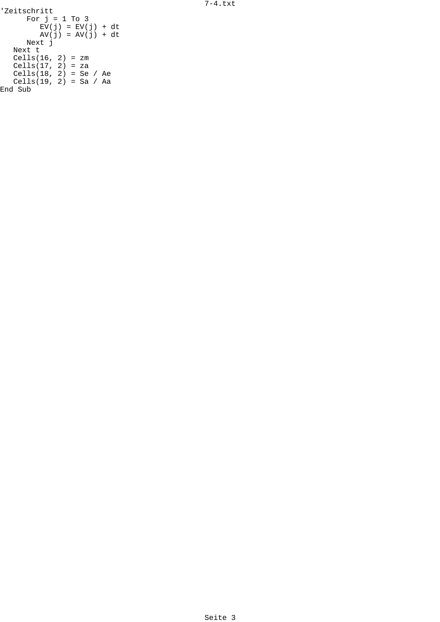```
'Zeitschritt
      For j = 1 To 3
         EV(j) = EV(j) + dtAV(j) = AV(j) + dtNext j
  Next t
   Cells(16, 2) = zm
   Cells(17, 2) = za
   Cells(18, 2) = Se / Ae
   Cells(19, 2) = Sa / Aa
End Sub
```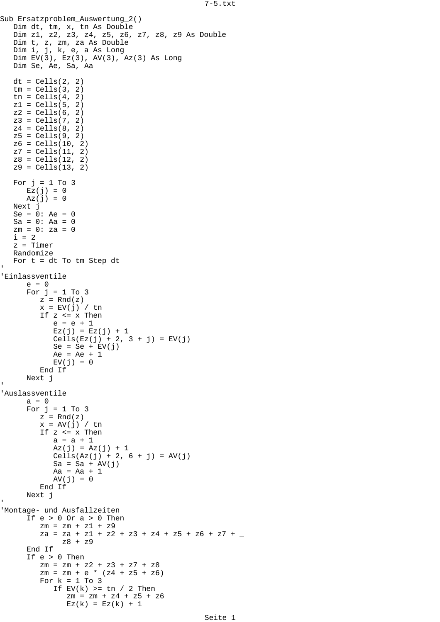```
Sub Ersatzproblem_Auswertung_2()
  Dim dt, tm, x, tn As Double
  Dim z1, z2, z3, z4, z5, z6, z7, z8, z9 As Double
  Dim t, z, zm, za As Double
  Dim i, j, k, e, a As Long
  Dim EV(3), Ez(3), AV(3), Az(3) As Long
  Dim Se, Ae, Sa, Aa
  dt =Cells(2, 2)tm = Cells(3, 2)tn = Cells(4, 2)z1 = Cells(5, 2)
  z2 = Cells(6, 2)
   z3 = Cells(7, 2)
   z4 = \text{Cells}(8, 2)z5 = Cells(9, 2)
  z6 = Cells(10, 2)
  z7 = Cells(11, 2)
  z8 = Cells(12, 2)
  z9 = \text{Cells}(13, 2)For j = 1 To 3
     Ez(j) = 0Az(j) = 0Next j
  Se = 0: Ae = 0Sa = 0: Aa = 0zm = 0: za = 0
  i = 2z = Timer
  Randomize
  For t = dt To tm Step dt
'Einlassventile
     e = 0For j = 1 To 3
        z = \text{Rnd}(z)x = EV(j) / tnIf z <= x Then
            e = e + 1
            Ez(j) = Ez(j) + 1Cells(Ez(j) + 2, 3 + j) = EV(j)Se = Se + EV(j)Ae = Ae + 1EV(j) = 0End If
     Next j
'Auslassventile
     a = 0For j = 1 To 3
        z = \text{Rnd}(z)x = AV(j) / tnIf z <= x Then
           a = a + 1Az(j) = Az(j) + 1Cells(Az(j) + 2, 6 + j) = AV(j)Sa = Sa + AV(j)Aa = Aa + 1AV(j) = 0End If
     Next j
'Montage- und Ausfallzeiten
     If e > 0 Or a > 0 Then
         zm = zm + z1 + z9
         za = za + z1 + z2 + z3 + z4 + z5 + z6 + z7 +z8 + z9
     End If
     If e > 0 Then
         zm = zm + z2 + z3 + z7 + z8
         zm = zm + e * (z4 + z5 + z6)For k = 1 To 3
            If EV(k) >= tn / 2 Then
               zm = zm + z4 + z5 + z6Ez(k) = Ez(k) + 1
```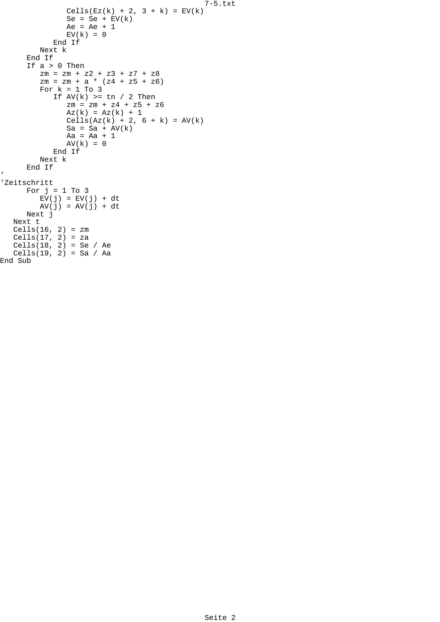```
7-5.txt
              Cells(Ez(k) + 2, 3 + k) = EV(k)Se = Se + EV(k)Ae = Ae + 1EV(k) = 0End If
        Next k
     End If
     If a > 0 Then
         zm = zm + z2 + z3 + z7 + z8zm = zm + a * (z4 + z5 + z6)For k = 1 To 3
           If AV(k) >= tn / 2 Then
              zm = zm + z4 + z5 + z6Az(k) = Az(k) + 1Cells(Az(k) + 2, 6 + k) = AV(k)Sa = Sa + AV(k)Aa = Aa + 1
              AV(k) = 0End If
        Next k
     End If
''Zeitschritt
     For j = 1 To 3
         EV(j) = EV(j) + dtAV(j) = AV(j) + dtNext j
  Next t
  Cells(16, 2) = zmCells(17, 2) = za
   Cells(18, 2) = Se / Ae
   Cells(19, 2) = Sa / Aa
End Sub
```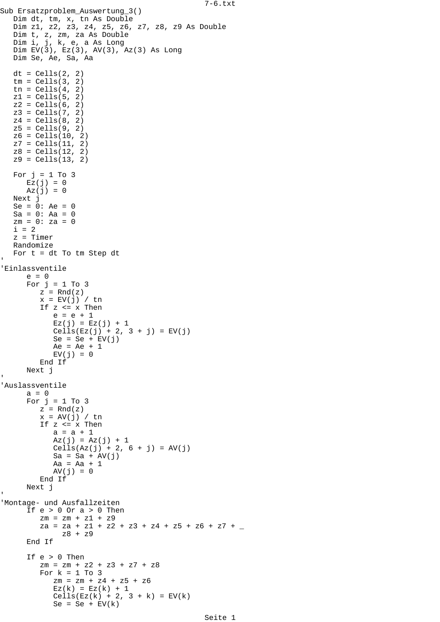```
7-6.txt
Sub Ersatzproblem_Auswertung_3()
  Dim dt, tm, x, tn As Double
  Dim z1, z2, z3, z4, z5, z6, z7, z8, z9 As Double
  Dim t, z, zm, za As Double
  Dim i, j, k, e, a As Long
  Dim EV(3), Ez(3), AV(3), Az(3) As Long
  Dim Se, Ae, Sa, Aa
  dt = Cells(2, 2)tm = Cells(3, 2)tn = Cells(4, 2)z1 = Cells(5, 2)
  z2 = Cells(6, 2)
  z3 = Cells(7, 2)
  z4 = Cells(8, 2)
  z5 = Cells(9, 2)
  z6 = Cells(10, 2)
  z7 = \text{Cells}(11, 2)z8 = Cells(12, 2)
  z9 = \text{Cells}(13, 2)For j = 1 To 3
     Ez(j) = 0Az(j) = 0Next j
  Se = 0: Ae = 0Sa = 0: Aa = 0zm = 0: za = 0
  i = 2z = Timer
  Randomize
  For t = dt To tm Step dt
'Einlassventile
     e = 0For j = 1 To 3
        z = \text{Rnd}(z)x = EV(j) / tnIf z <= x Then
            e = e + 1
            Ez(j) = Ez(j) + 1Cells(Ez(j) + 2, 3 + j) = EV(j)Se = Se + EV(j)Ae = Ae + 1EV(j) = 0End If
     Next j
'Auslassventile
     a = 0For j = 1 To 3
        z = \text{Rnd}(z)x = AV(j) / tn
         If z <= x Then
            a = a + 1Az(j) = Az(j) + 1Cells(Az(j) + 2, 6 + j) = AV(j)Sa = Sa + AV(j)Aa = Aa + 1AV(j) = 0End If
     Next j
''Montage- und Ausfallzeiten
     If e > 0 Or a > 0 Then
         zm = zm + z1 + z9
         za = za + z1 + z2 + z3 + z4 + z5 + z6 + z7 + \_z8 + z9
     End If
     If e > 0 Then
         zm = zm + z2 + z3 + z7 + z8
         For k = 1 To 3
            zm = zm + z4 + z5 + z6
            Ez(k) = Ez(k) + 1Cells(Ez(k) + 2, 3 + k) = EV(k)Se = Se + EV(k)
```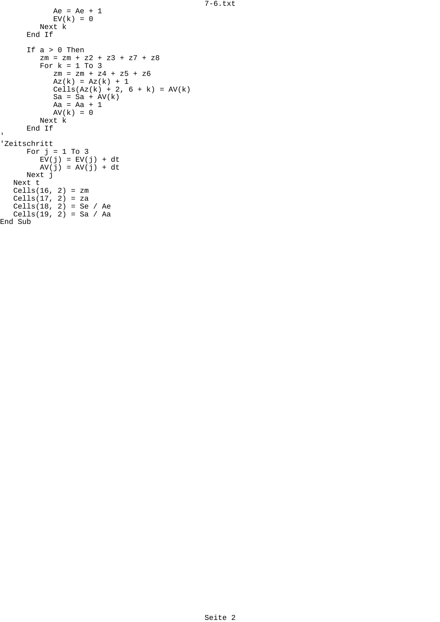```
Ae = Ae + 1EV(k) = 0Next k
     End If
     If a > 0 Then
        zm = zm + z2 + z3 + z7 + z8For k = 1 To 3
          zm = zm + z4 + z5 + z6Az(k) = Az(k) + 1Cells(Az(k) + 2, 6 + k) = AV(k)Sa = Sa + AV(k)Aa = Aa + 1
          AV(k) = 0Next k
     End If
'
'Zeitschritt
     For j = 1 To 3
       EV(j) = EV(j) + dtAV(j) = AV(j) + dtNext j
  Next t
  Cells(16, 2) = zm
  Cells(17, 2) = za
  Cells(18, 2) = Se / AeCells(19, 2) = Sa / Aa
End Sub
```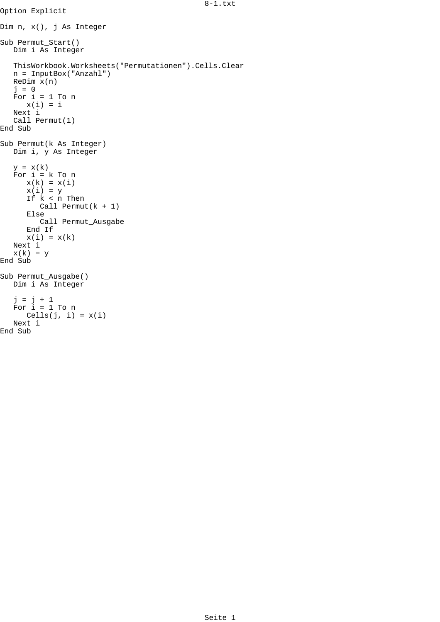```
Option Explicit
Dim n, x(), j As Integer
Sub Permut_Start()
  Dim i As Integer
  ThisWorkbook.Worksheets("Permutationen").Cells.Clear
  n = InputBox("Anzahl")
  ReDim x(n)
  j = 0For i = 1 To n
    x(i) = iNext i
  Call Permut(1)
End Sub
Sub Permut(k As Integer)
  Dim i, y As Integer
  y = x(k)For i = k To n
     x(k) = x(i)x(i) = yIf k < n Then
        Call Permut(k + 1)
     Else
        Call Permut_Ausgabe
     End If
     x(i) = x(k)Next i
  x(k) = yEnd Sub
Sub Permut_Ausgabe()
  Dim i As Integer
  j = j + 1For i = 1 To n
    Cells(j, i) = x(i)Next i
End Sub
```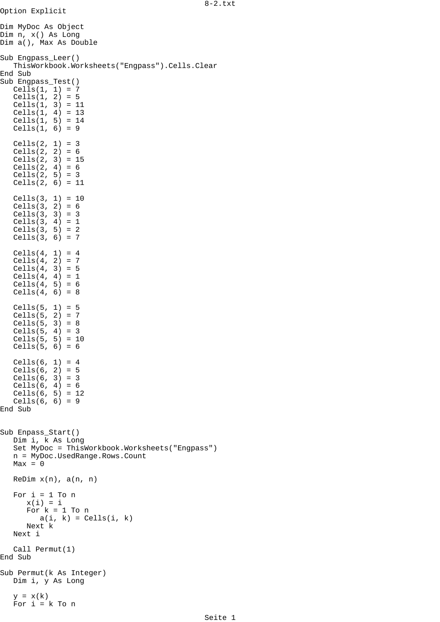```
Option Explicit
Dim MyDoc As Object
Dim n, x() As Long
Dim a(), Max As Double
Sub Engpass_Leer()
  ThisWorkbook.Worksheets("Engpass").Cells.Clear
End Sub
Sub Engpass_Test()
  Cells(1, 1) = 7Cells(1, 2) = 5Cells(1, 3) = 11Cells(1, 4) = 13Cells(1, 5) = 14Cells(1, 6) = 9 
  Cells(2, 1) = 3
  Cells(2, 2) = 6Cells(2, 3) = 15
  Cells(2, 4) = 6Cells(2, 5) = 3Cells(2, 6) = 11 
   Cells(3, 1) = 10
   Cells(3, 2) = 6Cells(3, 3) = 3Cells(3, 4) = 1
  Cells(3, 5) = 2Cells(3, 6) = 7
   Cells(4, 1) = 4Cells(4, 2) = 7Cells(4, 3) = 5Cells(4, 4) = 1Cells(4, 5) = 6Cells(4, 6) = 8Cells(5, 1) = 5Cells(5, 2) = 7
   Cells(5, 3) = 8Cells(5, 4) = 3
   Cells(5, 5) = 10
  Cells(5, 6) = 6Cells(6, 1) = 4Cells(6, 2) = 5Cells(6, 3) = 3Cells(6, 4) = 6Cells(6, 5) = 12Cells(6, 6) = 9
End Sub
Sub Enpass_Start()
  Dim i, k As Long 
  Set MyDoc = ThisWorkbook.Worksheets("Engpass")
  n = MyDoc.UsedRange.Rows.Count
  Max = 0ReDim x(n), a(n, n)For i = 1 To n
     x(i) = iFor k = 1 To na(i, k) = Cells(i, k)Next k
  Next i
  Call Permut(1)
End Sub
Sub Permut(k As Integer)
  Dim i, y As Long
  y = x(k)For i = k To n
```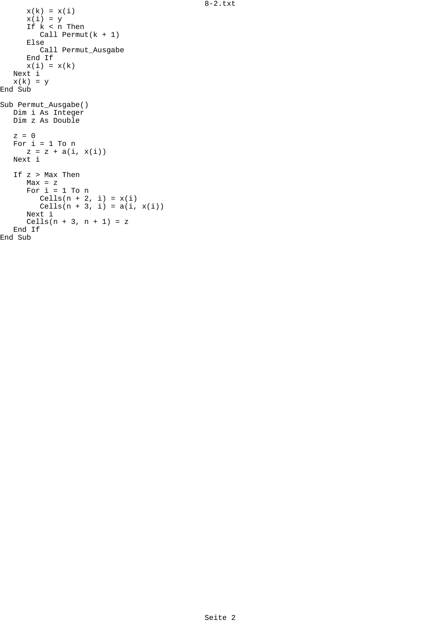```
8-2.txt
```

```
x(k) = x(i)x(i) = yIf k < n Then
       Call Permut(k + 1)
     Else
       Call Permut_Ausgabe
     End If
     x(i) = x(k)Next i
  x(k) = yEnd Sub
Sub Permut_Ausgabe()
  Dim i As Integer
  Dim z As Double
  z = 0For i = 1 To n
    z = z + a(i, x(i))Next i
  If z > Max Then
     Max = zFor i = 1 To n
        Cells(n + 2, i) = x(i)Cells(n + 3, i) = a(i, x(i))Next i
     Cells(n + 3, n + 1) = zEnd If
End Sub
```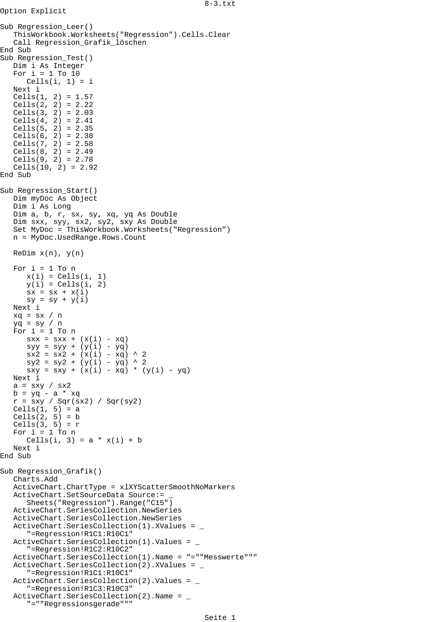```
Sub Regression_Leer()
  ThisWorkbook.Worksheets("Regression").Cells.Clear
  Call Regression_Grafik_löschen
End Sub
Sub Regression_Test()
  Dim i As Integer
  For i = 1 To 10Cells(i, 1) = iNext i
  Cells(1, 2) = 1.57Cells(2, 2) = 2.22Cells(3, 2) = 2.03
   Cells(4, 2) = 2.41Cells(5, 2) = 2.35Cells(6, 2) = 2.38Cells(7, 2) = 2.58Cells(8, 2) = 2.49Cells(9, 2) = 2.78Cells(10, 2) = 2.92End Sub
Sub Regression_Start()
  Dim myDoc As Object
  Dim i As Long
  Dim a, b, r, sx, sy, xq, yq As Double
  Dim sxx, syy, sx2, sy2, sxy As Double 
  Set MyDoc = ThisWorkbook.Worksheets("Regression")
  n = MyDoc.UsedRange.Rows.Count
  ReDim x(n), y(n)For i = 1 To n
     x(i) = Cells(i, 1)y(i) = Cells(i, 2)sx = sx + x(i)sy = sy + y(i)Next i
  xq = sx / nyq = sy / nFor i = 1 To nsxx = sxx + (x(i) - xq)syy = syy + (y(i) - yq)sx2 = sx2 + (x(i) - xq) ^ 2
     sy2 = sy2 + (y(i) - yq) ^ 2
     sxy = sxy + (x(i) - xq) * (y(i) - yq)Next i
  a = sxy / sx2b = yq - a * xqr = sxy / Sqr(sx2) / Sqr(sy2)Cells(1, 5) = aCells(2, 5) = bCells(3, 5) = rFor i = 1 To n
     Cells(i, 3) = a * x(i) + bNext i
End Sub
Sub Regression_Grafik()
  Charts.Add
  ActiveChart.ChartType = xlXYScatterSmoothNoMarkers
  ActiveChart.SetSourceData Source:= _ 
     Sheets("Regression").Range("C15")
  ActiveChart.SeriesCollection.NewSeries
  ActiveChart.SeriesCollection.NewSeries
  ActiveChart.SeriesCollection(1).XValues = _ 
      "=Regression!R1C1:R10C1"
  ActiveChart.SeriesCollection(1).Values = _ 
      "=Regression!R1C2:R10C2"
  ActiveChart.SeriesCollection(1).Name = "=""Messwerte"""
  ActiveChart.SeriesCollection(2).XValues = _ 
      "=Regression!R1C1:R10C1"
  ActiveChart.SeriesCollection(2).Values =
      "=Regression!R1C3:R10C3"
  ActiveChart.SeriesCollection(2).Name = _
      "=""Regressionsgerade"""
```
Option Explicit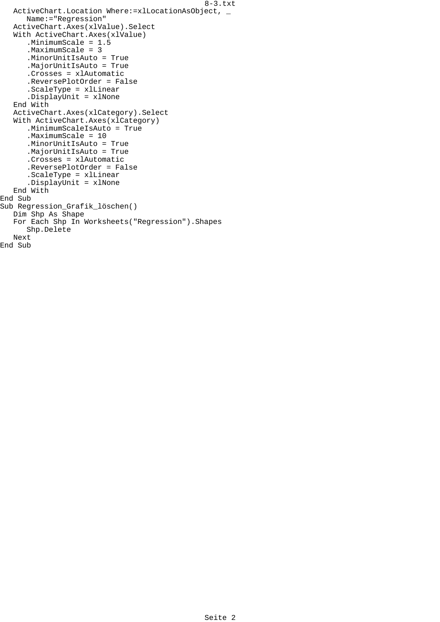```
8-3.txt
  ActiveChart.Location Where:=xlLocationAsObject, _ 
     Name:="Regression"
  ActiveChart.Axes(xlValue).Select
  With ActiveChart.Axes(xlValue)
     .MinimumScale = 1.5
      .MaximumScale = 3
      .MinorUnitIsAuto = True
      .MajorUnitIsAuto = True
      .Crosses = xlAutomatic
     .ReversePlotOrder = False
     .ScaleType = xlLinear
      .DisplayUnit = xlNone
  End With
  ActiveChart.Axes(xlCategory).Select
  With ActiveChart.Axes(xlCategory)
     .MinimumScaleIsAuto = True
      .MaximumScale = 10
      .MinorUnitIsAuto = True
     .MajorUnitIsAuto = True
     .Crosses = xlAutomatic
      .ReversePlotOrder = False
      .ScaleType = xlLinear
     .DisplayUnit = xlNone
  End With
End Sub
Sub Regression_Grafik_löschen()
  Dim Shp As Shape
  For Each Shp In Worksheets("Regression").Shapes
     Shp.Delete
  Next
End Sub
```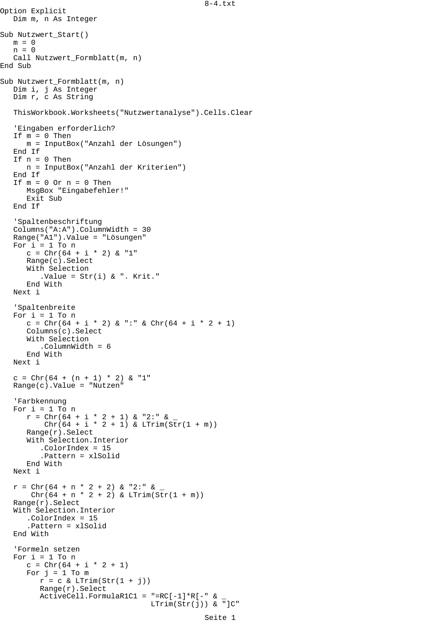```
Option Explicit
  Dim m, n As Integer
Sub Nutzwert_Start()
  m = 0n = 0Call Nutzwert_Formblatt(m, n)
End Sub
Sub Nutzwert_Formblatt(m, n)
  Dim i, j As Integer
  Dim r, c As String
  ThisWorkbook.Worksheets("Nutzwertanalyse").Cells.Clear
   'Eingaben erforderlich?
   If m = 0 Then
     m = InputBox("Anzahl der Lösungen")
  End If
   If n = 0 Then
     n = InputBox("Anzahl der Kriterien")
  End If
   If m = 0 Or n = 0 Then
     MsgBox "Eingabefehler!"
     Exit Sub
  End If
   'Spaltenbeschriftung
  Columns("A:A").ColumnWidth = 30
  Range("A1").Value = "Lösungen"
  For i = 1 To n
     c = Chr(64 + i * 2) & \text{if } i = 1Range(c).Select
     With Selection
         .Value = Str(i) & ". Krit."
     End With
  Next i
   'Spaltenbreite
  For i = 1 To n
     c = Chr(64 + i * 2) & \cdots ":" & Chr(64 + i * 2 + 1)Columns(c).Select
     With Selection
         .ColumnWidth = 6
     End With
  Next i
  c = Chr(64 + (n + 1) * 2) & \n\leq 1"Range(c).Value = "Nutzen"
   'Farbkennung
  For i = 1 To n
     r = Chr(64 + i * 2 + 1) \& "2:" \&Chr(64 + i * 2 + 1) & LTrim(Str(1 + m))Range(r).Select
     With Selection.Interior
         .ColorIndex = 15
         .Pattern = xlSolid
     End With
  Next i
  r = Chr(64 + n * 2 + 2) & "2:" &
      Chr(64 + n * 2 + 2) & LTrim(Str(1 + m))Range(r).Select
  With Selection.Interior
      .ColorIndex = 15
      .Pattern = xlSolid
  End With
   'Formeln setzen
   For i = 1 To n
      c = Chr(64 + i * 2 + 1)For j = 1 To mr = c \& LTrim(Str(1 + j))Range(r).Select
         ActiveCell.FormulaR1Cl = "=RC[-1]*R[-" &LTrim(Str(j)) & \bar{}}]C"
```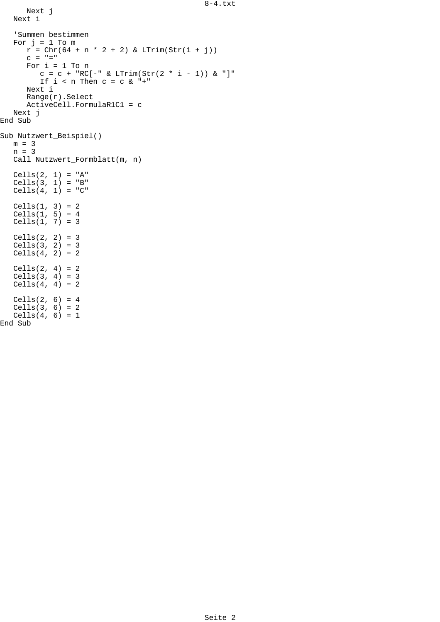```
8-4.txt
```

```
Next j
  Next i
  'Summen bestimmen
  For j = 1 To mr = Chr(64 + n * 2 + 2) & \text{LTrim}(Str(1 + j))C = " = "For i = 1 To n
        c = c + "RC[-" & LTrim(Str(2 * i - 1)) & w"]"If i < n Then c = c \& T + TNext i
     Range(r).Select
     ActiveCell.FormulaR1C1 = c
  Next j
End Sub
Sub Nutzwert_Beispiel()
  m = 3n = 3
  Call Nutzwert_Formblatt(m, n)
   Cells(2, 1) = "A"Cells(3, 1) = "B"
   Cells(4, 1) = "C"Cells(1, 3) = 2Cells(1, 5) = 4Cells(1, 7) = 3
  Cells(2, 2) = 3
   Cells(3, 2) = 3
   Cells(4, 2) = 2Cells(2, 4) = 2Cells(3, 4) = 3
   Cells(4, 4) = 2Cells(2, 6) = 4Cells(3, 6) = 2
   Cells(4, 6) = 1End Sub
```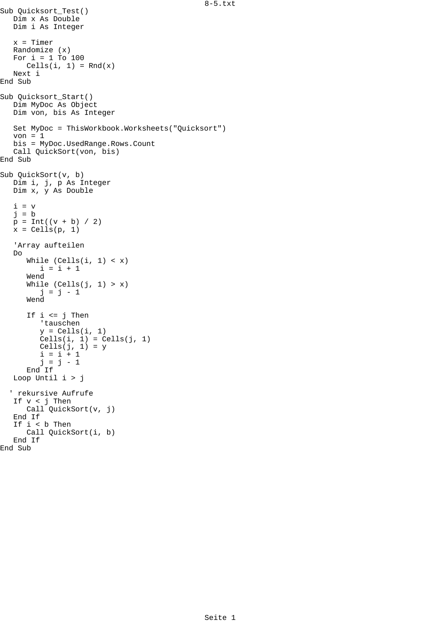```
Sub Quicksort_Test()
  Dim x As Double
  Dim i As Integer
  x = Timer
  Randomize (x)
  For i = 1 To 100
     Cells(i, 1) = Rnd(x)Next i
End Sub
Sub Quicksort_Start()
  Dim MyDoc As Object
  Dim von, bis As Integer
  Set MyDoc = ThisWorkbook.Worksheets("Quicksort")
  von = 1
  bis = MyDoc.UsedRange.Rows.Count
  Call QuickSort(von, bis)
End Sub
Sub QuickSort(v, b)
  Dim i, j, p As Integer
  Dim x, y As Double
  i = v
  j = b
  p = Int((v + b) / 2)x = Cells(p, 1)
  'Array aufteilen
  Do
     While (Cells(i, 1) < x)i = i + 1Wend
     While (Cells(j, 1) > x)j = j - 1
     Wend
     If i <= j Then
        'tauschen
        y = Cells(i, 1)Cells(i, 1) = Cells(j, 1)Cells(j, 1) = yi = i + 1j = j - 1End If
  Loop Until i > j 
  ' rekursive Aufrufe
   If v < j Then
      Call QuickSort(v, j)
  End If
  If i < b Then
     Call QuickSort(i, b)
  End If
End Sub
```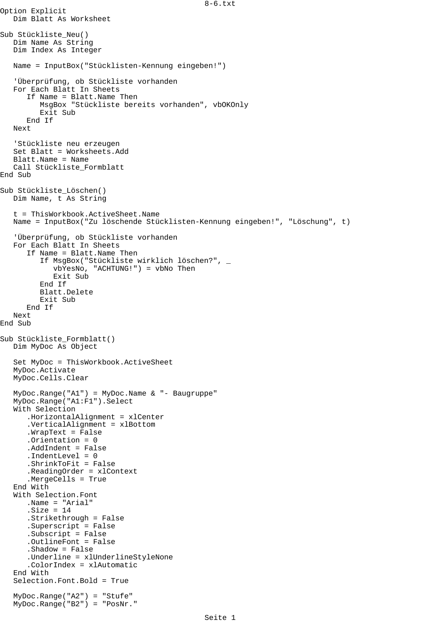```
Option Explicit
  Dim Blatt As Worksheet
Sub Stückliste_Neu()
  Dim Name As String
  Dim Index As Integer
  Name = InputBox("Stücklisten-Kennung eingeben!")
   'Überprüfung, ob Stückliste vorhanden
  For Each Blatt In Sheets
     If Name = Blatt.Name Then
         MsgBox "Stückliste bereits vorhanden", vbOKOnly
         Exit Sub
     End If
  Next
  'Stückliste neu erzeugen
  Set Blatt = Worksheets.Add
  Blatt.Name = Name
  Call Stückliste_Formblatt
End Sub
Sub Stückliste_Löschen()
  Dim Name, t As String
  t = ThisWorkbook.ActiveSheet.Name
  Name = InputBox("Zu löschende Stücklisten-Kennung eingeben!", "Löschung", t)
   'Überprüfung, ob Stückliste vorhanden
  For Each Blatt In Sheets
     If Name = Blatt.Name Then
         If MsgBox("Stückliste wirklich löschen?", _
            vbYesNo, "ACHTUNG!") = vbNo Then
           Exit Sub
         End If
         Blatt.Delete
         Exit Sub
     End If
  Next
End Sub
Sub Stückliste_Formblatt()
  Dim MyDoc As Object
  Set MyDoc = ThisWorkbook.ActiveSheet
  MyDoc.Activate
  MyDoc.Cells.Clear
  MyDoc.Range("A1") = MyDoc.Name & "- Baugruppe"
  MyDoc.Range("A1:F1").Select
  With Selection
     .HorizontalAlignment = xlCenter
     .VerticalAlignment = xlBottom
     .WrapText = False
      .Orientation = 0
      .AddIndent = False
      .IndentLevel = 0
      .ShrinkToFit = False
      .ReadingOrder = xlContext
      .MergeCells = True
  End With
  With Selection.Font
     .Name = "Arial"
      .Size = 14.Strikethrough = False
      .Superscript = False
      .Subscript = False
      .OutlineFont = False
      .Shadow = False
     .Underline = xlUnderlineStyleNone
      .ColorIndex = xlAutomatic
  End With
  Selection.Font.Bold = True
  MyDoc.Range("A2") = "Stufe"
  MyDoc.Range("B2") = "PosNr."
```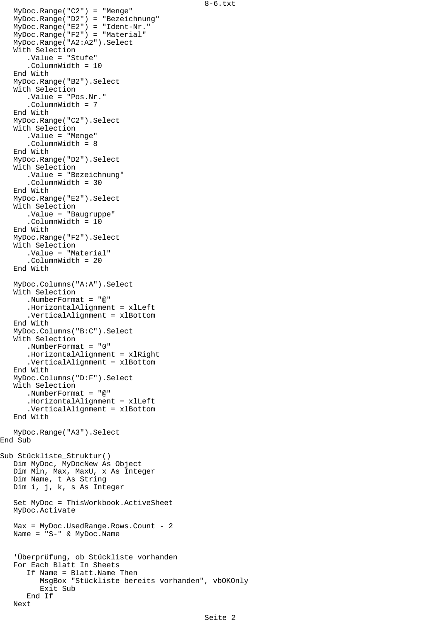MyDoc.Range("C2") = "Menge" MyDoc.Range("D2") = "Bezeichnung" MyDoc.Range("E2") = "Ident-Nr." MyDoc.Range("F2") = "Material" MyDoc.Range("A2:A2").Select With Selection .Value = "Stufe" .ColumnWidth = 10 End With MyDoc.Range("B2").Select With Selection .Value = "Pos.Nr." .ColumnWidth = 7 End With MyDoc.Range("C2").Select With Selection .Value = "Menge" .ColumnWidth = 8 End With MyDoc.Range("D2").Select With Selection .Value = "Bezeichnung" .ColumnWidth = 30 End With MyDoc.Range("E2").Select With Selection .Value = "Baugruppe" .ColumnWidth = 10 End With MyDoc.Range("F2").Select With Selection .Value = "Material" .ColumnWidth = 20 End With MyDoc.Columns("A:A").Select With Selection .NumberFormat = "@" .HorizontalAlignment = xlLeft .VerticalAlignment = xlBottom End With MyDoc.Columns("B:C").Select With Selection .NumberFormat = "0" .HorizontalAlignment = xlRight .VerticalAlignment = xlBottom End With MyDoc.Columns("D:F").Select With Selection .NumberFormat = "@" .HorizontalAlignment = xlLeft .VerticalAlignment = xlBottom End With MyDoc.Range("A3").Select End Sub Sub Stückliste\_Struktur() Dim MyDoc, MyDocNew As Object Dim Min, Max, MaxU, x As Integer Dim Name, t As String Dim i, j, k, s As Integer Set MyDoc = ThisWorkbook.ActiveSheet MyDoc.Activate Max = MyDoc.UsedRange.Rows.Count - 2 Name =  $'S$ -" & MyDoc.Name 'Überprüfung, ob Stückliste vorhanden For Each Blatt In Sheets If Name = Blatt.Name Then MsgBox "Stückliste bereits vorhanden", vbOKOnly Exit Sub End If Next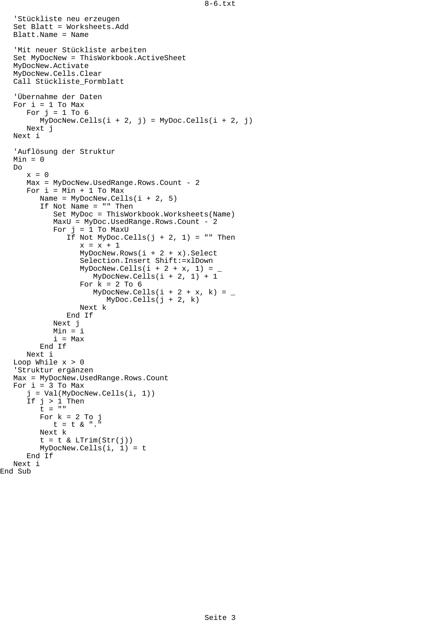```
'Stückliste neu erzeugen
  Set Blatt = Worksheets.Add
  Blatt.Name = Name
  'Mit neuer Stückliste arbeiten
  Set MyDocNew = ThisWorkbook.ActiveSheet
  MyDocNew.Activate
  MyDocNew.Cells.Clear
  Call Stückliste_Formblatt
  'Übernahme der Daten
  For i = 1 To Max
     For j = 1 To 6
        MyDockW.Cells(i + 2, j) = MyDoc.Cells(i + 2, j)Next j
  Next i
  'Auflösung der Struktur
  Min = 0Do
     x = 0Max = MyDocNew.UsedRange.Rows.Count - 2
     For i = Min + 1 To Max
        Name = MyDocNew.Cells(i + 2, 5)
        If Not Name = "" Then
           Set MyDoc = ThisWorkbook.Worksheets(Name)
           MaxU = MyDoc.UsedRange.Rows.Count - 2
            For j = 1 To MaxU
               If Not MyDoc.Cells(j + 2, 1) = "" Then
                  x = x + 1MyDockWyDocNew.Rows(i + 2 + x).Select
                  Selection.Insert Shift:=xlDown
                  MyDockNew.Cells(i + 2 + x, 1) =MyDockNew.Cells(i + 2, 1) + 1For k = 2 To 6
                     MyDocNew.Cells(i + 2 + x, k) = -MyDoc.Cells(j + 2, k)Next k
              End If
           Next j
           Min = i
           i = MaxEnd If
     Next i
  Loop While x > 0'Struktur ergänzen
  Max = MyDocNew.UsedRange.Rows.Count
  For i = 3 To Max
      j = Val(MyDockew.Cells(i, 1))If j > 1 Then
        t = "For k = 2 To j
           t = t & "."
        Next k
        t = t & LTrim(Str(j))
        MyDockNew.Cells(i, 1) = tEnd If
  Next i
End Sub
```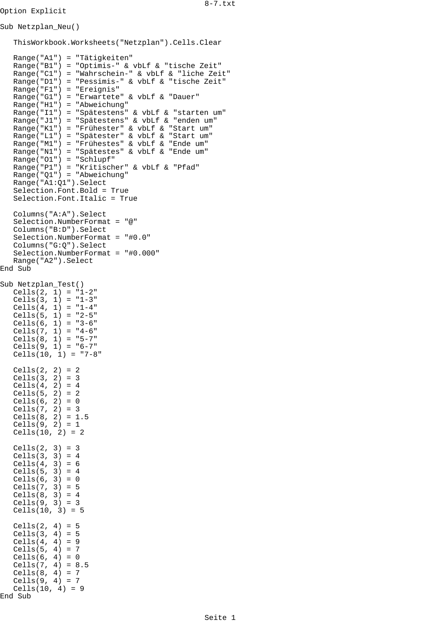Option Explicit

Sub Netzplan\_Neu()

```
ThisWorkbook.Worksheets("Netzplan").Cells.Clear
```

```
Range("A1") = "Tätigkeiten"
  Range("B1") = "Optimis-" & vbLf & "tische Zeit"
  Range("C1") = "Wahrschein-" & vbLf & "liche Zeit"
  Range("D1") = "Pessimis-" & vbLf & "tische Zeit"
  Range("F1") = "Ereignis"
  Range("G1") = "Erwartete" & vbLf & "Dauer"
  Range("H1") = "Abweichung"
  Range("I1") = "Spätestens" & vbLf & "starten um"
  Range("J1") = "Spätestens" & vbLf & "enden um"
   Range("K1") = "Frühester" & vbLf & "Start um"
   Range("L1") = "Spätester" & vbLf & "Start um"
   Range("M1") = "Frühestes" & vbLf & "Ende um"
  Range("N1") = "Spätestes" & vbLf & "Ende um"
  Range("O1") = "Schlupf"
  Range("P1") = "Kritischer" & vbLf & "Pfad"
  Range("Q1") = "Abweichung"
  Range("A1:Q1").Select
  Selection.Font.Bold = True
  Selection.Font.Italic = True
  Columns("A:A").Select
  Selection.NumberFormat = "@"
  Columns("B:D").Select
  Selection.NumberFormat = "#0.0"
  Columns("G:Q").Select
  Selection.NumberFormat = "#0.000"
  Range("A2").Select
End Sub
Sub Netzplan_Test()
  Cells(2, 1) = "1-2"Cells(3, 1) = "1-3"
  Cells(4, 1) = "1-4"Cells(5, 1) = "2-5"Cells(6, 1) = "3-6"Cells(7, 1) = "4-6"Cells(8, 1) = 5-7Cells(9, 1) = "6-7"Cells(10, 1) = "7-8"Cells(2, 2) = 2Cells(3, 2) = 3Cells(4, 2) = 4Cells(5, 2) = 2Cells(6, 2) = 0Cells(7, 2) = 3Cells(8, 2) = 1.5Cells(9, 2) = 1Cells(10, 2) = 2Cells(2, 3) = 3
   Cells(3, 3) = 4
   Cells(4, 3) = 6Cells(5, 3) = 4Cells(6, 3) = 0Cells(7, 3) = 5
  Cells(8, 3) = 4Cells(9, 3) = 3
  Cells(10, 3) = 5Cells(2, 4) = 5Cells(3, 4) = 5Cells(4, 4) = 9Cells(5, 4) = 7Cells(6, 4) = 0Cells(7, 4) = 8.5Cells(8, 4) = 7Cells(9, 4) = 7Cells(10, 4) = 9End Sub
```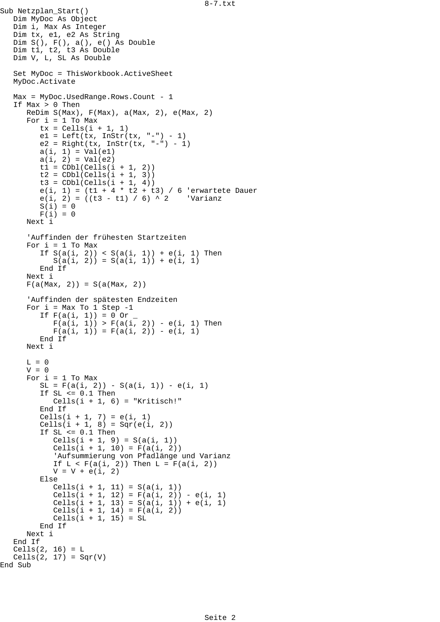Sub Netzplan\_Start() Dim MyDoc As Object Dim i, Max As Integer Dim tx, e1, e2 As String Dim S(), F(), a(), e() As Double Dim t1, t2, t3 As Double Dim V, L, SL As Double Set MyDoc = ThisWorkbook.ActiveSheet MyDoc.Activate Max = MyDoc.UsedRange.Rows.Count - 1 If Max > 0 Then ReDim S(Max), F(Max), a(Max, 2), e(Max, 2) For  $i = 1$  To Max  $tx = Cells(i + 1, 1)$  $el = Left(tx, InStr(tx, "-") - 1)$  $e2 = Right(tx, InStr(tx, "-") - 1)$  $a(i, 1) = Val(e1)$  $a(i, 2) = Val(e2)$  $t1 = CDb1(Cells(i + 1, 2))$  $t2 = CDbl(Cells(i + 1, 3))$  $t3 = CDbl(Cells(i + 1, 4))$  $e(i, 1) = (t1 + 4 * t2 + t3) / 6$  'erwartete Dauer  $e(i, 2) = ((t3 - t1) / 6)$   $\wedge$  2 'Varianz  $S(i) = 0$  $F(i) = 0$ Next i 'Auffinden der frühesten Startzeiten For  $i = 1$  To Max If  $S(a(i, 2)) < S(a(i, 1)) + e(i, 1)$  Then  $S(a(i, 2)) = S(a(i, 1)) + e(i, 1)$ End If Next i  $F(a(Max, 2)) = S(a(Max, 2))$ 'Auffinden der spätesten Endzeiten For  $i = Max To 1 Step -1$ If  $F(a(i, 1)) = 0$  Or  $_$  $F(a(i, 1)) > F(a(i, 2)) - e(i, 1)$  Then  $F(a(i, 1)) = F(a(i, 2)) - e(i, 1)$ End If Next i  $L = 0$  $V = 0$ For  $i = 1$  To Max  $SL = F(a(i, 2)) - S(a(i, 1)) - e(i, 1)$ If  $SL \le 0.1$  Then  $Cells(i + 1, 6) = "Kristisch!"$ End If  $Cells(i + 1, 7) = e(i, 1)$  $Cells(i + 1, 8) = Sqr(e(i, 2))$ If  $SL \le 0.1$  Then  $Cells(i + 1, 9) = S(a(i, 1))$  $Cells(i + 1, 10) = F(a(i, 2))$ 'Aufsummierung von Pfadlänge und Varianz If  $L < F(a(i, 2))$  Then  $L = F(a(i, 2))$  $V = V + e(i, 2)$ Else  $Cells(i + 1, 11) = S(a(i, 1))$ Cells(i + 1, 12) =  $F(a(i, 2)) - e(i, 1)$  $Cells(i + 1, 13) = S(a(i, 1)) + e(i, 1)$  $Cells(i + 1, 14) = F(a(i, 2))$ Cells(i + 1, 15) = SL End If Next i End If  $Cells(2, 16) = L$  $Cells(2, 17) = Sqr(V)$ End Sub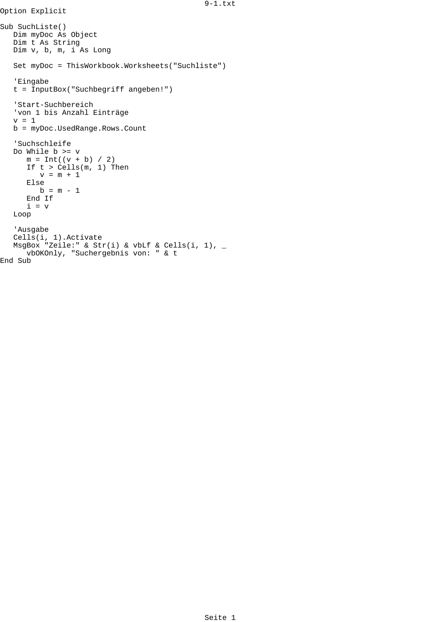```
Option Explicit
Sub SuchListe()
  Dim myDoc As Object
  Dim t As String
  Dim v, b, m, i As Long
  Set myDoc = ThisWorkbook.Worksheets("Suchliste")
  'Eingabe
  t = InputBox("Suchbegriff angeben!")
  'Start-Suchbereich
  'von 1 bis Anzahl Einträge
  v = 1b = myDoc.UsedRange.Rows.Count
  'Suchschleife
  Do While b \geq vm = Int((v + b) / 2)If t > Cells(m, 1) Then
        v = m + 1Else
       b = m - 1End If
     i = vLoop
  'Ausgabe
  Cells(i, 1).Activate
  MsgBox "Zeile:" & Str(i) & vbLf & Cells(i, 1), _ 
     vbOKOnly, "Suchergebnis von: " & t
End Sub
```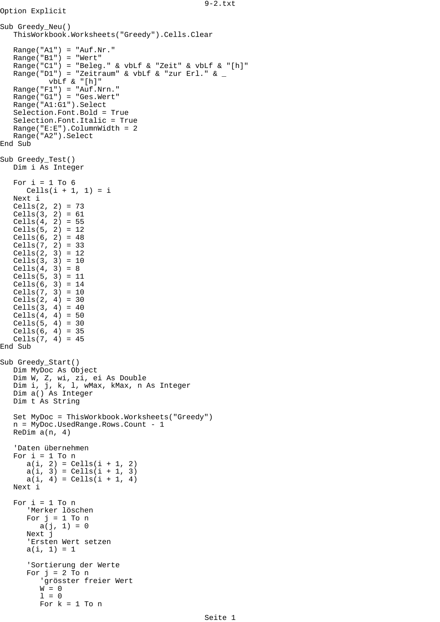```
Range("A1") = "Auf.Nr."
  Range("B1") = "Wert"
  Range("C1") = "Beleg." & vbLf & "Zeit" & vbLf & "[h]"
  Range("D1") = "Zeitraum" & vbLf & "zur Erl." &
          vbLf & "[h]"
  Range("F1") = "Aut.Mrn."Range("G1") = "Ges.Wert"
  Range("A1:G1").Select
  Selection.Font.Bold = True
  Selection.Font.Italic = True
  Range("E:E").ColumnWidth = 2
  Range("A2").Select
End Sub
Sub Greedy Test()
  Dim i As Integer
  For i = 1 To 6Cells(i + 1, 1) = iNext i
  Cells(2, 2) = 73Cells(3, 2) = 61Cells(4, 2) = 55Cells(5, 2) = 12
  Cells(6, 2) = 48Cells(7, 2) = 33
   Cells(2, 3) = 12Cells(3, 3) = 10
   Cells(4, 3) = 8Cells(5, 3) = 11Cells(6, 3) = 14
  Cells(7, 3) = 10
  Cells(2, 4) = 30
  Cells(3, 4) = 40
   Cells(4, 4) = 50Cells(5, 4) = 30
   Cells(6, 4) = 35
  Cells(7, 4) = 45End Sub
Sub Greedy Start()
  Dim MyDoc As Object
  Dim W, Z, wi, zi, ei As Double
  Dim i, j, k, l, wMax, kMax, n As Integer
  Dim a() As Integer
  Dim t As String
  Set MyDoc = ThisWorkbook.Worksheets("Greedy")
  n = MyDoc.UsedRange.Rows.Count - 1
  ReDim a(n, 4)'Daten übernehmen
  For i = 1 To n
      a(i, 2) = Cells(i + 1, 2)a(i, 3) = Cells(i + 1, 3)a(i, 4) = Cells(i + 1, 4)Next i
  For i = 1 To n
     'Merker löschen
      For j = 1 To n
         a(j, 1) = 0
     Next j
     'Ersten Wert setzen
     a(i, 1) = 1'Sortierung der Werte
     For j = 2 To n'grösster freier Wert
        W = 0
```
 $1 = 0$ 

For  $k = 1$  To n

ThisWorkbook.Worksheets("Greedy").Cells.Clear

Option Explicit

Sub Greedy Neu()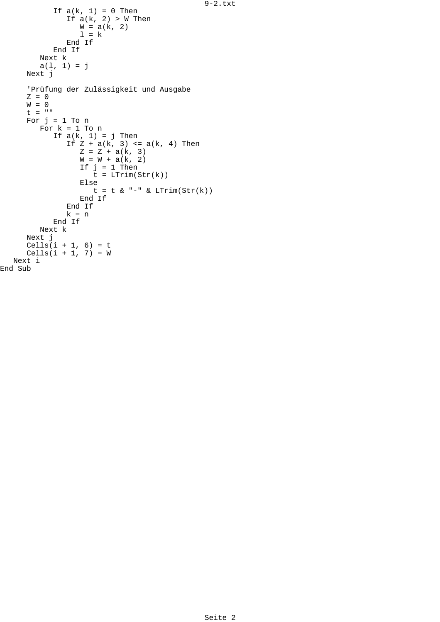```
9-2.txt
```

```
If a(k, 1) = 0 Then
               If a(k, 2) > W Then
                  W = a(k, 2)l = kEnd If
           End If
        Next k
        a(1, 1) = jNext j
     'Prüfung der Zulässigkeit und Ausgabe
     Z = 0W = 0t = "For j = 1 To nFor k = 1 To n
            If a(k, 1) = j Then
               If Z + a(k, 3) <= a(k, 4) Then
                  Z = Z + a(k, 3)W = W + a(k, 2)If j = 1 Then
                   t = LTrim(Str(k))Else
                   t = t \& T - T \& LTrim(Str(k))End If
              End If
              k = nEnd If
        Next k
     Next j
      Cells(i + 1, 6) = tCells(i + 1, 7) = WNext i
End Sub
```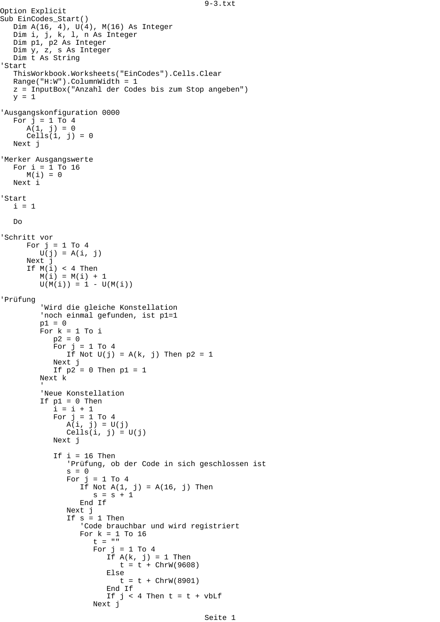```
Option Explicit
Sub EinCodes_Start()
  Dim A(16, 4), U(4), M(16) As Integer
  Dim i, j, k, l, n As Integer
  Dim p1, p2 As Integer
  Dim y, z, s As Integer
  Dim t As String
'Start
  ThisWorkbook.Worksheets("EinCodes").Cells.Clear
  Range("H:W").ColumnWidth = 1
  z = InputBox("Anzahl der Codes bis zum Stop angeben")
  y = 1'Ausgangskonfiguration 0000
  For j = 1 To 4A(1, j) = 0Cells(1, j) = 0Next j
'Merker Ausgangswerte
  For i = 1 To 16
    M(i) = 0Next i
'Start
  i = 1Do
'Schritt vor
     For j = 1 To 4U(j) = A(i, j)Next j
     If M(i) < 4 Then
        M(i) = M(i) + 1U(M(i)) = 1 - U(M(i))'Prüfung
         'Wird die gleiche Konstellation
         'noch einmal gefunden, ist p1=1
        p1 = 0For k = 1 To i
           p2 = 0For j = 1 To 4If Not U(j) = A(k, j) Then p2 = 1Next j
           If p2 = 0 Then p1 = 1Next k
         'Neue Konstellation
        If p1 = 0 Then
           i = i + 1For i = 1 To 4A(i, j) = U(j)Cells(i, j) = U(j)Next j
           If i = 16 Then
               'Prüfung, ob der Code in sich geschlossen ist
              s = 0For j = 1 To 4If Not A(1, j) = A(16, j) Then
                    s = s + 1End If
              Next j
              If s = 1 Then
                  'Code brauchbar und wird registriert
                 For k = 1 To 16
                    t = ""
                    For j = 1 To 4If A(k, j) = 1 Then
                          t = t + ChrW(9608)Else
                          t = t + Chrw(8901)End If
                       If j < 4 Then t = t + vbLfNext j
```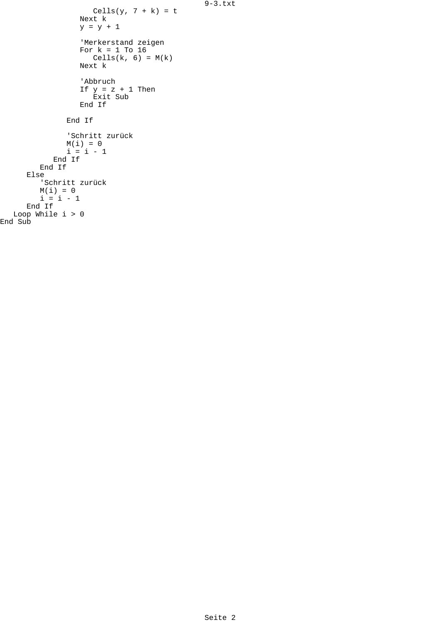```
Cells(y, 7 + k) = tNext k
                 y = y + 1'Merkerstand zeigen
                 For k = 1 To 16
                  Cells(k, 6) = M(k)Next k
                 'Abbruch
                 If y = z + 1 Then
                   Exit Sub
                 End If
              End If
              'Schritt zurück
              M(i) = 0
              i = i - 1
           End If
        End If
     Else
        'Schritt zurück
        M(i) = 0
        i = i - 1
     End If
  Loop While i > 0
End Sub
```
9-3.txt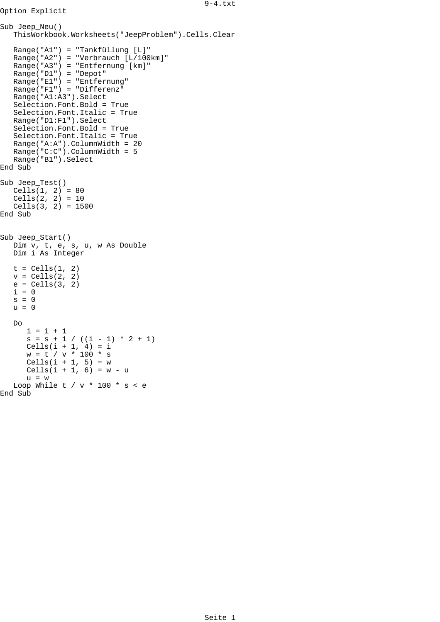```
Option Explicit
```
End Sub

```
Sub Jeep_Neu()
  ThisWorkbook.Worksheets("JeepProblem").Cells.Clear
  Range("A1") = "Tankfüllung [L]"
   Range("A2") = "Verbrauch [L/100km]"
   Range("A3") = "Entfernung [km]"
  Range("D1") = "Depot"Range("E1") = "Entfernung"
  Range("F1") = "Differenz"
  Range("A1:A3").Select
  Selection.Font.Bold = True
  Selection.Font.Italic = True
  Range("D1:F1").Select
  Selection.Font.Bold = True
  Selection.Font.Italic = True
  Range("A:A").ColumnWidth = 20
  Range("C:C"). ColumnWidth = 5
  Range("B1").Select
End Sub
Sub Jeep_Test()
   Cells(1, 2) = 80Cells(2, 2) = 10
   Cells(3, 2) = 1500
End Sub
Sub Jeep_Start()
  Dim v, t, e, s, u, w As Double
  Dim i As Integer
  t = Cells(1, 2)v = Cells(2, 2)
  e = Cells(3, 2)
  i = 0s = 0u = 0Do
     i = i + 1s = s + 1 / ((i - 1) * 2 + 1)Cells(i + 1, 4) = iw = t / v * 100 * sCells(i + 1, 5) = wCells(i + 1, 6) = w - uu = wLoop While t / v * 100 * s < e
```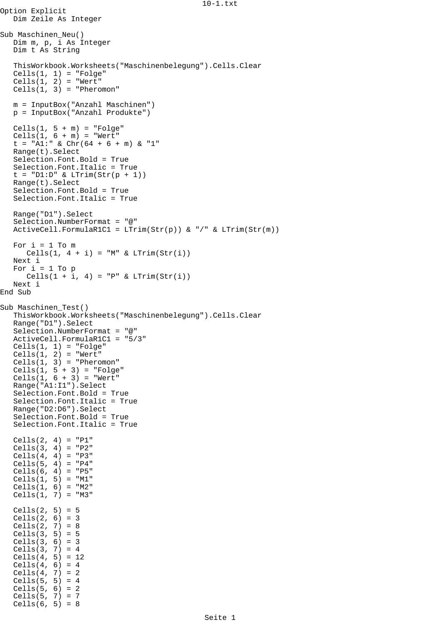```
Option Explicit
  Dim Zeile As Integer
Sub Maschinen_Neu()
  Dim m, p, i As Integer
  Dim t As String
  ThisWorkbook.Worksheets("Maschinenbelegung").Cells.Clear
  Cells(1, 1) = "Folge"Cells(1, 2) = "Wert"Cells(1, 3) = "Pheromon"m = InputBox("Anzahl Maschinen")
  p = InputBox("Anzahl Produkte")
  Cells(1, 5 + m) = "Folge"Cells(1, 6 + m) = "Wert"
  t = "A1: " \& Chr(64 + 6 + m) \& "1"Range(t).Select
  Selection.Font.Bold = True
  Selection.Font.Italic = True
  t = "DI:D" \& LTrim(Str(p + 1))Range(t).Select
  Selection.Font.Bold = True
  Selection.Font.Italic = True
  Range("D1").Select
  Selection.NumberFormat = "@"
  ActiveCell.FormulaR1C1 = LTrim(Str(p)) & "/" & LTrim(Str(m))
  For i = 1 To mCells(1, 4 + i) = "M" & LTrim(Str(i))
  Next i
  For i = 1 To pCells(1 + i, 4) = "P" \& LTrim(Str(i))Next i
End Sub
Sub Maschinen_Test() 
  ThisWorkbook.Worksheets("Maschinenbelegung").Cells.Clear
  Range("D1").Select
  Selection.NumberFormat = "@"
  ActiveCell.FormulaR1C1 = "5/3"
  Cells(1, 1) = "Folqe"Cells(1, 2) = "Wert"Cells(1, 3) = "Pheromon"Cells(1, 5 + 3) = "Folge"Cells(1, 6 + 3) = "Wert"Range("A1:I1").Select
  Selection.Font.Bold = True
  Selection.Font.Italic = True
  Range("D2:D6").Select
  Selection.Font.Bold = True
  Selection.Font.Italic = True
  Cells(2, 4) = "P1"Cells(3, 4) = "P2"Cells(4, 4) = "P3"Cells(5, 4) = "P4"Cells(6, 4) = "P5"
  Cells(1, 5) = "M1"Cells(1, 6) = "M2"Cells(1, 7) = "M3"Cells(2, 5) = 5
   Cells(2, 6) = 3Cells(2, 7) = 8
  Cells(3, 5) = 5Cells(3, 6) = 3Cells(3, 7) = 4Cells(4, 5) = 12Cells(4, 6) = 4Cells(4, 7) = 2
  Cells(5, 5) = 4Cells(5, 6) = 2
   Cells(5, 7) = 7
  Cells(6, 5) = 8
```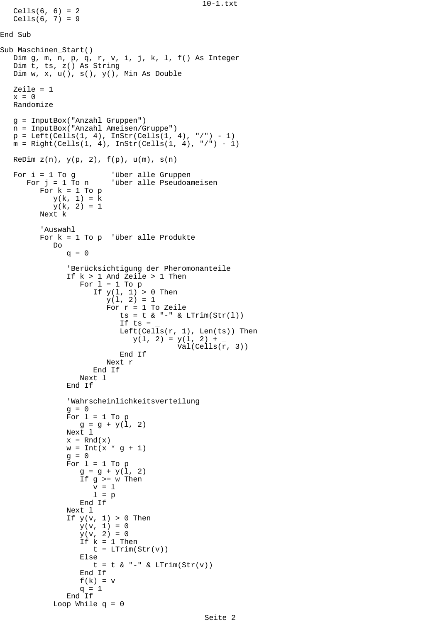```
10-1.txt
```

```
Cells(6, 7) = 9End Sub
Sub Maschinen_Start()
  Dim g, m, n, p, q, r, v, i, j, k, l, f() As Integer
  Dim t, ts, z() As String
  Dim w, x, u(), s(), y(), Min As Double
  Zeile = 1
  x = 0Randomize
  g = InputBox("Anzahl Gruppen")
  n = InputBox("Anzahl Ameisen/Gruppe")
  p = Left(Cells(1, 4), Insert(Cells(1, 4), "/*") - 1)m = Right(Cells(1, 4), Instr(Cells(1, 4), "1") - 1)ReDim z(n), y(p, 2), f(p), u(m), s(n)For i = 1 To g 'über alle Gruppen
                         'über alle Pseudoameisen
         For k = 1 To py(k, 1) = k
            y(k, 2) = 1Next k
        'Auswahl
        For k = 1 To p 'über alle Produkte
           Do
              q = 0'Berücksichtigung der Pheromonanteile
              If k > 1 And Zeile > 1 Then
                 For l = 1 To pIf y(1, 1) > 0 Then
                       y(1, 2) = 1For r = 1 To Zeile
                          ts = t \& T - T \& LTrim(Str(1))If ts =Left(Cells(r, 1), Len(ts)) Then
                             y(1, 2) = y(1, 2) +Val(Cells(r, 3))End If
                       Next r
                    End If
                 Next l
              End If
              'Wahrscheinlichkeitsverteilung
              q = 0For l = 1 To pg = g + y(1, 2)Next l
              x = \text{Rnd}(x)w = Int(x * g + 1)q = 0For l = 1 To pg = g + y(1, 2)If g \geq w Then
                    v = 1l = pEnd If
              Next l
               If y(v, 1) > 0 Then
                  y(v, 1) = 0y(v, 2) = 0If k = 1 Then
                    t = LTrim(Str(v))Else
                    t = t \& T - T \& LTrim(Str(v))End If
                 f(k) = vq = 1End If
           Loop While q = 0
```
 $Cells(6, 6) = 2$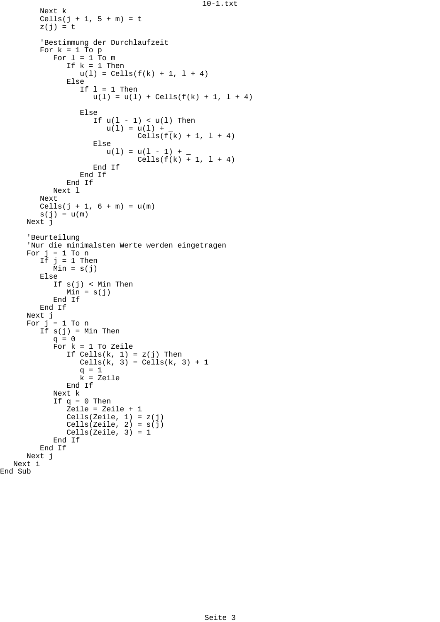```
Next k
        Cells(j + 1, 5 + m) = tz(j) = t'Bestimmung der Durchlaufzeit
        For k = 1 To pFor l = 1 To mIf k = 1 Then
                 u(1) = Cells(f(k) + 1, 1 + 4)
              Else
                 If l = 1 Then
                    u(1) = u(1) + Cells(f(k) + 1, 1 + 4)Else
                    If u(1 - 1) < u(1) Then
                       u(1) = u(1) +Cells(f(k) + 1, 1 + 4)Else
                       u(1) = u(1 - 1) +Cells(f(k) + 1, 1 + 4)End If
                 End If
              End If
           Next l
        Next
        Cells(j + 1, 6 + m) = u(m)s(j) = u(m)Next j
     'Beurteilung
     'Nur die minimalsten Werte werden eingetragen
     For j = 1 To nIf j = 1 Then
           Min = s(j)Else
           If s(j) < Min Then
              Min = s(j)End If
        End If
     Next j
     For j = 1 To nIf s(j) = Min Then
           q = 0For k = 1 To Zeile
              If Cells(k, 1) = z(j) Then
                 Cells(k, 3) = Cells(k, 3) + 1q = 1k = Zeile
              End If
           Next k
           If q = 0 Then
              Zeile = Zeile + 1Cells(Zeile, 1) = z(j)Cells(Zeile, 2) = s(j)Cells(Zeile, 3) = 1
           End If
        End If
     Next j
  Next i
End Sub
```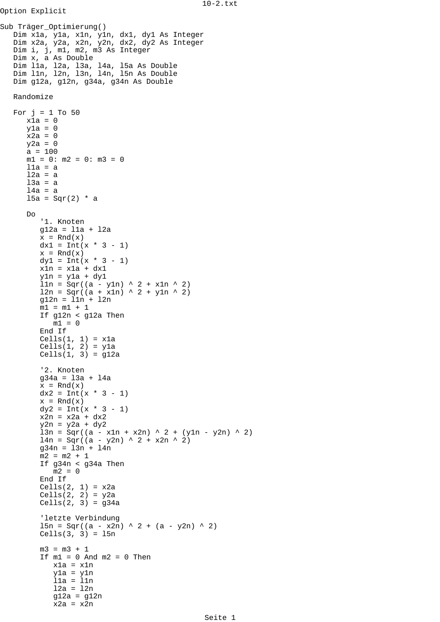```
Sub Träger_Optimierung()
  Dim x1a, y1a, x1n, y1n, dx1, dy1 As Integer
  Dim x2a, y2a, x2n, y2n, dx2, dy2 As Integer
  Dim i, j, m1, m2, m3 As Integer
  Dim x, a As Double
   Dim l1a, l2a, l3a, l4a, l5a As Double 
   Dim l1n, l2n, l3n, l4n, l5n As Double
  Dim g12a, g12n, g34a, g34n As Double
  Randomize
  For j = 1 To 50
     x1a = 0y1a = 0x2a = 0y2a = 0a = 100m1 = 0: m2 = 0: m3 = 011a = al2a = a
      13a = a14a = a15a = Sqr(2) * aDo
         '1. Knoten
         g12a = l1a + l2a
         x = \text{Rnd}(x)dx1 = Int(x * 3 - 1)x = \text{Rnd}(x)dy1 = Int(x * 3 - 1)x1n = x1a + dx1y1n = y1a + dy111n = Sqr((a - y1n) ^ a + x1n ^ a)12n = Sqr((a + x1n) ^ a + y1n ^ a)g12n = l1n + l2n
         m1 = m1 + 1If g12n < g12a Then
           m1 = 0End If
         Cells(1, 1) = x1aCells(1, 2) = y1aCells(1, 3) = q12a'2. Knoten
         g34a = l3a + l4a
         x = \text{Rnd}(x)dx2 = Int(x * 3 - 1)x = \text{Rnd}(x)dy2 = Int(x * 3 - 1)x^2n = x^2a + dx^2y2n = y2a + dy2\lim_{x \to 0} = \frac{1}{2} \arg((a - x \ln x + 2n) - 2 + (y \ln x + y^2 \ln x)) - 2)14n = \text{Sqr}((a - y2n) \land 2 + x2n \land 2)g34n = 13n + 14nm2 = m2 + 1If g34n < g34a Then
            m2 = 0End If
         Cells(2, 1) = x2aCells(2, 2) = y2aCells(2, 3) = g34a'letzte Verbindung
         15n = Sqr((a - x2n) ^ a 2 + (a - y2n) ^ a 2)Cells(3, 3) = l5n
         m3 = m3 + 1If ml = 0 And m2 = 0 Then
            x1a = x1ny1a = y1n
            l1a = l1n
            12a = 12ng12a = g12nx2a = x2n
```
Option Explicit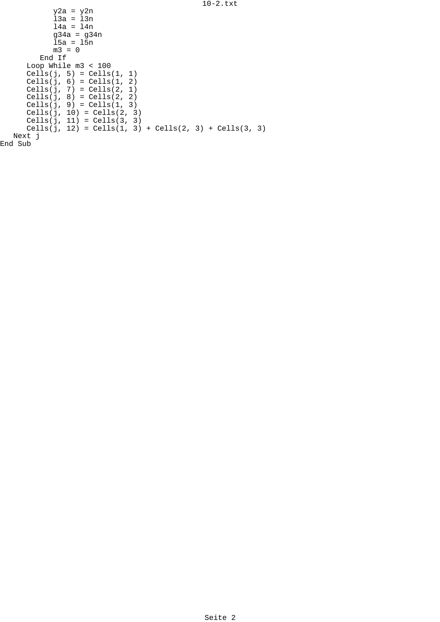```
y2a = y2n
            l3a = l3n
           l4a = l4n
           g34a = g34n
           15a = 15nm3 = 0End If
     Loop While m3 < 100
      Cells(j, 5) = Cells(1, 1)Cells(j, 6) = Cells(1, 2)Cells(j, 7) = Cells(2, 1)Cells(j, 8) = Cells(2, 2)Cells(j, 9) = Cells(1, 3)Cells(j, 10) = Cells(2, 3)Cells(j, 11) = Cells(3, 3)Cells(j, 12) = Cells(1, 3) + Cells(2, 3) + Cells(3, 3) 
  Next j
End Sub
```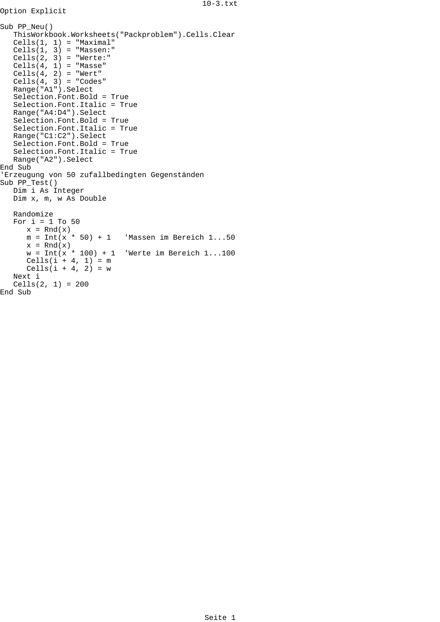```
Option Explicit
```

```
Sub PP_Neu()
  ThisWorkbook.Worksheets("Packproblem").Cells.Clear
  Cells(1, 1) = "Maximal"Cells(1, 3) = "Massen:"Cells(2, 3) = "Werte:"Cells(4, 1) = "Masse"Cells(4, 2) = "Wert"Cells(4, 3) = "Codes"Range("A1").Select
  Selection.Font.Bold = True
  Selection.Font.Italic = True
  Range("A4:D4").Select
  Selection.Font.Bold = True
  Selection.Font.Italic = True
  Range("C1:C2").Select
  Selection.Font.Bold = True
  Selection.Font.Italic = True
  Range("A2").Select
End Sub
'Erzeugung von 50 zufallbedingten Gegenständen
Sub PP_Test()
  Dim i As Integer
  Dim x, m, w As Double
  Randomize
  For i = 1 To 50
     x = \text{Rnd}(x)m = Int(x * 50) + 1 'Massen im Bereich 1...50x = \text{Rnd}(x)w = Int(x * 100) + 1 'Werte im Bereich 1...100Cells(i + 4, 1) = mCells(i + 4, 2) = wNext i
  Cells(2, 1) = 200
End Sub
```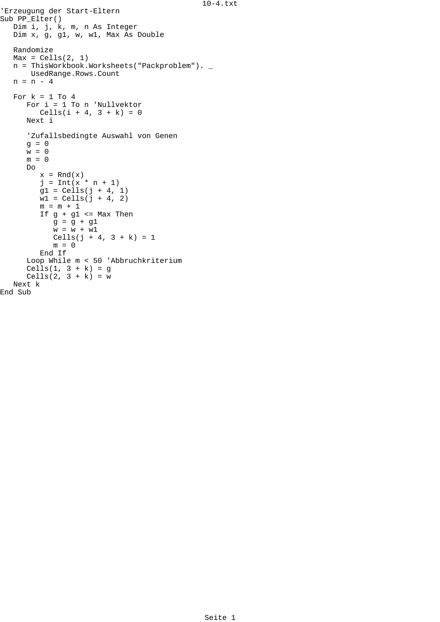```
'Erzeugung der Start-Eltern
Sub PP_Elter()
  Dim i, j, k, m, n As Integer
  Dim x, g, g1, w, w1, Max As Double
  Randomize
  Max = Cells(2, 1)n = ThisWorkbook.Worksheets("Packproblem"). _
      UsedRange.Rows.Count
  n = n - 4For k = 1 To 4For i = 1 To n 'Nullvektor
        Cells(i + 4, 3 + k) = 0Next i
     'Zufallsbedingte Auswahl von Genen
     g = 0
     w = 0m = 0Do
        x = \text{Rnd}(x)j = Int(x * n + 1)g1 = Cells(j + 4, 1)
         w1 = Cells(j + 4, 2)m = m + 1If g + gl \leq Max Then
           g = g + glw = w + w1Cells(j + 4, 3 + k) = 1m = 0End If
     Loop While m < 50 'Abbruchkriterium
     CelIs(1, 3 + k) = gCells(2, 3 + k) = wNext k
End Sub
```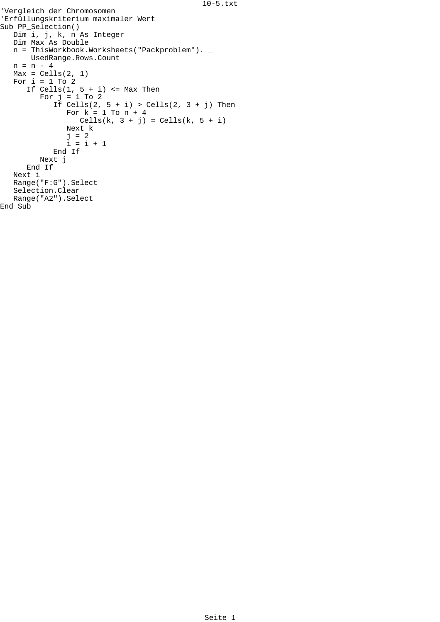```
'Vergleich der Chromosomen
'Erfüllungskriterium maximaler Wert
Sub PP_Selection()
  Dim i, j, k, n As Integer
  Dim Max As Double
  n = ThisWorkbook.Worksheets("Packproblem"). _
      UsedRange.Rows.Count
  n = n - 4
  Max = Cells(2, 1)For i = 1 To 2If Cells(1, 5 + i) \leq Max Then
        For j = 1 To 2If Cells(2, 5 + i) > Cells(2, 3 + j) Then
              For k = 1 To n + 4
                 Cells(k, 3 + j) = Cells(k, 5 + i)Next k
              j = 2i = i + 1End If
        Next j
     End If
  Next i
  Range("F:G").Select
  Selection.Clear
  Range("A2").Select
End Sub
```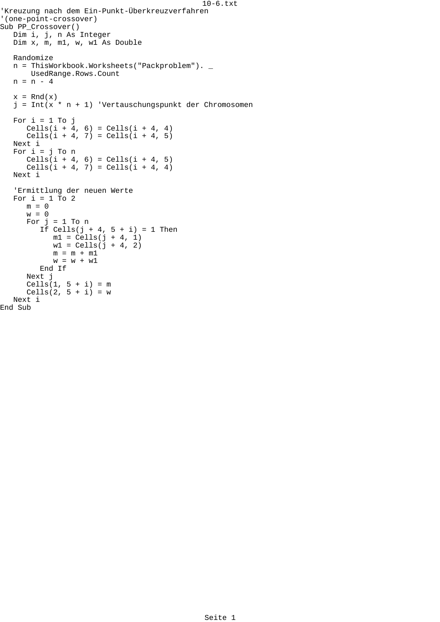```
10-6.txt
'Kreuzung nach dem Ein-Punkt-Überkreuzverfahren
'(one-point-crossover)
Sub PP_Crossover()
  Dim i, j, n As Integer
  Dim x, m, m1, w, w1 As Double
  Randomize
  n = ThisWorkbook.Worksheets("Packproblem"). _
     UsedRange.Rows.Count
  n = n - 4x = \text{Rnd}(x)j = Int(x * n + 1) 'Vertauschungspunkt der Chromosomen
  For i = 1 To jCells(i + 4, 6) = Cells(i + 4, 4)Cells(i + 4, 7) = Cells(i + 4, 5)Next i
  For i = j To nCells(i + 4, 6) = Cells(i + 4, 5)Cells(i + 4, 7) = Cells(i + 4, 4)Next i
  'Ermittlung der neuen Werte
  For i = 1 To 2m = 0w = 0For j = 1 To nIf Cells(j + 4, 5 + i) = 1 Then
           ml = Cells(j + 4, 1)wl = Cells(j + 4, 2)m = m + m1w = w + w1End If
     Next j
     Cells(1, 5 + i) = mCells(2, 5 + i) = wNext i
End Sub
```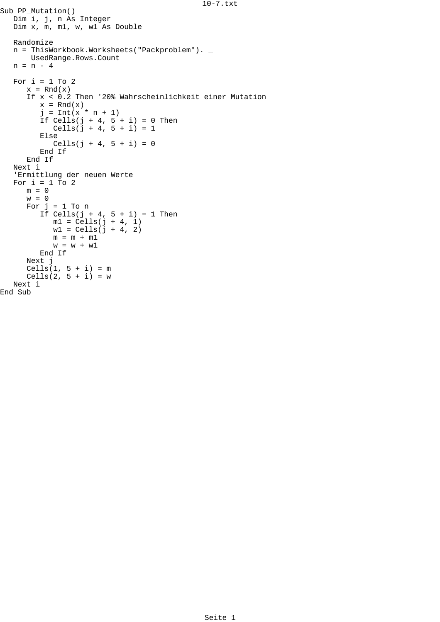```
Sub PP_Mutation()
  Dim i, j, n As Integer
  Dim x, m, m1, w, w1 As Double
  Randomize
  n = ThisWorkbook.Worksheets("Packproblem"). _
      UsedRange.Rows.Count
  n = n - 4
  For i = 1 To 2
     x = \text{Rnd}(x)If x < 0.2 Then '20% Wahrscheinlichkeit einer Mutation
        x = \text{Rnd}(x)j = Int(x * n + 1)If Cells(j + 4, 5 + i) = 0 Then
            Cells(j + 4, 5 + i) = 1Else
           Cells(j + 4, 5 + i) = 0End If
     End If
  Next i
  'Ermittlung der neuen Werte
  For i = 1 To 2
     m = 0w = 0For j = 1 To nIf Cells(j + 4, 5 + i) = 1 Then
           ml = cells(j + 4, 1)w1 = Cells(j + 4, 2)
           m = m + m1w = w + w1End If
     Next j
     Cells(1, 5 + i) = mCells(2, 5 + i) = wNext i
End Sub
```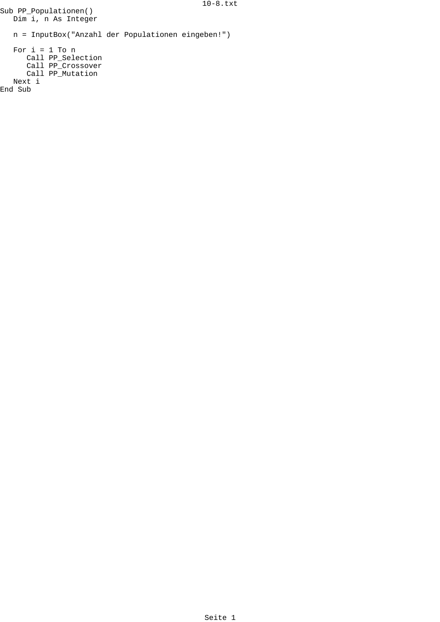```
Sub PP_Populationen()
   Dim i, n As Integer
  n = InputBox("Anzahl der Populationen eingeben!")
   For i = 1 To n
      Call PP_Selection
      Call PP_Crossover
      Call PP_Mutation
  Next i
```

```
End Sub
```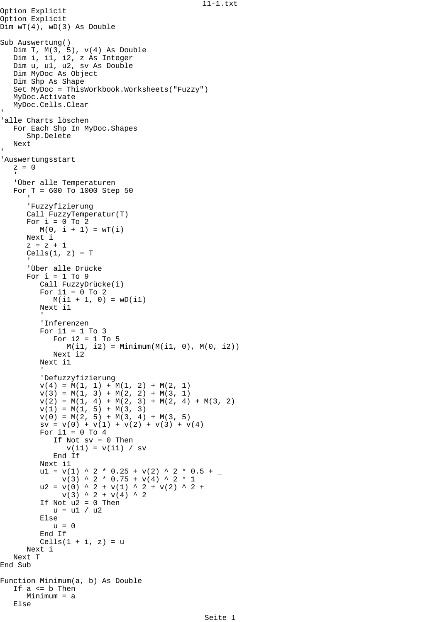```
Option Explicit
Option Explicit
Dim wT(4), wD(3) As Double
Sub Auswertung()
  Dim T, M(3, 5), v(4) As Double
   Dim i, i1, i2, z As Integer
   Dim u, u1, u2, sv As Double
  Dim MyDoc As Object
  Dim Shp As Shape
  Set MyDoc = ThisWorkbook.Worksheets("Fuzzy")
  MyDoc.Activate
  MyDoc.Cells.Clear
'alle Charts löschen
  For Each Shp In MyDoc.Shapes
     Shp.Delete
  Next
\mathbf{r}'Auswertungsstart
  z = 0'Über alle Temperaturen
  For T = 600 To 1000 Step 50
     'Fuzzyfizierung
     Call FuzzyTemperatur(T)
     For i = 0 To 2M(0, i + 1) = wT(i)Next i
     z = z + 1Cells(1, z) = T'Über alle Drücke
     For i = 1 To 9
        Call FuzzyDrücke(i)
        For i1 = 0 To 2M(i1 + 1, 0) = WD(i1)Next i1
        'Inferenzen
        For i1 = 1 To 3
           For i2 = 1 To 5
              M(i1, i2) = Minimum(M(i1, 0), M(0, i2))Next i2
        Next i1
        'Defuzzyfizierung
         v(4) = M(1, 1) + M(1, 2) + M(2, 1)v(3) = M(1, 3) + M(2, 2) + M(3, 1)v(2) = M(1, 4) + M(2, 3) + M(2, 4) + M(3, 2)v(1) = M(1, 5) + M(3, 3)v(0) = M(2, 5) + M(3, 4) + M(3, 5)sv = v(0) + v(1) + v(2) + v(3) + v(4)For il = 0 To 4If Not sv = 0 Then
              v(i1) = v(i1) / svEnd If
        Next i1
        u1 = v(1) ^ 2 * 0.25 + v(2) ^ 2 * 0.5 + _
             v(3) ^ 2 * 0.75 + v(4) ^ 2 * 1
        u2 = v(0) ^ 2 + v(1) ^ 2 + v(2) ^ 2 + _
             v(3) ^ 2 + v(4) ^ 2
        If Not u2 = 0 Then
           u = u1 / u2
        Else
           u = 0End If
        Cells(1 + i, z) = uNext i
  Next T
End Sub
Function Minimum(a, b) As Double
  If a <= b Then
     Minimum = a
  Else
```